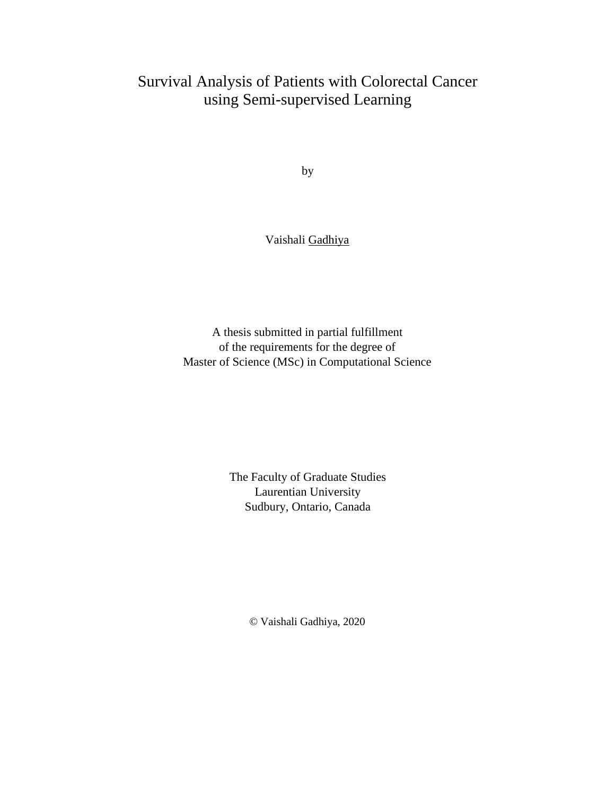### Survival Analysis of Patients with Colorectal Cancer using Semi-supervised Learning

by

#### Vaishali Gadhiya

A thesis submitted in partial fulfillment of the requirements for the degree of Master of Science (MSc) in Computational Science

> The Faculty of Graduate Studies Laurentian University Sudbury, Ontario, Canada

> > © Vaishali Gadhiya, 2020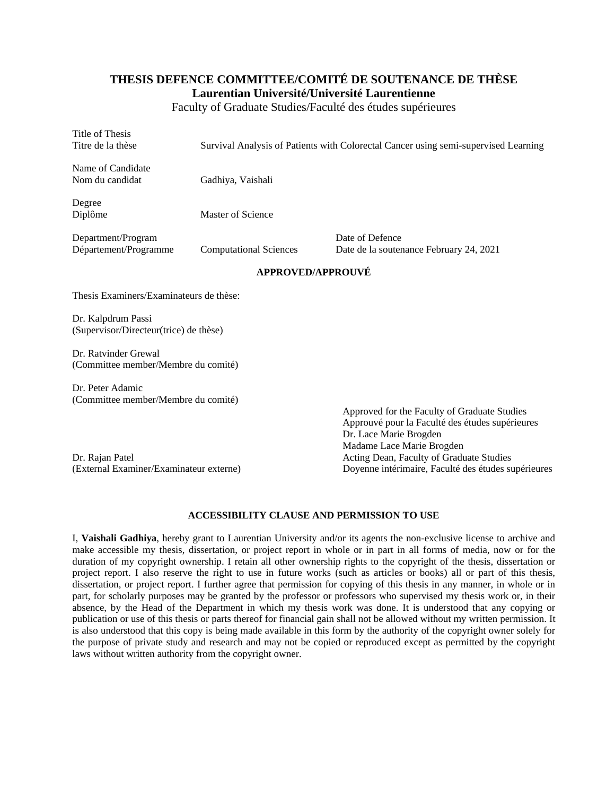#### **THESIS DEFENCE COMMITTEE/COMITÉ DE SOUTENANCE DE THÈSE Laurentian Université/Université Laurentienne**

Faculty of Graduate Studies/Faculté des études supérieures

| Title of Thesis<br>Titre de la thèse                         |                               | Survival Analysis of Patients with Colorectal Cancer using semi-supervised Learning                                       |
|--------------------------------------------------------------|-------------------------------|---------------------------------------------------------------------------------------------------------------------------|
| Name of Candidate<br>Nom du candidat                         | Gadhiya, Vaishali             |                                                                                                                           |
| Degree<br>Diplôme                                            | Master of Science             |                                                                                                                           |
| Department/Program<br>Département/Programme                  | <b>Computational Sciences</b> | Date of Defence<br>Date de la soutenance February 24, 2021                                                                |
|                                                              | <b>APPROVED/APPROUVÉ</b>      |                                                                                                                           |
| Thesis Examiners/Examinateurs de thèse:                      |                               |                                                                                                                           |
| Dr. Kalpdrum Passi<br>(Supervisor/Directeur(trice) de thèse) |                               |                                                                                                                           |
| Dr. Ratvinder Grewal<br>(Committee member/Membre du comité)  |                               |                                                                                                                           |
| Dr. Peter Adamic<br>(Committee member/Membre du comité)      |                               | Approved for the Faculty of Graduate Studies<br>Approuvé pour la Faculté des études supérieures<br>Dr. Lace Marie Brogden |
|                                                              |                               | Madame Lace Marie Brogden                                                                                                 |

(External Examiner/Examinateur externe) Doyenne intérimaire, Faculté des études supérieures

Dr. Rajan Patel **Acting Dean, Faculty of Graduate Studies** Acting Dean, Faculty of Graduate Studies

#### **ACCESSIBILITY CLAUSE AND PERMISSION TO USE**

I, **Vaishali Gadhiya**, hereby grant to Laurentian University and/or its agents the non-exclusive license to archive and make accessible my thesis, dissertation, or project report in whole or in part in all forms of media, now or for the duration of my copyright ownership. I retain all other ownership rights to the copyright of the thesis, dissertation or project report. I also reserve the right to use in future works (such as articles or books) all or part of this thesis, dissertation, or project report. I further agree that permission for copying of this thesis in any manner, in whole or in part, for scholarly purposes may be granted by the professor or professors who supervised my thesis work or, in their absence, by the Head of the Department in which my thesis work was done. It is understood that any copying or publication or use of this thesis or parts thereof for financial gain shall not be allowed without my written permission. It is also understood that this copy is being made available in this form by the authority of the copyright owner solely for the purpose of private study and research and may not be copied or reproduced except as permitted by the copyright laws without written authority from the copyright owner.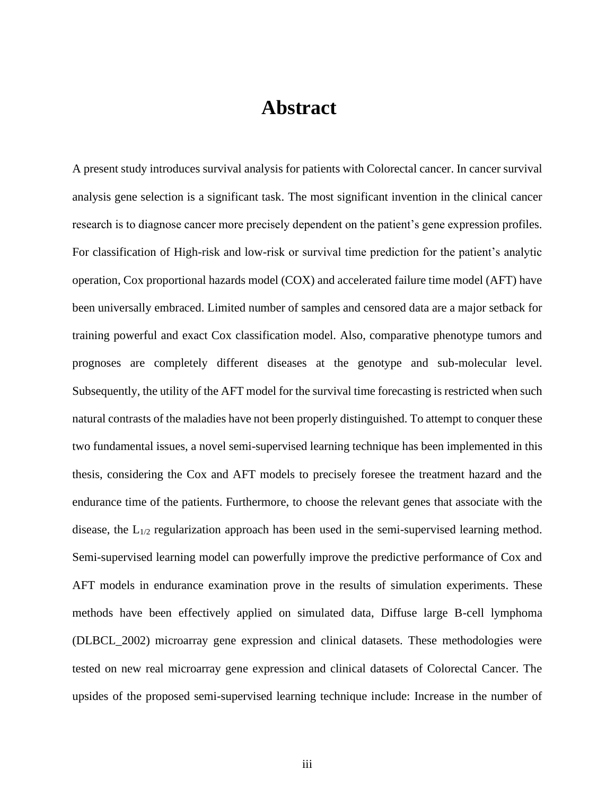### **Abstract**

A present study introduces survival analysis for patients with Colorectal cancer. In cancer survival analysis gene selection is a significant task. The most significant invention in the clinical cancer research is to diagnose cancer more precisely dependent on the patient's gene expression profiles. For classification of High-risk and low-risk or survival time prediction for the patient's analytic operation, Cox proportional hazards model (COX) and accelerated failure time model (AFT) have been universally embraced. Limited number of samples and censored data are a major setback for training powerful and exact Cox classification model. Also, comparative phenotype tumors and prognoses are completely different diseases at the genotype and sub-molecular level. Subsequently, the utility of the AFT model for the survival time forecasting is restricted when such natural contrasts of the maladies have not been properly distinguished. To attempt to conquer these two fundamental issues, a novel semi-supervised learning technique has been implemented in this thesis, considering the Cox and AFT models to precisely foresee the treatment hazard and the endurance time of the patients. Furthermore, to choose the relevant genes that associate with the disease, the L1/2 regularization approach has been used in the semi-supervised learning method. Semi-supervised learning model can powerfully improve the predictive performance of Cox and AFT models in endurance examination prove in the results of simulation experiments. These methods have been effectively applied on simulated data, Diffuse large B-cell lymphoma (DLBCL\_2002) microarray gene expression and clinical datasets. These methodologies were tested on new real microarray gene expression and clinical datasets of Colorectal Cancer. The upsides of the proposed semi-supervised learning technique include: Increase in the number of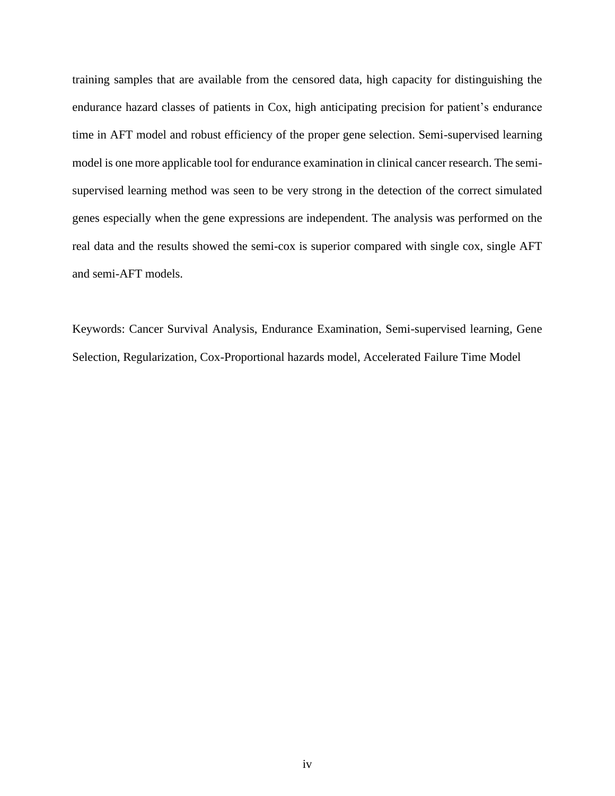training samples that are available from the censored data, high capacity for distinguishing the endurance hazard classes of patients in Cox, high anticipating precision for patient's endurance time in AFT model and robust efficiency of the proper gene selection. Semi-supervised learning model is one more applicable tool for endurance examination in clinical cancer research. The semisupervised learning method was seen to be very strong in the detection of the correct simulated genes especially when the gene expressions are independent. The analysis was performed on the real data and the results showed the semi-cox is superior compared with single cox, single AFT and semi-AFT models.

Keywords: Cancer Survival Analysis, Endurance Examination, Semi-supervised learning, Gene Selection, Regularization, Cox-Proportional hazards model, Accelerated Failure Time Model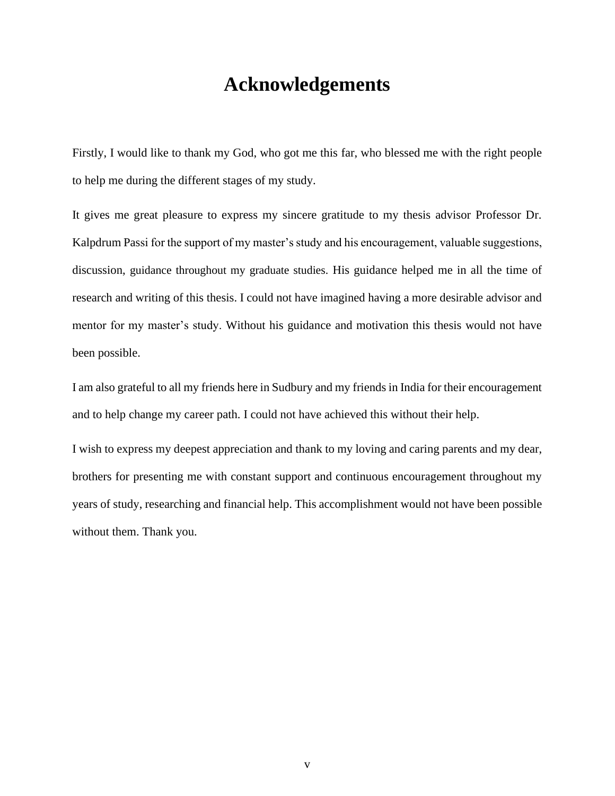### **Acknowledgements**

Firstly, I would like to thank my God, who got me this far, who blessed me with the right people to help me during the different stages of my study.

It gives me great pleasure to express my sincere gratitude to my thesis advisor Professor Dr. Kalpdrum Passi for the support of my master's study and his encouragement, valuable suggestions, discussion, guidance throughout my graduate studies. His guidance helped me in all the time of research and writing of this thesis. I could not have imagined having a more desirable advisor and mentor for my master's study. Without his guidance and motivation this thesis would not have been possible.

I am also grateful to all my friends here in Sudbury and my friends in India for their encouragement and to help change my career path. I could not have achieved this without their help.

I wish to express my deepest appreciation and thank to my loving and caring parents and my dear, brothers for presenting me with constant support and continuous encouragement throughout my years of study, researching and financial help. This accomplishment would not have been possible without them. Thank you.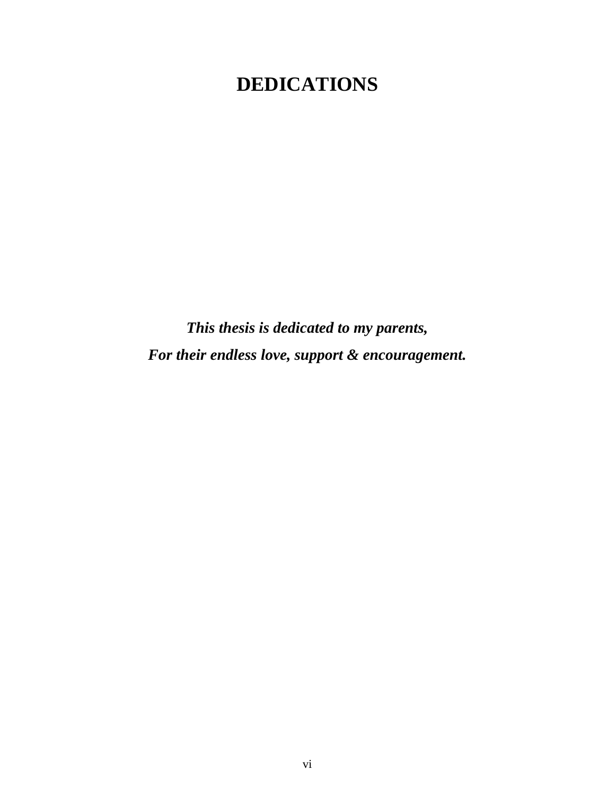# **DEDICATIONS**

*This thesis is dedicated to my parents, For their endless love, support & encouragement.*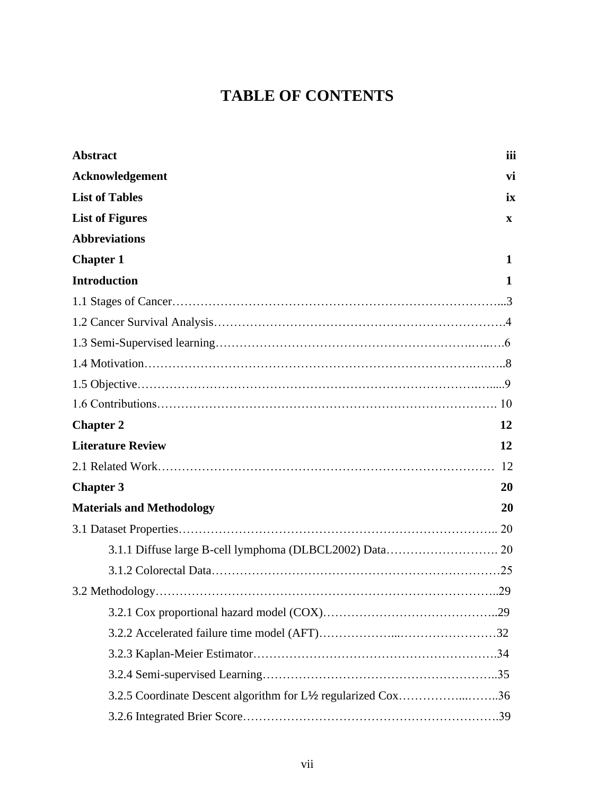## **TABLE OF CONTENTS**

| <b>Abstract</b>                                               | iii          |
|---------------------------------------------------------------|--------------|
| Acknowledgement                                               | vi           |
| <b>List of Tables</b>                                         | ix           |
| <b>List of Figures</b>                                        | $\mathbf{x}$ |
| <b>Abbreviations</b>                                          |              |
| <b>Chapter 1</b>                                              | 1            |
| <b>Introduction</b>                                           | 1            |
|                                                               |              |
|                                                               |              |
|                                                               |              |
|                                                               |              |
|                                                               |              |
|                                                               |              |
| <b>Chapter 2</b>                                              | 12           |
| <b>Literature Review</b>                                      | 12           |
|                                                               |              |
| <b>Chapter 3</b>                                              | 20           |
| <b>Materials and Methodology</b>                              | 20           |
|                                                               |              |
|                                                               |              |
|                                                               |              |
|                                                               |              |
|                                                               |              |
|                                                               |              |
|                                                               |              |
|                                                               |              |
| 3.2.5 Coordinate Descent algorithm for L1/2 regularized Cox36 |              |
|                                                               |              |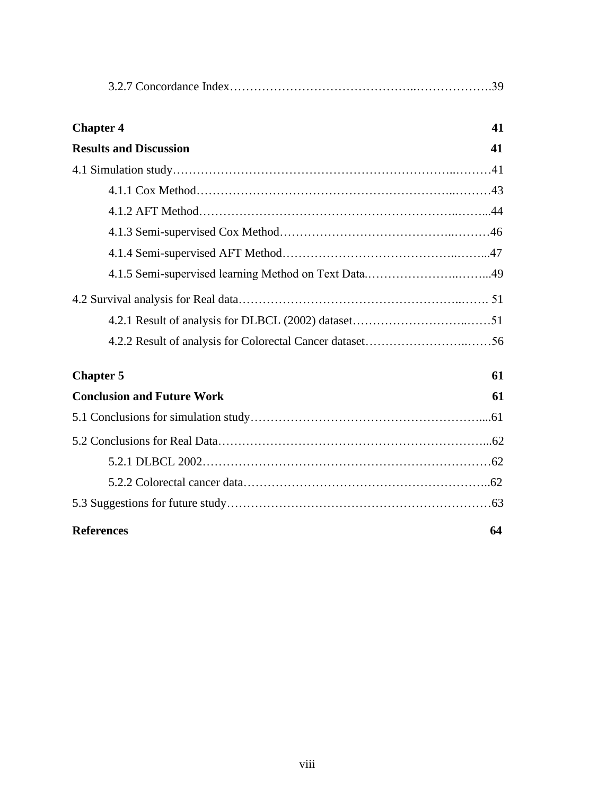| <b>Chapter 4</b>                  | 41 |
|-----------------------------------|----|
| <b>Results and Discussion</b>     | 41 |
|                                   |    |
|                                   |    |
|                                   |    |
|                                   |    |
|                                   |    |
|                                   |    |
|                                   |    |
|                                   |    |
|                                   |    |
| <b>Chapter 5</b>                  | 61 |
| <b>Conclusion and Future Work</b> | 61 |
|                                   |    |
|                                   |    |
|                                   |    |
|                                   |    |
|                                   |    |
| <b>References</b>                 | 64 |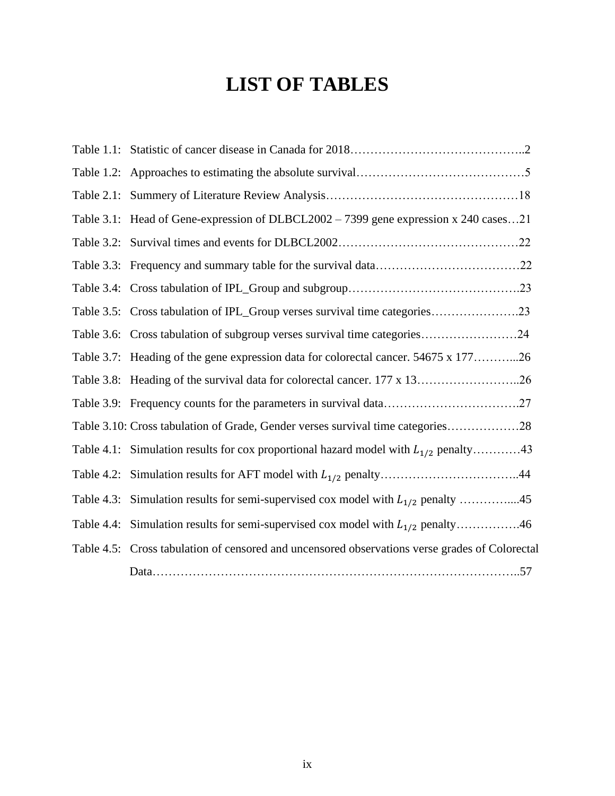# **LIST OF TABLES**

| Table $2.1$ : |                                                                                                |
|---------------|------------------------------------------------------------------------------------------------|
|               | Table 3.1: Head of Gene-expression of DLBCL2002 - 7399 gene expression x 240 cases21           |
|               |                                                                                                |
|               |                                                                                                |
|               |                                                                                                |
|               | Table 3.5: Cross tabulation of IPL_Group verses survival time categories23                     |
|               | Table 3.6: Cross tabulation of subgroup verses survival time categories24                      |
|               | Table 3.7: Heading of the gene expression data for colorectal cancer. 54675 x 17726            |
|               | Table 3.8: Heading of the survival data for colorectal cancer. 177 x 1326                      |
|               |                                                                                                |
|               | Table 3.10: Cross tabulation of Grade, Gender verses survival time categories28                |
|               | Table 4.1: Simulation results for cox proportional hazard model with $L_{1/2}$ penalty43       |
|               |                                                                                                |
|               | Table 4.3: Simulation results for semi-supervised cox model with $L_{1/2}$ penalty 45          |
| Table 4.4:    | Simulation results for semi-supervised cox model with $L_{1/2}$ penalty46                      |
|               | Table 4.5: Cross tabulation of censored and uncensored observations verse grades of Colorectal |
|               |                                                                                                |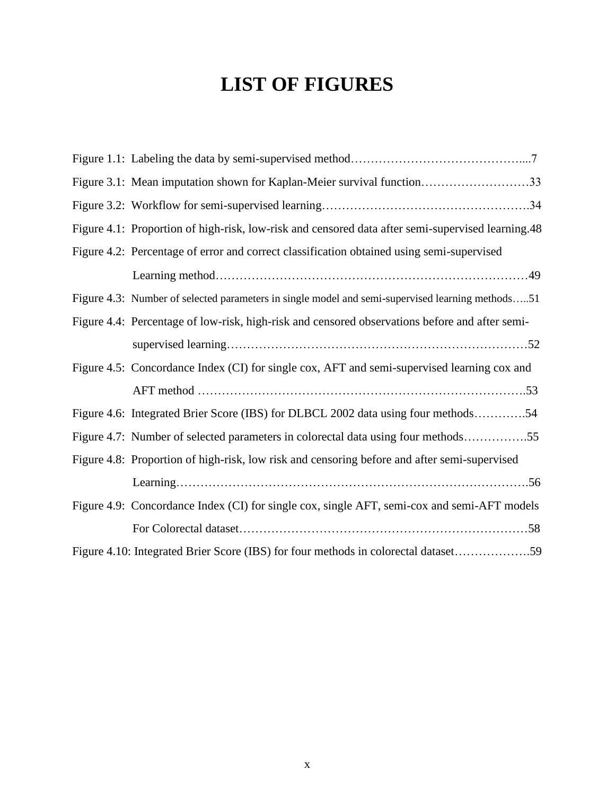# **LIST OF FIGURES**

| Figure 3.1: Mean imputation shown for Kaplan-Meier survival function33                            |
|---------------------------------------------------------------------------------------------------|
|                                                                                                   |
| Figure 4.1: Proportion of high-risk, low-risk and censored data after semi-supervised learning.48 |
| Figure 4.2: Percentage of error and correct classification obtained using semi-supervised         |
|                                                                                                   |
| Figure 4.3: Number of selected parameters in single model and semi-supervised learning methods51  |
| Figure 4.4: Percentage of low-risk, high-risk and censored observations before and after semi-    |
|                                                                                                   |
| Figure 4.5: Concordance Index (CI) for single cox, AFT and semi-supervised learning cox and       |
|                                                                                                   |
| Figure 4.6: Integrated Brier Score (IBS) for DLBCL 2002 data using four methods54                 |
| Figure 4.7: Number of selected parameters in colorectal data using four methods55                 |
| Figure 4.8: Proportion of high-risk, low risk and censoring before and after semi-supervised      |
|                                                                                                   |
| Figure 4.9: Concordance Index (CI) for single cox, single AFT, semi-cox and semi-AFT models       |
|                                                                                                   |
| Figure 4.10: Integrated Brier Score (IBS) for four methods in colorectal dataset59                |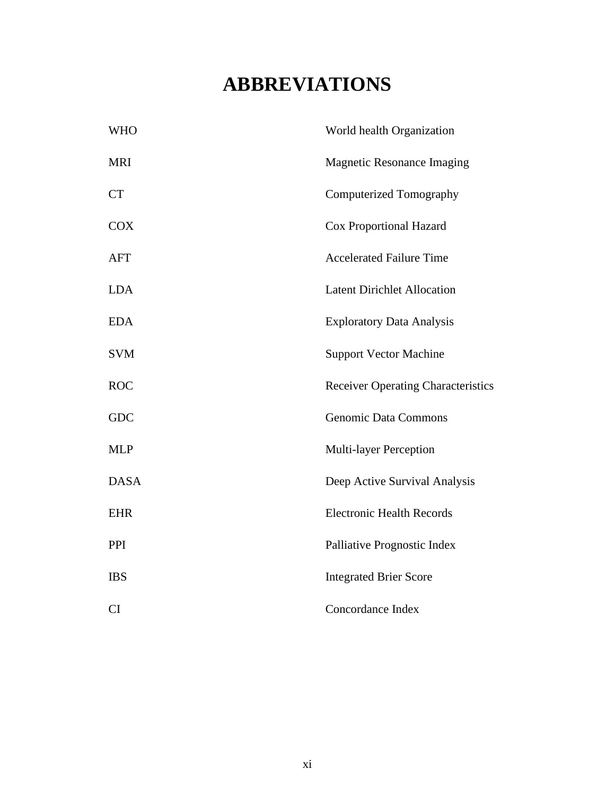# **ABBREVIATIONS**

| <b>WHO</b>  | World health Organization                 |
|-------------|-------------------------------------------|
| <b>MRI</b>  | <b>Magnetic Resonance Imaging</b>         |
| <b>CT</b>   | Computerized Tomography                   |
| <b>COX</b>  | <b>Cox Proportional Hazard</b>            |
| <b>AFT</b>  | <b>Accelerated Failure Time</b>           |
| <b>LDA</b>  | <b>Latent Dirichlet Allocation</b>        |
| <b>EDA</b>  | <b>Exploratory Data Analysis</b>          |
| <b>SVM</b>  | <b>Support Vector Machine</b>             |
| <b>ROC</b>  | <b>Receiver Operating Characteristics</b> |
| <b>GDC</b>  | <b>Genomic Data Commons</b>               |
| <b>MLP</b>  | <b>Multi-layer Perception</b>             |
| <b>DASA</b> | Deep Active Survival Analysis             |
| <b>EHR</b>  | <b>Electronic Health Records</b>          |
| PPI         | Palliative Prognostic Index               |
| <b>IBS</b>  | <b>Integrated Brier Score</b>             |
| <b>CI</b>   | Concordance Index                         |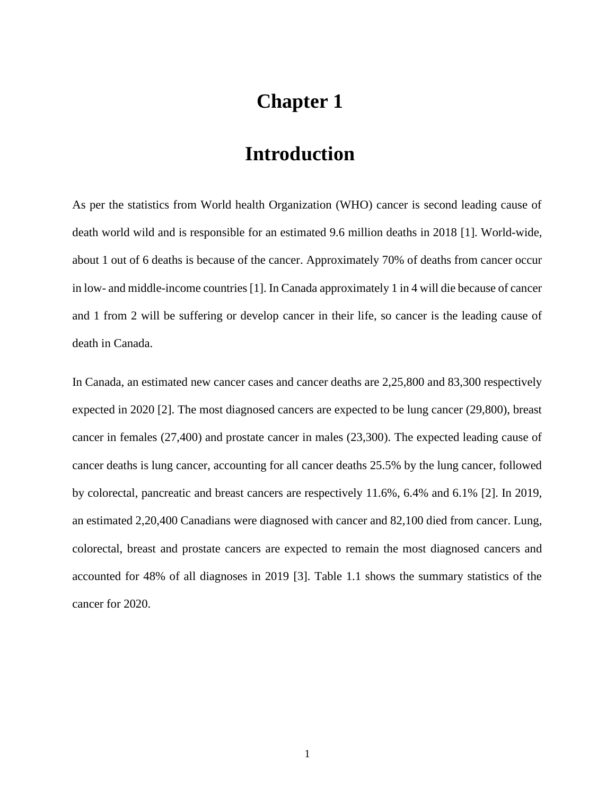## **Chapter 1**

## **Introduction**

As per the statistics from World health Organization (WHO) cancer is second leading cause of death world wild and is responsible for an estimated 9.6 million deaths in 2018 [1]. World-wide, about 1 out of 6 deaths is because of the cancer. Approximately 70% of deaths from cancer occur in low- and middle-income countries [1]. In Canada approximately 1 in 4 will die because of cancer and 1 from 2 will be suffering or develop cancer in their life, so cancer is the leading cause of death in Canada.

In Canada, an estimated new cancer cases and cancer deaths are 2,25,800 and 83,300 respectively expected in 2020 [2]. The most diagnosed cancers are expected to be lung cancer (29,800), breast cancer in females (27,400) and prostate cancer in males (23,300). The expected leading cause of cancer deaths is lung cancer, accounting for all cancer deaths 25.5% by the lung cancer, followed by colorectal, pancreatic and breast cancers are respectively 11.6%, 6.4% and 6.1% [2]. In 2019, an estimated 2,20,400 Canadians were diagnosed with cancer and 82,100 died from cancer. Lung, colorectal, breast and prostate cancers are expected to remain the most diagnosed cancers and accounted for 48% of all diagnoses in 2019 [3]. Table 1.1 shows the summary statistics of the cancer for 2020.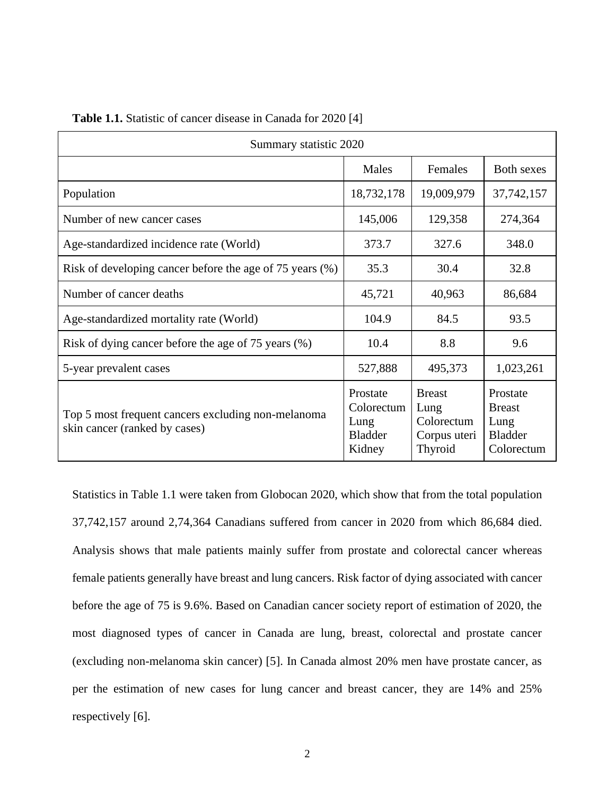| Summary statistic 2020                                                              |                                                            |                                                                |                                                                   |  |  |  |
|-------------------------------------------------------------------------------------|------------------------------------------------------------|----------------------------------------------------------------|-------------------------------------------------------------------|--|--|--|
|                                                                                     | Males                                                      | Females                                                        | <b>Both sexes</b>                                                 |  |  |  |
| Population                                                                          | 18,732,178                                                 | 19,009,979                                                     | 37, 742, 157                                                      |  |  |  |
| Number of new cancer cases                                                          | 145,006<br>129,358                                         |                                                                | 274,364                                                           |  |  |  |
| Age-standardized incidence rate (World)                                             | 373.7                                                      | 327.6                                                          | 348.0                                                             |  |  |  |
| Risk of developing cancer before the age of 75 years (%)                            | 35.3                                                       | 30.4                                                           | 32.8                                                              |  |  |  |
| Number of cancer deaths                                                             | 45,721                                                     | 40,963                                                         | 86,684                                                            |  |  |  |
| Age-standardized mortality rate (World)                                             | 104.9                                                      | 84.5                                                           | 93.5                                                              |  |  |  |
| Risk of dying cancer before the age of 75 years (%)                                 | 10.4                                                       | 8.8                                                            | 9.6                                                               |  |  |  |
| 5-year prevalent cases                                                              | 527,888                                                    | 495,373                                                        | 1,023,261                                                         |  |  |  |
| Top 5 most frequent cancers excluding non-melanoma<br>skin cancer (ranked by cases) | Prostate<br>Colorectum<br>Lung<br><b>Bladder</b><br>Kidney | <b>Breast</b><br>Lung<br>Colorectum<br>Corpus uteri<br>Thyroid | Prostate<br><b>Breast</b><br>Lung<br><b>Bladder</b><br>Colorectum |  |  |  |

**Table 1.1.** Statistic of cancer disease in Canada for 2020 [4]

Statistics in Table 1.1 were taken from Globocan 2020, which show that from the total population 37,742,157 around 2,74,364 Canadians suffered from cancer in 2020 from which 86,684 died. Analysis shows that male patients mainly suffer from prostate and colorectal cancer whereas female patients generally have breast and lung cancers. Risk factor of dying associated with cancer before the age of 75 is 9.6%. Based on Canadian cancer society report of estimation of 2020, the most diagnosed types of cancer in Canada are lung, breast, colorectal and prostate cancer (excluding non-melanoma skin cancer) [5]. In Canada almost 20% men have prostate cancer, as per the estimation of new cases for lung cancer and breast cancer, they are 14% and 25% respectively [6].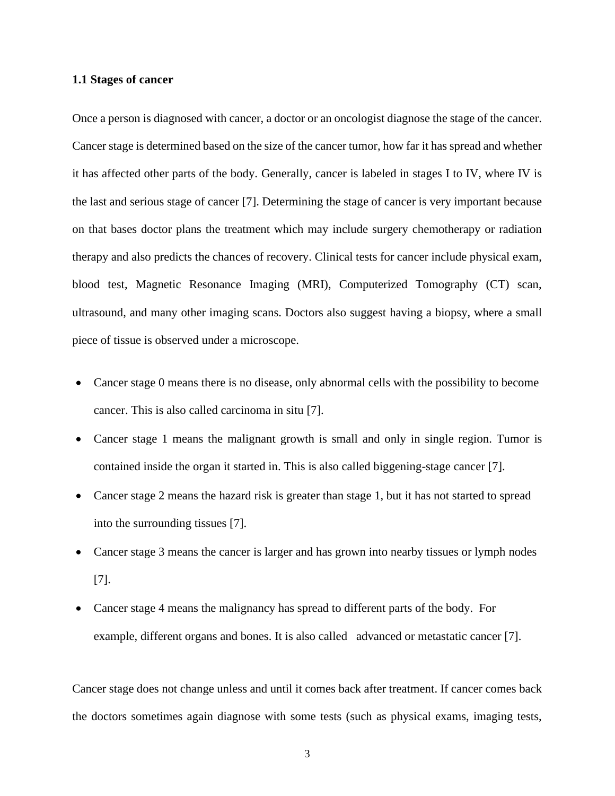#### **1.1 Stages of cancer**

Once a person is diagnosed with cancer, a doctor or an oncologist diagnose the stage of the cancer. Cancer stage is determined based on the size of the cancer tumor, how far it has spread and whether it has affected other parts of the body. Generally, cancer is labeled in stages I to IV, where IV is the last and serious stage of cancer [7]. Determining the stage of cancer is very important because on that bases doctor plans the treatment which may include surgery chemotherapy or radiation therapy and also predicts the chances of recovery. Clinical tests for cancer include physical exam, blood test, Magnetic Resonance Imaging (MRI), Computerized Tomography (CT) scan, ultrasound, and many other imaging scans. Doctors also suggest having a biopsy, where a small piece of tissue is observed under a microscope.

- Cancer stage 0 means there is no disease, only abnormal cells with the possibility to become cancer. This is also called carcinoma in situ [7].
- Cancer stage 1 means the malignant growth is small and only in single region. Tumor is contained inside the organ it started in. This is also called biggening-stage cancer [7].
- Cancer stage 2 means the hazard risk is greater than stage 1, but it has not started to spread into the surrounding tissues [7].
- Cancer stage 3 means the cancer is larger and has grown into nearby tissues or lymph nodes [7].
- Cancer stage 4 means the malignancy has spread to different parts of the body. For example, different organs and bones. It is also called advanced or metastatic cancer [7].

Cancer stage does not change unless and until it comes back after treatment. If cancer comes back the doctors sometimes again diagnose with some tests (such as physical exams, imaging tests,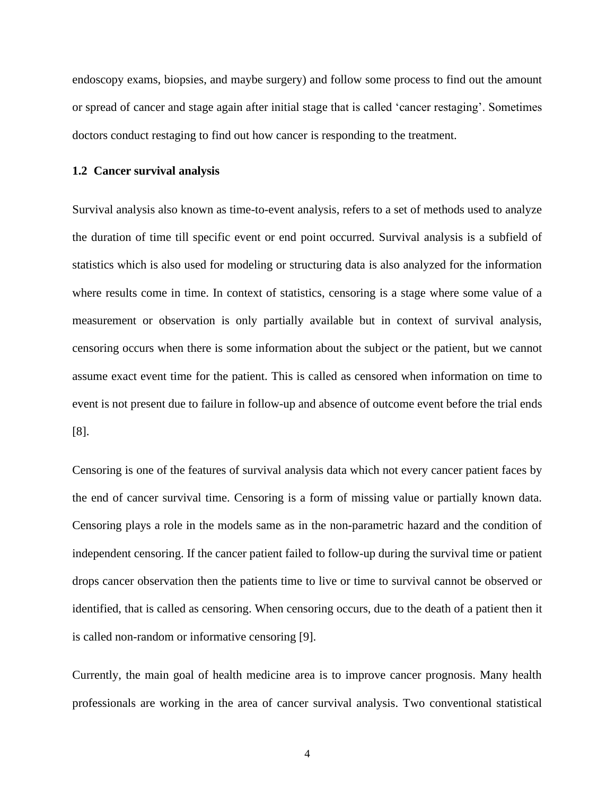endoscopy exams, biopsies, and maybe surgery) and follow some process to find out the amount or spread of cancer and stage again after initial stage that is called 'cancer restaging'. Sometimes doctors conduct restaging to find out how cancer is responding to the treatment.

#### **1.2 Cancer survival analysis**

Survival analysis also known as time-to-event analysis, refers to a set of methods used to analyze the duration of time till specific event or end point occurred. Survival analysis is a subfield of statistics which is also used for modeling or structuring data is also analyzed for the information where results come in time. In context of statistics, censoring is a stage where some value of a measurement or observation is only partially available but in context of survival analysis, censoring occurs when there is some information about the subject or the patient, but we cannot assume exact event time for the patient. This is called as censored when information on time to event is not present due to failure in follow-up and absence of outcome event before the trial ends [8].

Censoring is one of the features of survival analysis data which not every cancer patient faces by the end of cancer survival time. Censoring is a form of missing value or partially known data. Censoring plays a role in the models same as in the non-parametric hazard and the condition of independent censoring. If the cancer patient failed to follow-up during the survival time or patient drops cancer observation then the patients time to live or time to survival cannot be observed or identified, that is called as censoring. When censoring occurs, due to the death of a patient then it is called non-random or informative censoring [9].

Currently, the main goal of health medicine area is to improve cancer prognosis. Many health professionals are working in the area of cancer survival analysis. Two conventional statistical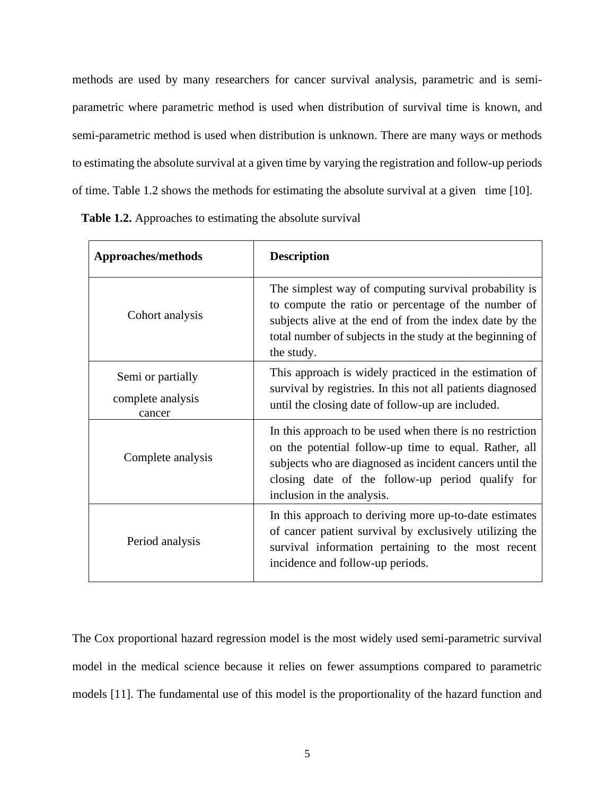methods are used by many researchers for cancer survival analysis, parametric and is semiparametric where parametric method is used when distribution of survival time is known, and semi-parametric method is used when distribution is unknown. There are many ways or methods to estimating the absolute survival at a given time by varying the registration and follow-up periods of time. Table 1.2 shows the methods for estimating the absolute survival at a given time [10].

**Table 1.2.** Approaches to estimating the absolute survival

| Approaches/methods                               | <b>Description</b>                                                                                                                                                                                                                                              |
|--------------------------------------------------|-----------------------------------------------------------------------------------------------------------------------------------------------------------------------------------------------------------------------------------------------------------------|
| Cohort analysis                                  | The simplest way of computing survival probability is<br>to compute the ratio or percentage of the number of<br>subjects alive at the end of from the index date by the<br>total number of subjects in the study at the beginning of<br>the study.              |
| Semi or partially<br>complete analysis<br>cancer | This approach is widely practiced in the estimation of<br>survival by registries. In this not all patients diagnosed<br>until the closing date of follow-up are included.                                                                                       |
| Complete analysis                                | In this approach to be used when there is no restriction<br>on the potential follow-up time to equal. Rather, all<br>subjects who are diagnosed as incident cancers until the<br>closing date of the follow-up period qualify for<br>inclusion in the analysis. |
| Period analysis                                  | In this approach to deriving more up-to-date estimates<br>of cancer patient survival by exclusively utilizing the<br>survival information pertaining to the most recent<br>incidence and follow-up periods.                                                     |

The Cox proportional hazard regression model is the most widely used semi-parametric survival model in the medical science because it relies on fewer assumptions compared to parametric models [11]. The fundamental use of this model is the proportionality of the hazard function and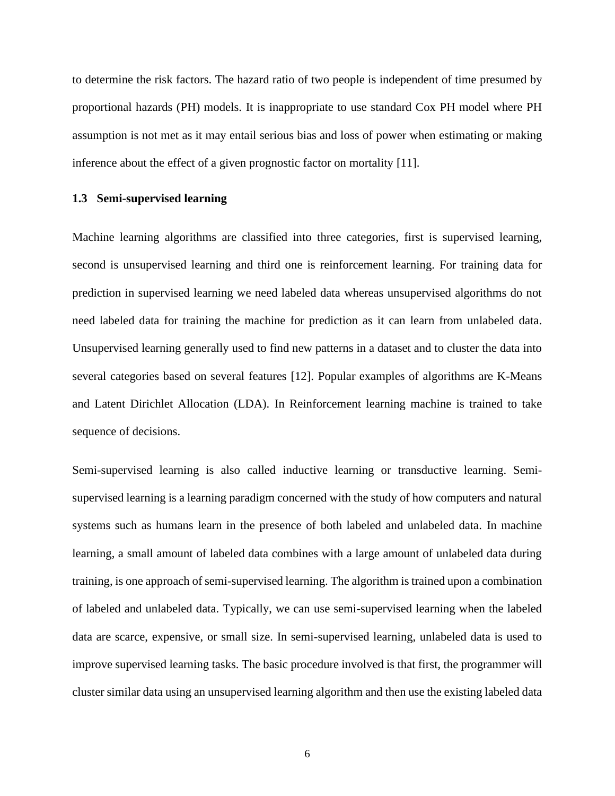to determine the risk factors. The hazard ratio of two people is independent of time presumed by proportional hazards (PH) models. It is inappropriate to use standard Cox PH model where PH assumption is not met as it may entail serious bias and loss of power when estimating or making inference about the effect of a given prognostic factor on mortality [11].

#### **1.3 Semi-supervised learning**

Machine learning algorithms are classified into three categories, first is supervised learning, second is unsupervised learning and third one is reinforcement learning. For training data for prediction in supervised learning we need labeled data whereas unsupervised algorithms do not need labeled data for training the machine for prediction as it can learn from unlabeled data. Unsupervised learning generally used to find new patterns in a dataset and to cluster the data into several categories based on several features [12]. Popular examples of algorithms are K-Means and Latent Dirichlet Allocation (LDA). In Reinforcement learning machine is trained to take sequence of decisions.

Semi-supervised learning is also called inductive learning or transductive learning. Semisupervised learning is a learning paradigm concerned with the study of how computers and natural systems such as humans learn in the presence of both labeled and unlabeled data. In machine learning, a small amount of labeled data combines with a large amount of unlabeled data during training, is one approach of semi-supervised learning. The algorithm is trained upon a combination of labeled and unlabeled data. Typically, we can use semi-supervised learning when the labeled data are scarce, expensive, or small size. In semi-supervised learning, unlabeled data is used to improve supervised learning tasks. The basic procedure involved is that first, the programmer will cluster similar data using an unsupervised learning algorithm and then use the existing labeled data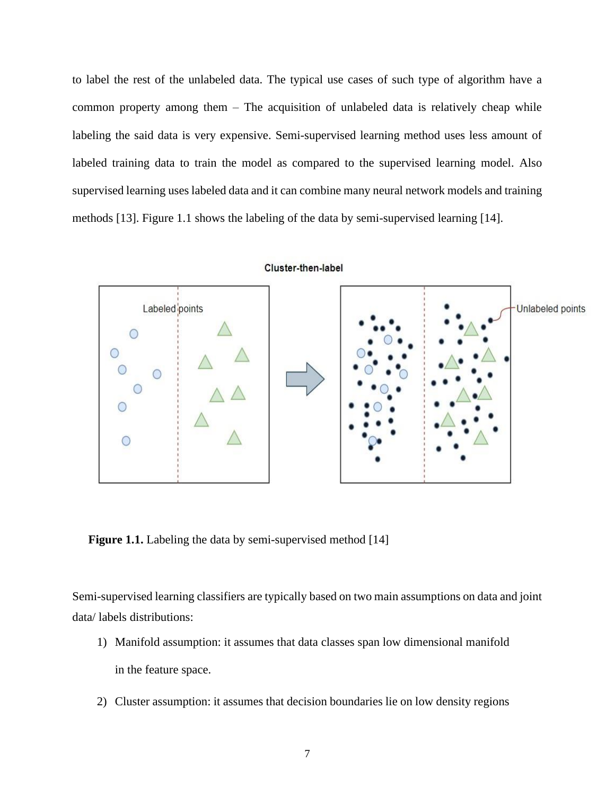to label the rest of the unlabeled data. The typical use cases of such type of algorithm have a common property among them – The acquisition of unlabeled data is relatively cheap while labeling the said data is very expensive. Semi-supervised learning method uses less amount of labeled training data to train the model as compared to the supervised learning model. Also supervised learning uses labeled data and it can combine many neural network models and training methods [13]. Figure 1.1 shows the labeling of the data by semi-supervised learning [14].



**Figure 1.1.** Labeling the data by semi-supervised method [14]

Semi-supervised learning classifiers are typically based on two main assumptions on data and joint data/ labels distributions:

- 1) Manifold assumption: it assumes that data classes span low dimensional manifold in the feature space.
- 2) Cluster assumption: it assumes that decision boundaries lie on low density regions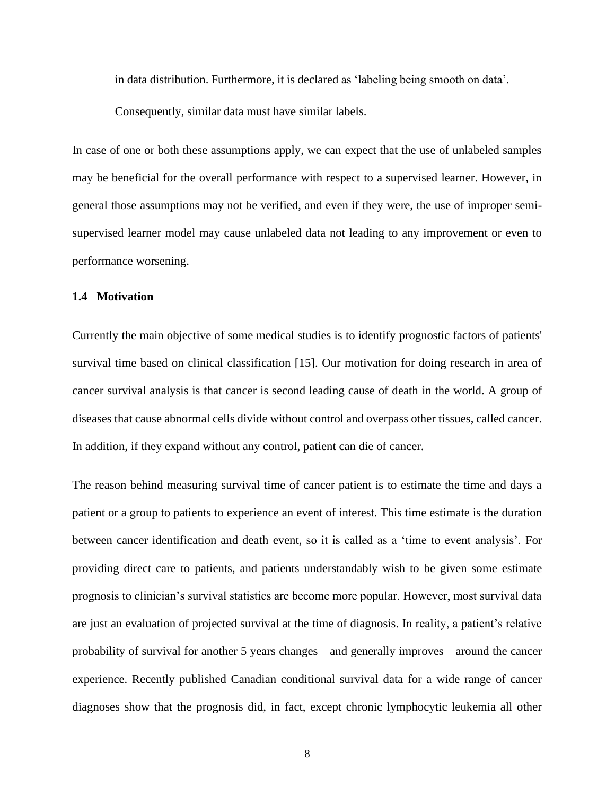in data distribution. Furthermore, it is declared as 'labeling being smooth on data'.

Consequently, similar data must have similar labels.

In case of one or both these assumptions apply, we can expect that the use of unlabeled samples may be beneficial for the overall performance with respect to a supervised learner. However, in general those assumptions may not be verified, and even if they were, the use of improper semisupervised learner model may cause unlabeled data not leading to any improvement or even to performance worsening.

#### **1.4 Motivation**

Currently the main objective of some medical studies is to identify prognostic factors of patients' survival time based on clinical classification [15]. Our motivation for doing research in area of cancer survival analysis is that cancer is second leading cause of death in the world. A group of diseases that cause abnormal cells divide without control and overpass other tissues, called cancer. In addition, if they expand without any control, patient can die of cancer.

The reason behind measuring survival time of cancer patient is to estimate the time and days a patient or a group to patients to experience an event of interest. This time estimate is the duration between cancer identification and death event, so it is called as a 'time to event analysis'. For providing direct care to patients, and patients understandably wish to be given some estimate prognosis to clinician's survival statistics are become more popular. However, most survival data are just an evaluation of projected survival at the time of diagnosis. In reality, a patient's relative probability of survival for another 5 years changes—and generally improves—around the cancer experience. Recently published Canadian conditional survival data for a wide range of cancer diagnoses show that the prognosis did, in fact, except chronic lymphocytic leukemia all other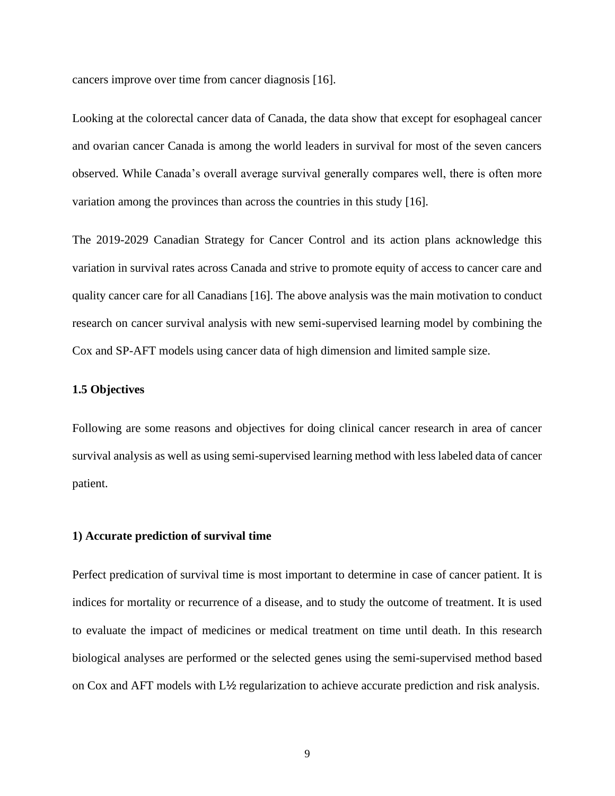cancers improve over time from cancer diagnosis [16].

Looking at the colorectal cancer data of Canada, the data show that except for esophageal cancer and ovarian cancer Canada is among the world leaders in survival for most of the seven cancers observed. While Canada's overall average survival generally compares well, there is often more variation among the provinces than across the countries in this study [16].

The 2019-2029 Canadian Strategy for Cancer Control and its action plans acknowledge this variation in survival rates across Canada and strive to promote equity of access to cancer care and quality cancer care for all Canadians [16]. The above analysis was the main motivation to conduct research on cancer survival analysis with new semi-supervised learning model by combining the Cox and SP-AFT models using cancer data of high dimension and limited sample size.

#### **1.5 Objectives**

Following are some reasons and objectives for doing clinical cancer research in area of cancer survival analysis as well as using semi-supervised learning method with less labeled data of cancer patient.

#### **1) Accurate prediction of survival time**

Perfect predication of survival time is most important to determine in case of cancer patient. It is indices for mortality or recurrence of a disease, and to study the outcome of treatment. It is used to evaluate the impact of medicines or medical treatment on time until death. In this research biological analyses are performed or the selected genes using the semi-supervised method based on Cox and AFT models with L½ regularization to achieve accurate prediction and risk analysis.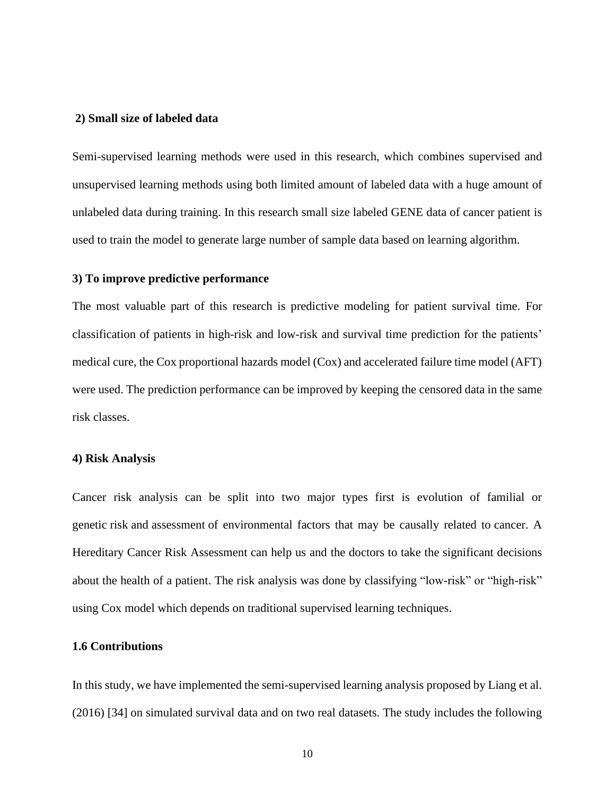#### **2) Small size of labeled data**

Semi-supervised learning methods were used in this research, which combines supervised and unsupervised learning methods using both limited amount of labeled data with a huge amount of unlabeled data during training. In this research small size labeled GENE data of cancer patient is used to train the model to generate large number of sample data based on learning algorithm.

#### **3) To improve predictive performance**

The most valuable part of this research is predictive modeling for patient survival time. For classification of patients in high-risk and low-risk and survival time prediction for the patients' medical cure, the Cox proportional hazards model (Cox) and accelerated failure time model (AFT) were used. The prediction performance can be improved by keeping the censored data in the same risk classes.

#### **4) Risk Analysis**

Cancer risk analysis can be split into two major types first is evolution of familial or genetic risk and assessment of environmental factors that may be causally related to cancer. A Hereditary Cancer Risk Assessment can help us and the doctors to take the significant decisions about the health of a patient. The risk analysis was done by classifying "low-risk" or "high-risk" using Cox model which depends on traditional supervised learning techniques.

#### **1.6 Contributions**

In this study, we have implemented the semi-supervised learning analysis proposed by Liang et al. (2016) [34] on simulated survival data and on two real datasets. The study includes the following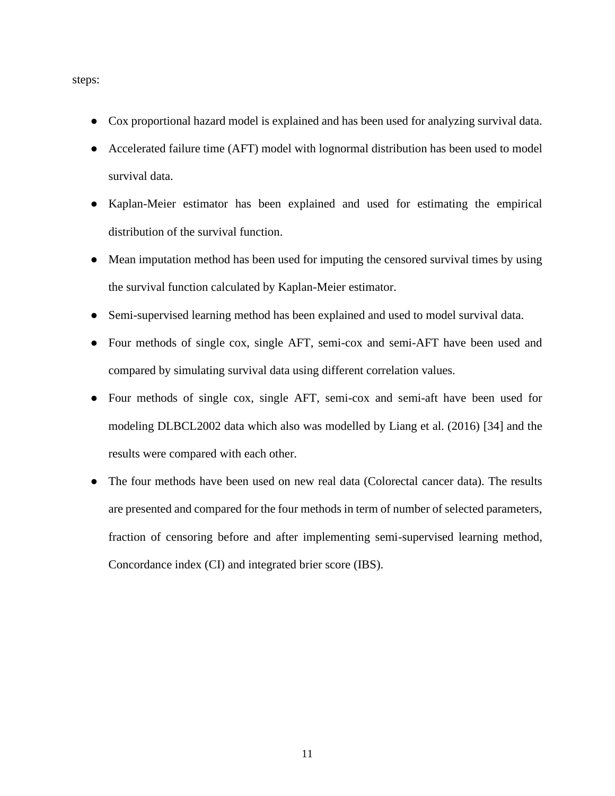steps:

- Cox proportional hazard model is explained and has been used for analyzing survival data.
- Accelerated failure time (AFT) model with lognormal distribution has been used to model survival data.
- Kaplan-Meier estimator has been explained and used for estimating the empirical distribution of the survival function.
- Mean imputation method has been used for imputing the censored survival times by using the survival function calculated by Kaplan-Meier estimator.
- Semi-supervised learning method has been explained and used to model survival data.
- Four methods of single cox, single AFT, semi-cox and semi-AFT have been used and compared by simulating survival data using different correlation values.
- Four methods of single cox, single AFT, semi-cox and semi-aft have been used for modeling DLBCL2002 data which also was modelled by Liang et al. (2016) [34] and the results were compared with each other.
- The four methods have been used on new real data (Colorectal cancer data). The results are presented and compared for the four methods in term of number of selected parameters, fraction of censoring before and after implementing semi-supervised learning method, Concordance index (CI) and integrated brier score (IBS).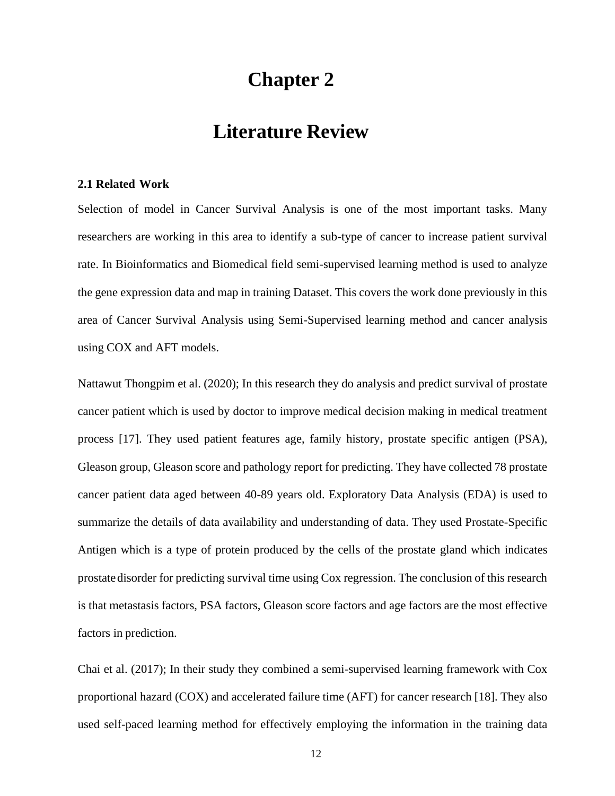## **Chapter 2**

### **Literature Review**

#### **2.1 Related Work**

Selection of model in Cancer Survival Analysis is one of the most important tasks. Many researchers are working in this area to identify a sub-type of cancer to increase patient survival rate. In Bioinformatics and Biomedical field semi-supervised learning method is used to analyze the gene expression data and map in training Dataset. This covers the work done previously in this area of Cancer Survival Analysis using Semi-Supervised learning method and cancer analysis using COX and AFT models.

Nattawut Thongpim et al. (2020); In this research they do analysis and predict survival of prostate cancer patient which is used by doctor to improve medical decision making in medical treatment process [17]. They used patient features age, family history, prostate specific antigen (PSA), Gleason group, Gleason score and pathology report for predicting. They have collected 78 prostate cancer patient data aged between 40-89 years old. Exploratory Data Analysis (EDA) is used to summarize the details of data availability and understanding of data. They used Prostate-Specific Antigen which is a type of protein produced by the cells of the prostate gland which indicates prostatedisorder for predicting survival time using Cox regression. The conclusion of this research is that metastasis factors, PSA factors, Gleason score factors and age factors are the most effective factors in prediction.

Chai et al. (2017); In their study they combined a semi-supervised learning framework with Cox proportional hazard (COX) and accelerated failure time (AFT) for cancer research [18]. They also used self-paced learning method for effectively employing the information in the training data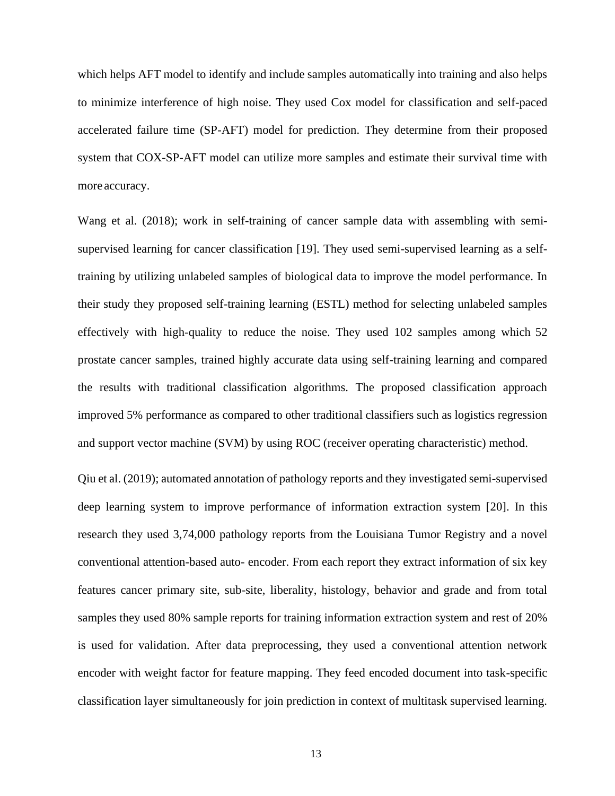which helps AFT model to identify and include samples automatically into training and also helps to minimize interference of high noise. They used Cox model for classification and self-paced accelerated failure time (SP-AFT) model for prediction. They determine from their proposed system that COX-SP-AFT model can utilize more samples and estimate their survival time with more accuracy.

Wang et al. (2018); work in self-training of cancer sample data with assembling with semisupervised learning for cancer classification [19]. They used semi-supervised learning as a selftraining by utilizing unlabeled samples of biological data to improve the model performance. In their study they proposed self-training learning (ESTL) method for selecting unlabeled samples effectively with high-quality to reduce the noise. They used 102 samples among which 52 prostate cancer samples, trained highly accurate data using self-training learning and compared the results with traditional classification algorithms. The proposed classification approach improved 5% performance as compared to other traditional classifiers such as logistics regression and support vector machine (SVM) by using ROC (receiver operating characteristic) method.

Qiu et al. (2019); automated annotation of pathology reports and they investigated semi-supervised deep learning system to improve performance of information extraction system [20]. In this research they used 3,74,000 pathology reports from the Louisiana Tumor Registry and a novel conventional attention-based auto- encoder. From each report they extract information of six key features cancer primary site, sub-site, liberality, histology, behavior and grade and from total samples they used 80% sample reports for training information extraction system and rest of 20% is used for validation. After data preprocessing, they used a conventional attention network encoder with weight factor for feature mapping. They feed encoded document into task-specific classification layer simultaneously for join prediction in context of multitask supervised learning.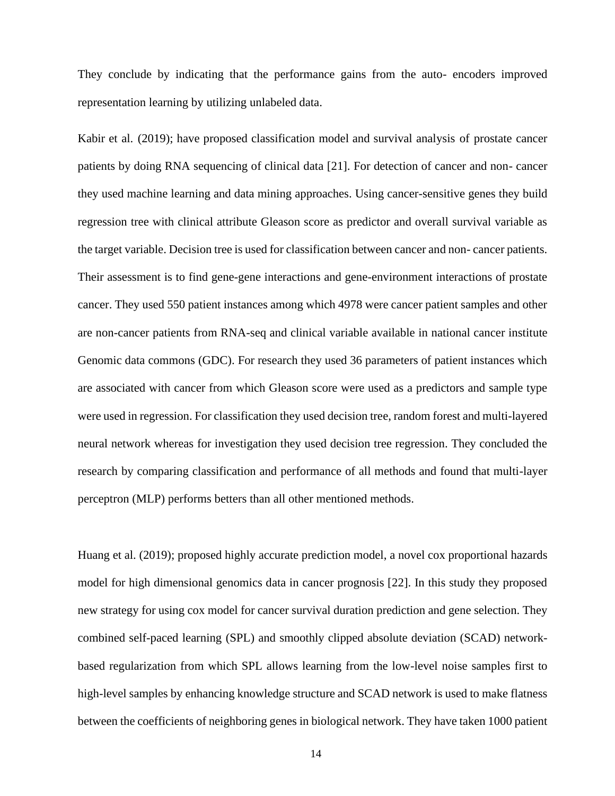They conclude by indicating that the performance gains from the auto- encoders improved representation learning by utilizing unlabeled data.

Kabir et al. (2019); have proposed classification model and survival analysis of prostate cancer patients by doing RNA sequencing of clinical data [21]. For detection of cancer and non- cancer they used machine learning and data mining approaches. Using cancer-sensitive genes they build regression tree with clinical attribute Gleason score as predictor and overall survival variable as the target variable. Decision tree is used for classification between cancer and non- cancer patients. Their assessment is to find gene-gene interactions and gene-environment interactions of prostate cancer. They used 550 patient instances among which 4978 were cancer patient samples and other are non-cancer patients from RNA-seq and clinical variable available in national cancer institute Genomic data commons (GDC). For research they used 36 parameters of patient instances which are associated with cancer from which Gleason score were used as a predictors and sample type were used in regression. For classification they used decision tree, random forest and multi-layered neural network whereas for investigation they used decision tree regression. They concluded the research by comparing classification and performance of all methods and found that multi-layer perceptron (MLP) performs betters than all other mentioned methods.

Huang et al. (2019); proposed highly accurate prediction model, a novel cox proportional hazards model for high dimensional genomics data in cancer prognosis [22]. In this study they proposed new strategy for using cox model for cancer survival duration prediction and gene selection. They combined self-paced learning (SPL) and smoothly clipped absolute deviation (SCAD) networkbased regularization from which SPL allows learning from the low-level noise samples first to high-level samples by enhancing knowledge structure and SCAD network is used to make flatness between the coefficients of neighboring genes in biological network. They have taken 1000 patient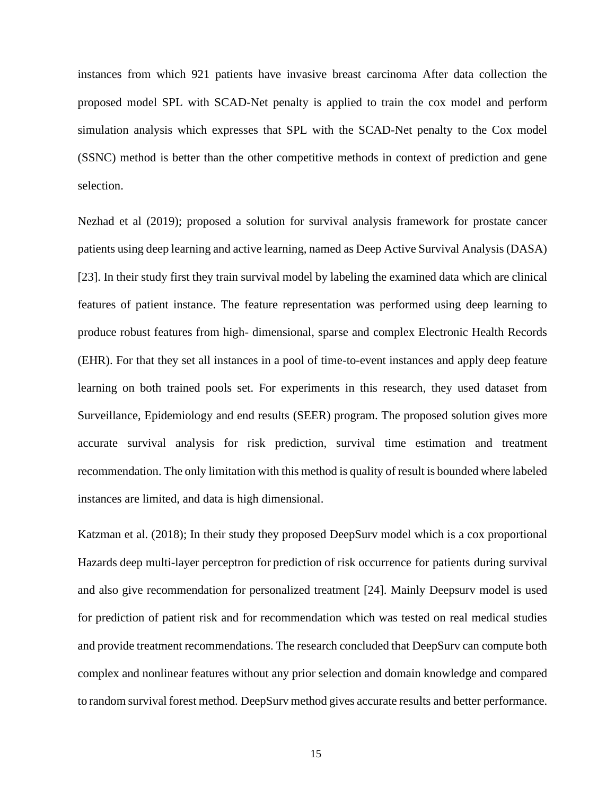instances from which 921 patients have invasive breast carcinoma After data collection the proposed model SPL with SCAD-Net penalty is applied to train the cox model and perform simulation analysis which expresses that SPL with the SCAD-Net penalty to the Cox model (SSNC) method is better than the other competitive methods in context of prediction and gene selection.

Nezhad et al (2019); proposed a solution for survival analysis framework for prostate cancer patients using deep learning and active learning, named as Deep Active Survival Analysis (DASA) [23]. In their study first they train survival model by labeling the examined data which are clinical features of patient instance. The feature representation was performed using deep learning to produce robust features from high- dimensional, sparse and complex Electronic Health Records (EHR). For that they set all instances in a pool of time-to-event instances and apply deep feature learning on both trained pools set. For experiments in this research, they used dataset from Surveillance, Epidemiology and end results (SEER) program. The proposed solution gives more accurate survival analysis for risk prediction, survival time estimation and treatment recommendation. The only limitation with this method is quality of result is bounded where labeled instances are limited, and data is high dimensional.

Katzman et al. (2018); In their study they proposed DeepSurv model which is a cox proportional Hazards deep multi-layer perceptron for prediction of risk occurrence for patients during survival and also give recommendation for personalized treatment [24]. Mainly Deepsurv model is used for prediction of patient risk and for recommendation which was tested on real medical studies and provide treatment recommendations. The research concluded that DeepSurv can compute both complex and nonlinear features without any prior selection and domain knowledge and compared to random survival forest method. DeepSurv method gives accurate results and better performance.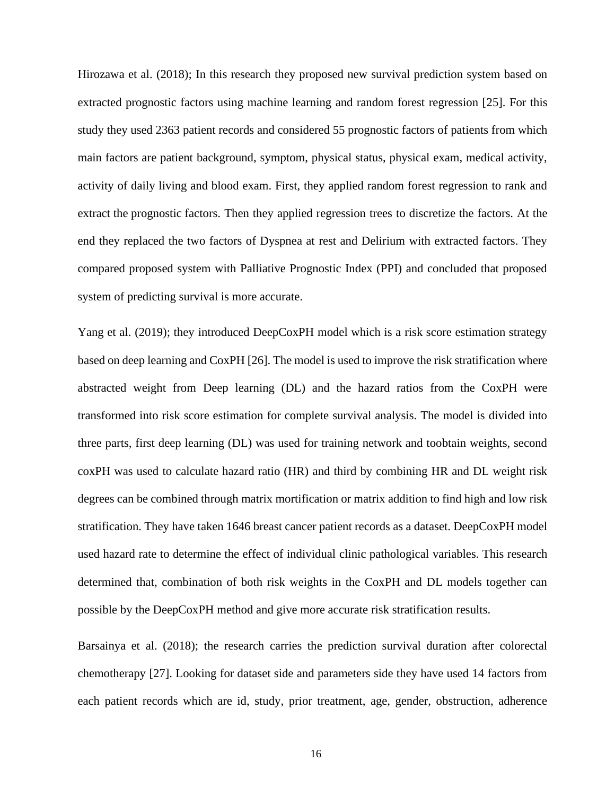Hirozawa et al. (2018); In this research they proposed new survival prediction system based on extracted prognostic factors using machine learning and random forest regression [25]. For this study they used 2363 patient records and considered 55 prognostic factors of patients from which main factors are patient background, symptom, physical status, physical exam, medical activity, activity of daily living and blood exam. First, they applied random forest regression to rank and extract the prognostic factors. Then they applied regression trees to discretize the factors. At the end they replaced the two factors of Dyspnea at rest and Delirium with extracted factors. They compared proposed system with Palliative Prognostic Index (PPI) and concluded that proposed system of predicting survival is more accurate.

Yang et al. (2019); they introduced DeepCoxPH model which is a risk score estimation strategy based on deep learning and CoxPH [26]. The model is used to improve the risk stratification where abstracted weight from Deep learning (DL) and the hazard ratios from the CoxPH were transformed into risk score estimation for complete survival analysis. The model is divided into three parts, first deep learning (DL) was used for training network and toobtain weights, second coxPH was used to calculate hazard ratio (HR) and third by combining HR and DL weight risk degrees can be combined through matrix mortification or matrix addition to find high and low risk stratification. They have taken 1646 breast cancer patient records as a dataset. DeepCoxPH model used hazard rate to determine the effect of individual clinic pathological variables. This research determined that, combination of both risk weights in the CoxPH and DL models together can possible by the DeepCoxPH method and give more accurate risk stratification results.

Barsainya et al. (2018); the research carries the prediction survival duration after colorectal chemotherapy [27]. Looking for dataset side and parameters side they have used 14 factors from each patient records which are id, study, prior treatment, age, gender, obstruction, adherence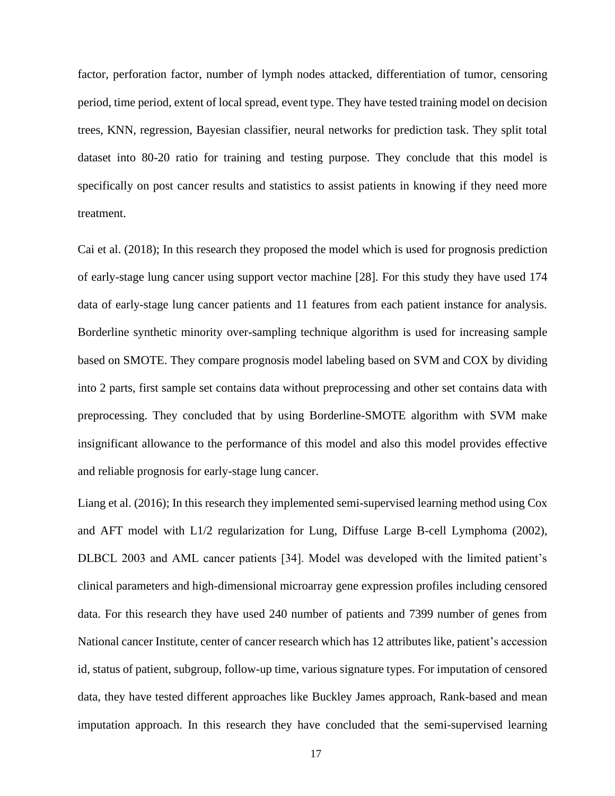factor, perforation factor, number of lymph nodes attacked, differentiation of tumor, censoring period, time period, extent of local spread, event type. They have tested training model on decision trees, KNN, regression, Bayesian classifier, neural networks for prediction task. They split total dataset into 80-20 ratio for training and testing purpose. They conclude that this model is specifically on post cancer results and statistics to assist patients in knowing if they need more treatment.

Cai et al. (2018); In this research they proposed the model which is used for prognosis prediction of early-stage lung cancer using support vector machine [28]. For this study they have used 174 data of early-stage lung cancer patients and 11 features from each patient instance for analysis. Borderline synthetic minority over-sampling technique algorithm is used for increasing sample based on SMOTE. They compare prognosis model labeling based on SVM and COX by dividing into 2 parts, first sample set contains data without preprocessing and other set contains data with preprocessing. They concluded that by using Borderline-SMOTE algorithm with SVM make insignificant allowance to the performance of this model and also this model provides effective and reliable prognosis for early-stage lung cancer.

Liang et al. (2016); In this research they implemented semi-supervised learning method using Cox and AFT model with L1/2 regularization for Lung, Diffuse Large B-cell Lymphoma (2002), DLBCL 2003 and AML cancer patients [34]. Model was developed with the limited patient's clinical parameters and high-dimensional microarray gene expression profiles including censored data. For this research they have used 240 number of patients and 7399 number of genes from National cancer Institute, center of cancer research which has 12 attributes like, patient's accession id, status of patient, subgroup, follow-up time, various signature types. For imputation of censored data, they have tested different approaches like Buckley James approach, Rank-based and mean imputation approach. In this research they have concluded that the semi-supervised learning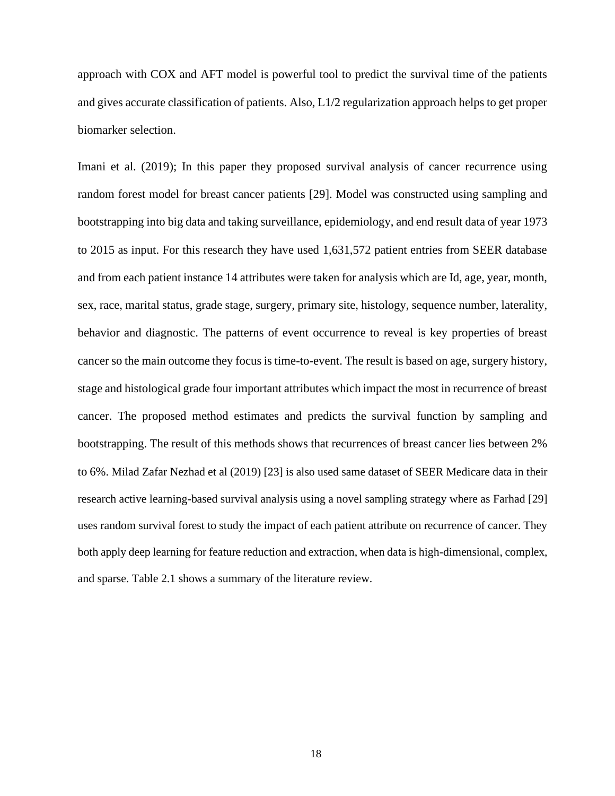approach with COX and AFT model is powerful tool to predict the survival time of the patients and gives accurate classification of patients. Also, L1/2 regularization approach helps to get proper biomarker selection.

Imani et al. (2019); In this paper they proposed survival analysis of cancer recurrence using random forest model for breast cancer patients [29]. Model was constructed using sampling and bootstrapping into big data and taking surveillance, epidemiology, and end result data of year 1973 to 2015 as input. For this research they have used 1,631,572 patient entries from SEER database and from each patient instance 14 attributes were taken for analysis which are Id, age, year, month, sex, race, marital status, grade stage, surgery, primary site, histology, sequence number, laterality, behavior and diagnostic. The patterns of event occurrence to reveal is key properties of breast cancer so the main outcome they focus is time-to-event. The result is based on age, surgery history, stage and histological grade four important attributes which impact the most in recurrence of breast cancer. The proposed method estimates and predicts the survival function by sampling and bootstrapping. The result of this methods shows that recurrences of breast cancer lies between 2% to 6%. Milad Zafar Nezhad et al (2019) [23] is also used same dataset of SEER Medicare data in their research active learning-based survival analysis using a novel sampling strategy where as Farhad [29] uses random survival forest to study the impact of each patient attribute on recurrence of cancer. They both apply deep learning for feature reduction and extraction, when data is high-dimensional, complex, and sparse. Table 2.1 shows a summary of the literature review.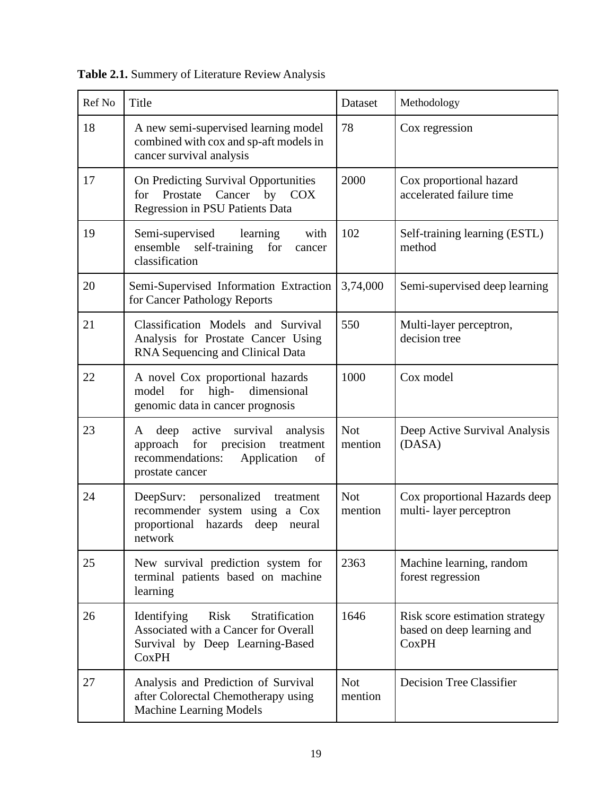| Ref No | Title                                                                                                                                                | Dataset               | Methodology                                                                  |
|--------|------------------------------------------------------------------------------------------------------------------------------------------------------|-----------------------|------------------------------------------------------------------------------|
| 18     | A new semi-supervised learning model<br>combined with cox and sp-aft models in<br>cancer survival analysis                                           | 78                    | Cox regression                                                               |
| 17     | On Predicting Survival Opportunities<br>for Prostate Cancer by<br><b>COX</b><br>Regression in PSU Patients Data                                      | 2000                  | Cox proportional hazard<br>accelerated failure time                          |
| 19     | Semi-supervised<br>with<br>learning<br>ensemble<br>self-training<br>for<br>cancer<br>classification                                                  | 102                   | Self-training learning (ESTL)<br>method                                      |
| 20     | Semi-Supervised Information Extraction<br>for Cancer Pathology Reports                                                                               | 3,74,000              | Semi-supervised deep learning                                                |
| 21     | Classification Models and Survival<br>Analysis for Prostate Cancer Using<br>RNA Sequencing and Clinical Data                                         | 550                   | Multi-layer perceptron,<br>decision tree                                     |
| 22     | A novel Cox proportional hazards<br>high-<br>dimensional<br>model<br>for<br>genomic data in cancer prognosis                                         | 1000                  | Cox model                                                                    |
| 23     | active<br>survival<br>deep<br>analysis<br>A<br>for<br>approach<br>precision<br>treatment<br>Application<br>recommendations:<br>of<br>prostate cancer | <b>Not</b><br>mention | Deep Active Survival Analysis<br>(DASA)                                      |
| 24     | personalized treatment<br>DeepSurv:<br>recommender system using a Cox<br>proportional<br>hazards<br>deep<br>neural<br>network                        | <b>Not</b><br>mention | Cox proportional Hazards deep<br>multi-layer perceptron                      |
| 25     | New survival prediction system for<br>terminal patients based on machine<br>learning                                                                 | 2363                  | Machine learning, random<br>forest regression                                |
| 26     | Risk<br>Stratification<br>Identifying<br>Associated with a Cancer for Overall<br>Survival by Deep Learning-Based<br><b>CoxPH</b>                     | 1646                  | Risk score estimation strategy<br>based on deep learning and<br><b>CoxPH</b> |
| 27     | Analysis and Prediction of Survival<br>after Colorectal Chemotherapy using<br>Machine Learning Models                                                | <b>Not</b><br>mention | <b>Decision Tree Classifier</b>                                              |

**Table 2.1.** Summery of Literature Review Analysis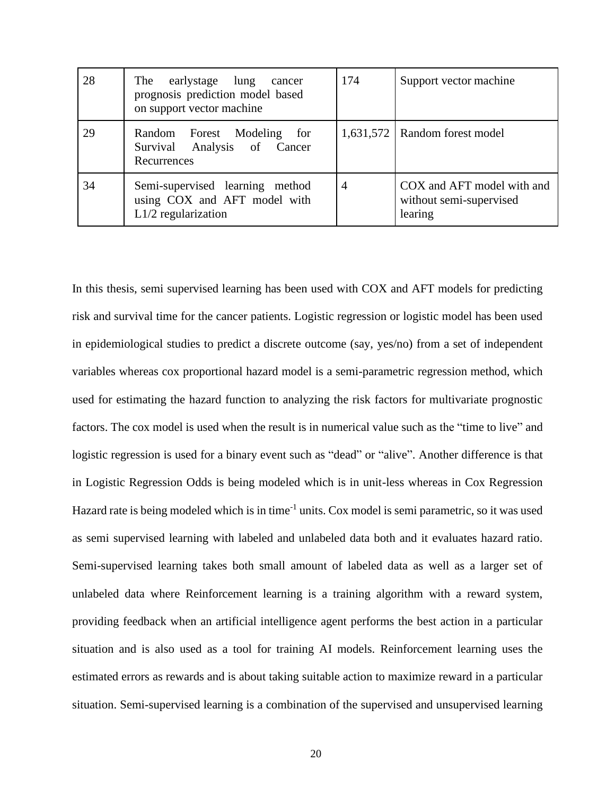| 28 | The earlystage lung<br>cancer<br>prognosis prediction model based<br>on support vector machine | 174            | Support vector machine                                           |
|----|------------------------------------------------------------------------------------------------|----------------|------------------------------------------------------------------|
| 29 | Random Forest Modeling for<br>Survival Analysis of Cancer<br>Recurrences                       |                | 1,631,572   Random forest model                                  |
| 34 | Semi-supervised learning method<br>using COX and AFT model with<br>$L1/2$ regularization       | $\overline{4}$ | COX and AFT model with and<br>without semi-supervised<br>learing |

In this thesis, semi supervised learning has been used with COX and AFT models for predicting risk and survival time for the cancer patients. Logistic regression or logistic model has been used in epidemiological studies to predict a discrete outcome (say, yes/no) from a set of independent variables whereas cox proportional hazard model is a semi-parametric regression method, which used for estimating the hazard function to analyzing the risk factors for multivariate prognostic factors. The cox model is used when the result is in numerical value such as the "time to live" and logistic regression is used for a binary event such as "dead" or "alive". Another difference is that in Logistic Regression Odds is being modeled which is in unit-less whereas in Cox Regression Hazard rate is being modeled which is in time<sup>-1</sup> units. Cox model is semi parametric, so it was used as semi supervised learning with labeled and unlabeled data both and it evaluates hazard ratio. Semi-supervised learning takes both small amount of labeled data as well as a larger set of unlabeled data where Reinforcement learning is a training algorithm with a reward system, providing feedback when an artificial intelligence agent performs the best action in a particular situation and is also used as a tool for training AI models. Reinforcement learning uses the estimated errors as rewards and is about taking suitable action to maximize reward in a particular situation. Semi-supervised learning is a combination of the supervised and unsupervised learning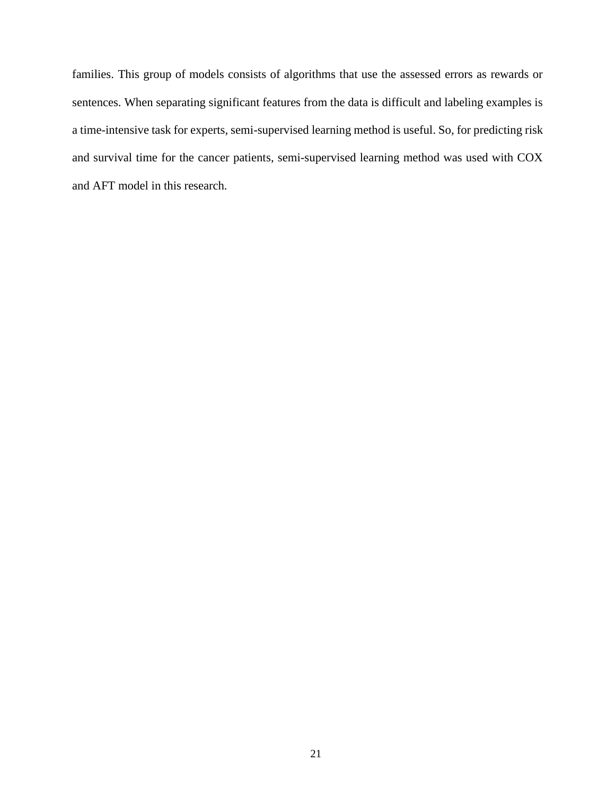families. This group of models consists of algorithms that use the assessed errors as rewards or sentences. When separating significant features from the data is difficult and labeling examples is a time-intensive task for experts, semi-supervised learning method is useful. So, for predicting risk and survival time for the cancer patients, semi-supervised learning method was used with COX and AFT model in this research.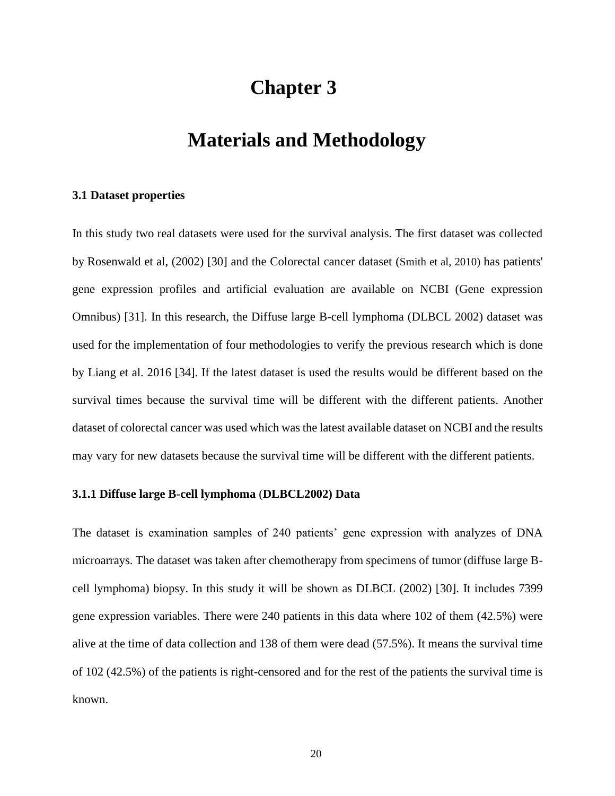## **Chapter 3**

### **Materials and Methodology**

#### **3.1 Dataset properties**

In this study two real datasets were used for the survival analysis. The first dataset was collected by Rosenwald et al, (2002) [30] and the Colorectal cancer dataset (Smith et al, 2010) has patients' gene expression profiles and artificial evaluation are available on NCBI (Gene expression Omnibus) [31]. In this research, the Diffuse large B-cell lymphoma (DLBCL 2002) dataset was used for the implementation of four methodologies to verify the previous research which is done by Liang et al. 2016 [34]. If the latest dataset is used the results would be different based on the survival times because the survival time will be different with the different patients. Another dataset of colorectal cancer was used which was the latest available dataset on NCBI and the results may vary for new datasets because the survival time will be different with the different patients.

#### **3.1.1 Diffuse large B-cell lymphoma** (**DLBCL2002) Data**

The dataset is examination samples of 240 patients' gene expression with analyzes of DNA microarrays. The dataset was taken after chemotherapy from specimens of tumor (diffuse large Bcell lymphoma) biopsy. In this study it will be shown as DLBCL (2002) [30]. It includes 7399 gene expression variables. There were 240 patients in this data where 102 of them (42.5%) were alive at the time of data collection and 138 of them were dead (57.5%). It means the survival time of 102 (42.5%) of the patients is right-censored and for the rest of the patients the survival time is known.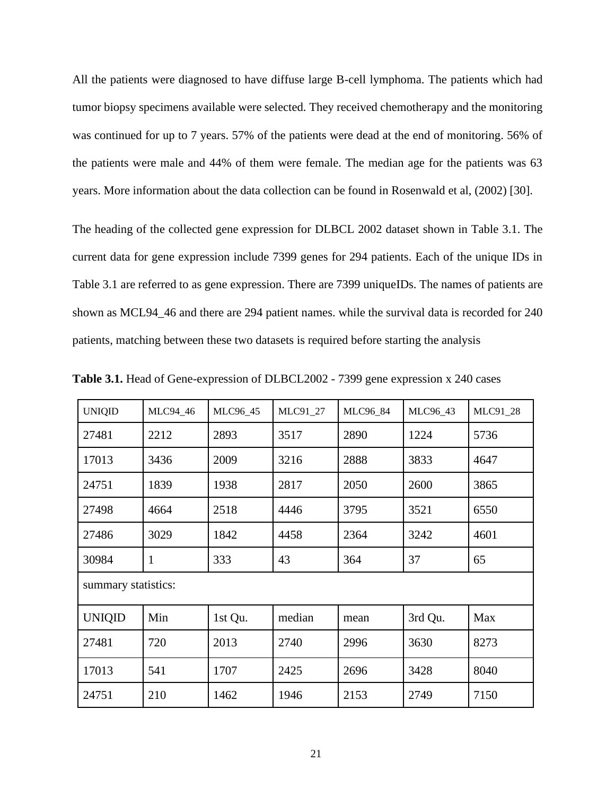All the patients were diagnosed to have diffuse large B-cell lymphoma. The patients which had tumor biopsy specimens available were selected. They received chemotherapy and the monitoring was continued for up to 7 years. 57% of the patients were dead at the end of monitoring. 56% of the patients were male and 44% of them were female. The median age for the patients was 63 years. More information about the data collection can be found in Rosenwald et al, (2002) [30].

The heading of the collected gene expression for DLBCL 2002 dataset shown in Table 3.1. The current data for gene expression include 7399 genes for 294 patients. Each of the unique IDs in Table 3.1 are referred to as gene expression. There are 7399 uniqueIDs. The names of patients are shown as MCL94\_46 and there are 294 patient names. while the survival data is recorded for 240 patients, matching between these two datasets is required before starting the analysis

| <b>UNIQID</b> | MLC94_46            | MLC96_45 | MLC91_27 | MLC96_84 | MLC96_43 | MLC91_28 |  |
|---------------|---------------------|----------|----------|----------|----------|----------|--|
| 27481         | 2212                | 2893     | 3517     | 2890     | 1224     | 5736     |  |
| 17013         | 3436                | 2009     | 3216     | 2888     | 3833     | 4647     |  |
| 24751         | 1839                | 1938     | 2817     | 2050     | 2600     | 3865     |  |
| 27498         | 4664                | 2518     | 4446     | 3795     | 3521     | 6550     |  |
| 27486         | 3029                | 1842     | 4458     | 2364     | 3242     | 4601     |  |
| 30984         | $\mathbf{1}$        | 333      | 43       | 364      | 37       | 65       |  |
|               | summary statistics: |          |          |          |          |          |  |
| <b>UNIQID</b> | Min                 | 1st Qu.  | median   | mean     | 3rd Qu.  | Max      |  |
| 27481         | 720                 | 2013     | 2740     | 2996     | 3630     | 8273     |  |
| 17013         | 541                 | 1707     | 2425     | 2696     | 3428     | 8040     |  |
| 24751         | 210                 | 1462     | 1946     | 2153     | 2749     | 7150     |  |

**Table 3.1.** Head of Gene-expression of DLBCL2002 - 7399 gene expression x 240 cases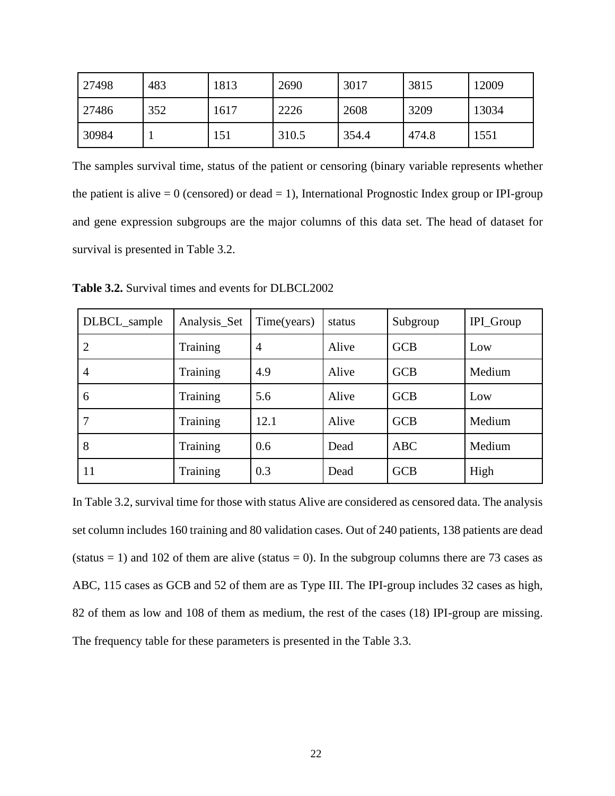| 27498 | 483 | 1813 | 2690  | 3017  | 3815  | 12009 |
|-------|-----|------|-------|-------|-------|-------|
| 27486 | 352 | 1617 | 2226  | 2608  | 3209  | 13034 |
| 30984 |     | 151  | 310.5 | 354.4 | 474.8 | 1551  |

The samples survival time, status of the patient or censoring (binary variable represents whether the patient is alive  $= 0$  (censored) or dead  $= 1$ ), International Prognostic Index group or IPI-group and gene expression subgroups are the major columns of this data set. The head of dataset for survival is presented in Table 3.2.

DLBCL\_sample Analysis\_Set Time(years) status Subgroup IPI\_Group 2 Training 4 Alive GCB Low 4 Training 4.9 Alive GCB Medium 6 Training 5.6 Alive GCB Low 7 | Training | 12.1 | Alive | GCB | Medium 8 | Training | 0.6 | Dead | ABC | Medium 11 Training 0.3 Dead GCB High

**Table 3.2.** Survival times and events for DLBCL2002

In Table 3.2, survival time for those with status Alive are considered as censored data. The analysis set column includes 160 training and 80 validation cases. Out of 240 patients, 138 patients are dead (status = 1) and 102 of them are alive (status = 0). In the subgroup columns there are 73 cases as ABC, 115 cases as GCB and 52 of them are as Type III. The IPI-group includes 32 cases as high, 82 of them as low and 108 of them as medium, the rest of the cases (18) IPI-group are missing. The frequency table for these parameters is presented in the Table 3.3.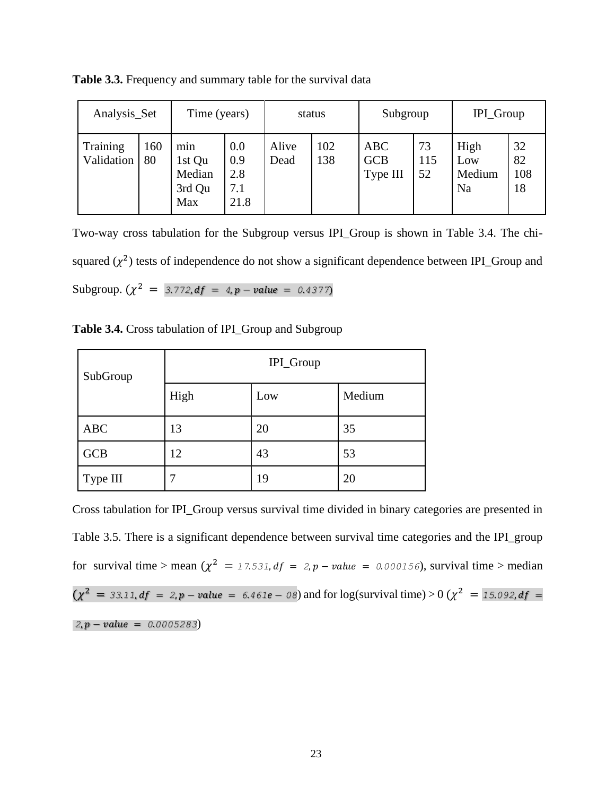| Analysis_Set           |           | Time (years)                             |                                  | status        |            | Subgroup                             |                 | IPI_Group                               |                       |
|------------------------|-----------|------------------------------------------|----------------------------------|---------------|------------|--------------------------------------|-----------------|-----------------------------------------|-----------------------|
| Training<br>Validation | 160<br>80 | min<br>1st Qu<br>Median<br>3rd Qu<br>Max | 0.0<br>0.9<br>2.8<br>7.1<br>21.8 | Alive<br>Dead | 102<br>138 | <b>ABC</b><br><b>GCB</b><br>Type III | 73<br>115<br>52 | High<br>Low<br>Medium<br>N <sub>a</sub> | 32<br>82<br>108<br>18 |

**Table 3.3.** Frequency and summary table for the survival data

Two-way cross tabulation for the Subgroup versus IPI\_Group is shown in Table 3.4. The chisquared  $(\chi^2)$  tests of independence do not show a significant dependence between IPI\_Group and  $\text{Subgroup.} \left(\chi^2\right) = 3.772, df = 4, p-value = 0.4377$ 

**Table 3.4.** Cross tabulation of IPI\_Group and Subgroup

| SubGroup   | IPI_Group |     |        |  |  |  |
|------------|-----------|-----|--------|--|--|--|
|            | High      | Low | Medium |  |  |  |
| <b>ABC</b> | 13        | 20  | 35     |  |  |  |
| <b>GCB</b> | 12        | 43  | 53     |  |  |  |
| Type III   | 7         | 19  | 20     |  |  |  |

Cross tabulation for IPI\_Group versus survival time divided in binary categories are presented in Table 3.5. There is a significant dependence between survival time categories and the IPI\_group for survival time > mean  $(\chi^2 = 17.531, df = 2, p - value = 0.000156)$ , survival time > median  $(\chi^2 = 33.11, df = 2, p-value = 6.461e - 08)$  and for log(survival time) > 0 ( $\chi^2 = 15.092, df =$  $2, p - value = 0.0005283$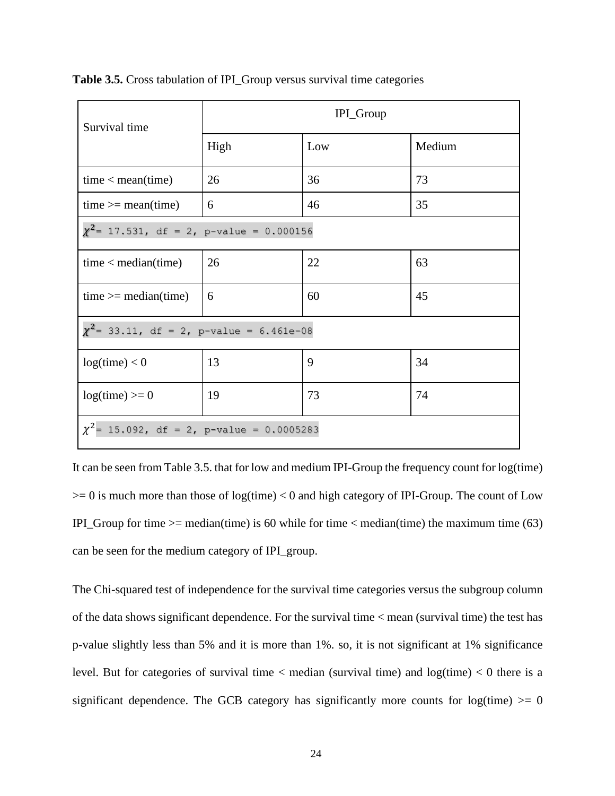| Survival time                                  | IPI_Group |     |        |  |  |  |
|------------------------------------------------|-----------|-----|--------|--|--|--|
|                                                | High      | Low | Medium |  |  |  |
| time < mean(time)                              | 26        | 36  | 73     |  |  |  |
| $time \geq mean$ (time)                        | 6         | 46  | 35     |  |  |  |
| $\chi^2$ = 17.531, df = 2, p-value = 0.000156  |           |     |        |  |  |  |
| time < median(time)                            | 26        | 22  | 63     |  |  |  |
| $time \geq -median(time)$                      | 6         | 60  | 45     |  |  |  |
| $\chi^2$ = 33.11, df = 2, p-value = 6.461e-08  |           |     |        |  |  |  |
| log(time) < 0                                  | 13        | 9   | 34     |  |  |  |
| $log(time) \ge 0$                              | 19        | 73  | 74     |  |  |  |
| $\chi^2$ = 15.092, df = 2, p-value = 0.0005283 |           |     |        |  |  |  |

**Table 3.5.** Cross tabulation of IPI\_Group versus survival time categories

It can be seen from Table 3.5. that for low and medium IPI-Group the frequency count for log(time)  $>= 0$  is much more than those of log(time)  $< 0$  and high category of IPI-Group. The count of Low IPI\_Group for time  $>=$  median(time) is 60 while for time  $<$  median(time) the maximum time (63) can be seen for the medium category of IPI\_group.

The Chi-squared test of independence for the survival time categories versus the subgroup column of the data shows significant dependence. For the survival time < mean (survival time) the test has p-value slightly less than 5% and it is more than 1%. so, it is not significant at 1% significance level. But for categories of survival time  $\langle$  median (survival time) and log(time)  $\langle$  0 there is a significant dependence. The GCB category has significantly more counts for  $log(time) \ge 0$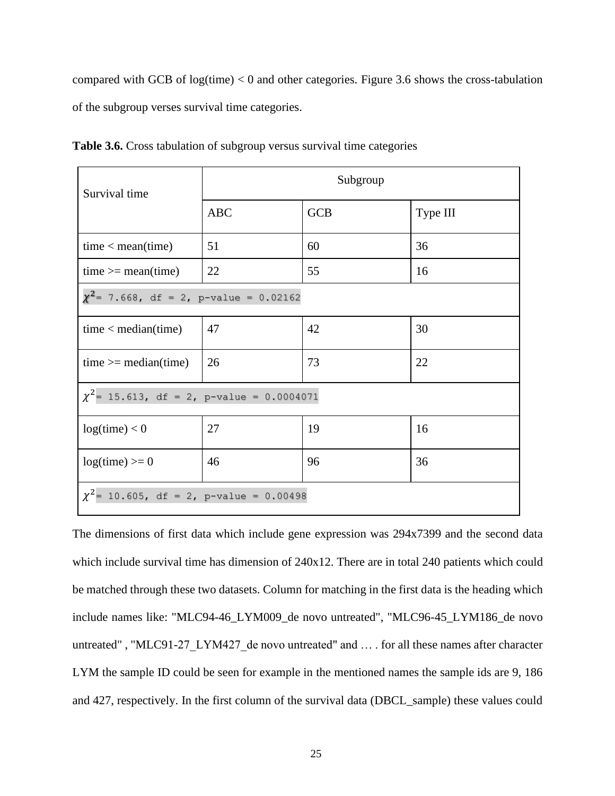compared with GCB of  $log(time) < 0$  and other categories. Figure 3.6 shows the cross-tabulation of the subgroup verses survival time categories.

| Survival time                                  | Subgroup   |            |          |  |  |  |
|------------------------------------------------|------------|------------|----------|--|--|--|
|                                                | <b>ABC</b> | <b>GCB</b> | Type III |  |  |  |
| time < mean(time)                              | 51         | 60         | 36       |  |  |  |
| $time \geq mean$ (time)                        | 22         | 55         | 16       |  |  |  |
| $\chi^2$ = 7.668, df = 2, p-value = 0.02162    |            |            |          |  |  |  |
| time < median(time)                            | 47         | 42         | 30       |  |  |  |
| $time \geq -median(time)$                      | 26         | 73         | 22       |  |  |  |
| $\chi^2$ = 15.613, df = 2, p-value = 0.0004071 |            |            |          |  |  |  |
| log(time) < 0                                  | 27         | 19         | 16       |  |  |  |
| $log(time) \ge 0$                              | 46         | 96         | 36       |  |  |  |
| $\chi^2$ = 10.605, df = 2, p-value = 0.00498   |            |            |          |  |  |  |

**Table 3.6.** Cross tabulation of subgroup versus survival time categories

The dimensions of first data which include gene expression was 294x7399 and the second data which include survival time has dimension of  $240x12$ . There are in total 240 patients which could be matched through these two datasets. Column for matching in the first data is the heading which include names like: "MLC94-46\_LYM009\_de novo untreated", "MLC96-45\_LYM186\_de novo untreated", "MLC91-27 LYM427 de novo untreated" and ... . for all these names after character LYM the sample ID could be seen for example in the mentioned names the sample ids are 9, 186 and 427, respectively. In the first column of the survival data (DBCL\_sample) these values could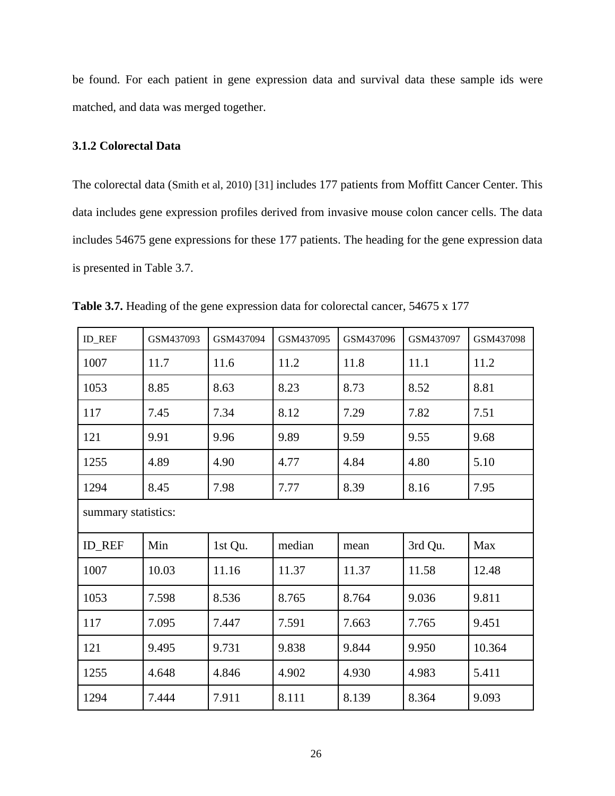be found. For each patient in gene expression data and survival data these sample ids were matched, and data was merged together.

# **3.1.2 Colorectal Data**

The colorectal data (Smith et al, 2010) [31] includes 177 patients from Moffitt Cancer Center. This data includes gene expression profiles derived from invasive mouse colon cancer cells. The data includes 54675 gene expressions for these 177 patients. The heading for the gene expression data is presented in Table 3.7.

| <b>ID_REF</b>       | GSM437093 | GSM437094 | GSM437095 | GSM437096 | GSM437097 | GSM437098 |
|---------------------|-----------|-----------|-----------|-----------|-----------|-----------|
| 1007                | 11.7      | 11.6      | 11.2      | 11.8      | 11.1      | 11.2      |
| 1053                | 8.85      | 8.63      | 8.23      | 8.73      | 8.52      | 8.81      |
| 117                 | 7.45      | 7.34      | 8.12      | 7.29      | 7.82      | 7.51      |
| 121                 | 9.91      | 9.96      | 9.89      | 9.59      | 9.55      | 9.68      |
| 1255                | 4.89      | 4.90      | 4.77      | 4.84      | 4.80      | 5.10      |
| 1294                | 8.45      | 7.98      | 7.77      | 8.39      | 8.16      | 7.95      |
| summary statistics: |           |           |           |           |           |           |
| <b>ID_REF</b>       | Min       | 1st Qu.   | median    | mean      | 3rd Qu.   | Max       |
| 1007                | 10.03     | 11.16     | 11.37     | 11.37     | 11.58     | 12.48     |
| 1053                | 7.598     | 8.536     | 8.765     | 8.764     | 9.036     | 9.811     |
| 117                 | 7.095     | 7.447     | 7.591     | 7.663     | 7.765     | 9.451     |
| 121                 | 9.495     | 9.731     | 9.838     | 9.844     | 9.950     | 10.364    |
| 1255                | 4.648     | 4.846     | 4.902     | 4.930     | 4.983     | 5.411     |
| 1294                | 7.444     | 7.911     | 8.111     | 8.139     | 8.364     | 9.093     |

**Table 3.7.** Heading of the gene expression data for colorectal cancer, 54675 x 177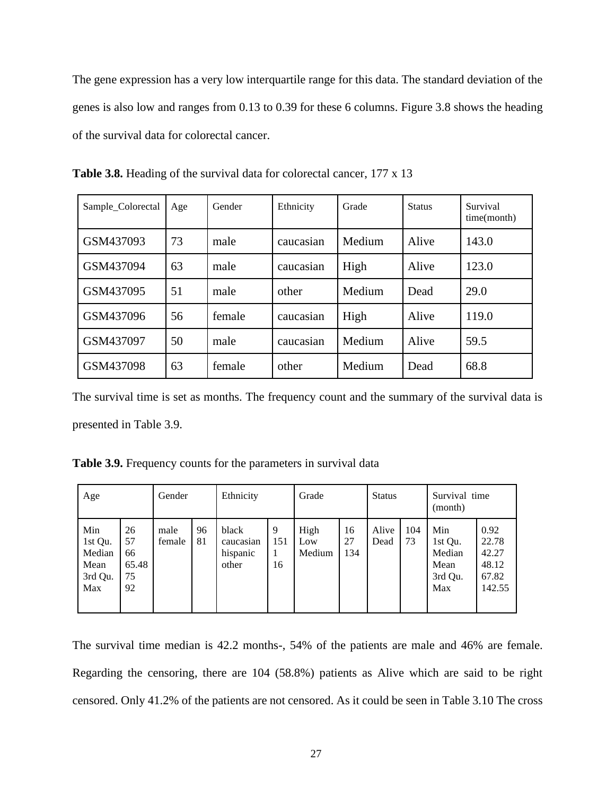The gene expression has a very low interquartile range for this data. The standard deviation of the genes is also low and ranges from 0.13 to 0.39 for these 6 columns. Figure 3.8 shows the heading of the survival data for colorectal cancer.

| Sample_Colorectal | Age | Gender | Ethnicity | Grade  | <b>Status</b> | Survival<br>time(month) |
|-------------------|-----|--------|-----------|--------|---------------|-------------------------|
| GSM437093         | 73  | male   | caucasian | Medium | Alive         | 143.0                   |
| GSM437094         | 63  | male   | caucasian | High   | Alive         | 123.0                   |
| GSM437095         | 51  | male   | other     | Medium | Dead          | 29.0                    |
| GSM437096         | 56  | female | caucasian | High   | Alive         | 119.0                   |
| GSM437097         | 50  | male   | caucasian | Medium | Alive         | 59.5                    |
| GSM437098         | 63  | female | other     | Medium | Dead          | 68.8                    |

**Table 3.8.** Heading of the survival data for colorectal cancer, 177 x 13

The survival time is set as months. The frequency count and the summary of the survival data is presented in Table 3.9.

**Table 3.9.** Frequency counts for the parameters in survival data

| Age                                                |                                     | Gender         |          | Ethnicity                               |                | Grade                 |                 | <b>Status</b> |           | Survival time<br>(month)                           |                                                    |
|----------------------------------------------------|-------------------------------------|----------------|----------|-----------------------------------------|----------------|-----------------------|-----------------|---------------|-----------|----------------------------------------------------|----------------------------------------------------|
| Min<br>1st Qu.<br>Median<br>Mean<br>3rd Qu.<br>Max | 26<br>57<br>66<br>65.48<br>75<br>92 | male<br>female | 96<br>81 | black<br>caucasian<br>hispanic<br>other | 9<br>151<br>16 | High<br>Low<br>Medium | 16<br>27<br>134 | Alive<br>Dead | 104<br>73 | Min<br>1st Qu.<br>Median<br>Mean<br>3rd Qu.<br>Max | 0.92<br>22.78<br>42.27<br>48.12<br>67.82<br>142.55 |

The survival time median is 42.2 months-, 54% of the patients are male and 46% are female. Regarding the censoring, there are 104 (58.8%) patients as Alive which are said to be right censored. Only 41.2% of the patients are not censored. As it could be seen in Table 3.10 The cross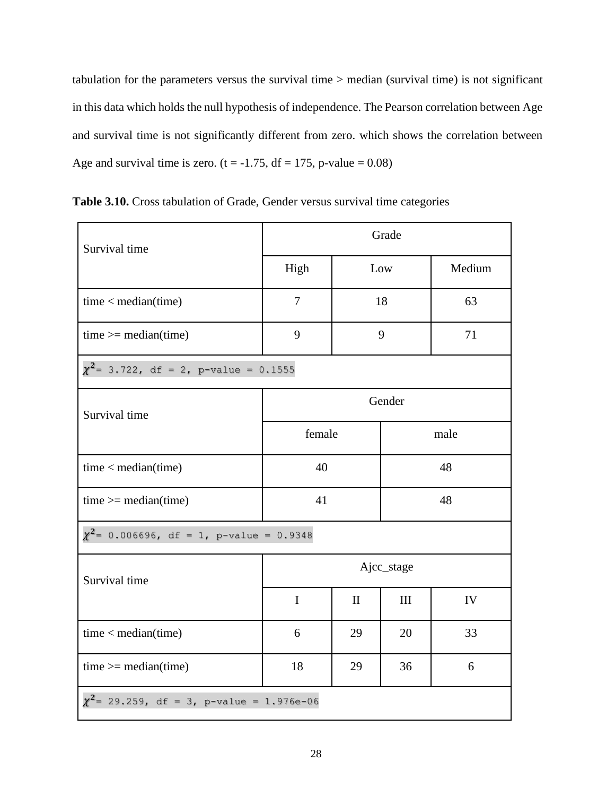tabulation for the parameters versus the survival time > median (survival time) is not significant in this data which holds the null hypothesis of independence. The Pearson correlation between Age and survival time is not significantly different from zero. which shows the correlation between Age and survival time is zero. ( $t = -1.75$ ,  $df = 175$ , p-value = 0.08)

| Survival time                                  | Grade       |              |        |        |  |  |
|------------------------------------------------|-------------|--------------|--------|--------|--|--|
|                                                | High        |              | Low    | Medium |  |  |
| time < median(time)                            | 7           | 18           |        | 63     |  |  |
| $time \ge = median(time)$                      | 9           | 9            |        | 71     |  |  |
| $\chi^2$ = 3.722, df = 2, p-value = 0.1555     |             |              |        |        |  |  |
| Survival time                                  |             |              | Gender |        |  |  |
|                                                | female      |              | male   |        |  |  |
| time < median(time)                            | 40          |              |        | 48     |  |  |
| $time \ge = median(time)$                      | 41          |              |        | 48     |  |  |
| $\chi^2$ = 0.006696, df = 1, p-value = 0.9348  |             |              |        |        |  |  |
| Survival time                                  | Ajcc_stage  |              |        |        |  |  |
|                                                | $\mathbf I$ | $\mathbf{I}$ | III    | IV     |  |  |
| time < median(time)                            | 6           | 29           | 20     | 33     |  |  |
| $time \ge = median(time)$                      | 18          | 29           | 36     | 6      |  |  |
| $\chi^2$ = 29.259, df = 3, p-value = 1.976e-06 |             |              |        |        |  |  |

**Table 3.10.** Cross tabulation of Grade, Gender versus survival time categories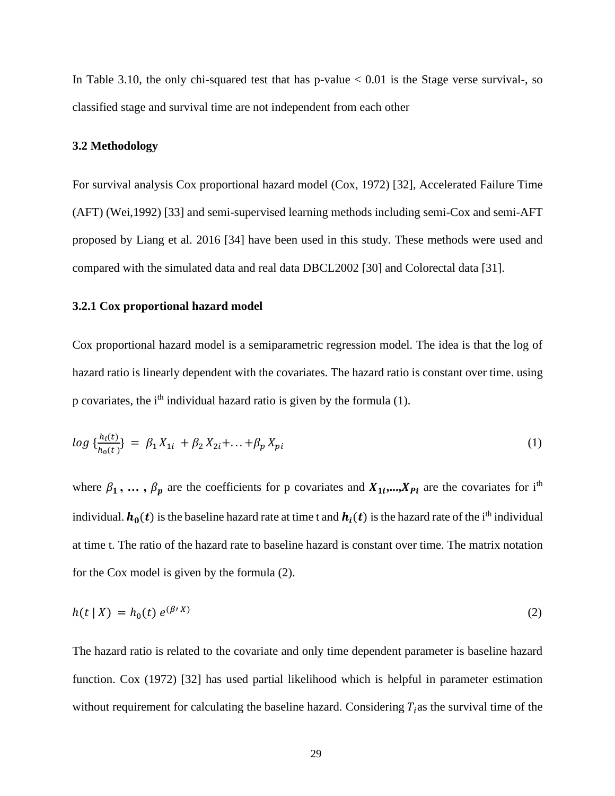In Table 3.10, the only chi-squared test that has p-value  $< 0.01$  is the Stage verse survival-, so classified stage and survival time are not independent from each other

## **3.2 Methodology**

For survival analysis Cox proportional hazard model (Cox, 1972) [32], Accelerated Failure Time (AFT) (Wei,1992) [33] and semi-supervised learning methods including semi-Cox and semi-AFT proposed by Liang et al. 2016 [34] have been used in this study. These methods were used and compared with the simulated data and real data DBCL2002 [30] and Colorectal data [31].

# **3.2.1 Cox proportional hazard model**

Cox proportional hazard model is a semiparametric regression model. The idea is that the log of hazard ratio is linearly dependent with the covariates. The hazard ratio is constant over time. using p covariates, the ith individual hazard ratio is given by the formula (1).

$$
log\ \{\frac{h_i(t)}{h_0(t)}\} = \beta_1 X_{1i} + \beta_2 X_{2i} + \dots + \beta_p X_{pi} \tag{1}
$$

where  $\beta_1, \ldots, \beta_p$  are the coefficients for p covariates and  $X_{1i}, \ldots, X_{Pi}$  are the covariates for i<sup>th</sup> individual.  $h_0(t)$  is the baseline hazard rate at time t and  $h_i(t)$  is the hazard rate of the i<sup>th</sup> individual at time t. The ratio of the hazard rate to baseline hazard is constant over time. The matrix notation for the Cox model is given by the formula (2).

$$
h(t \mid X) = h_0(t) e^{(\beta' X)} \tag{2}
$$

The hazard ratio is related to the covariate and only time dependent parameter is baseline hazard function. Cox (1972) [32] has used partial likelihood which is helpful in parameter estimation without requirement for calculating the baseline hazard. Considering  $T_i$  as the survival time of the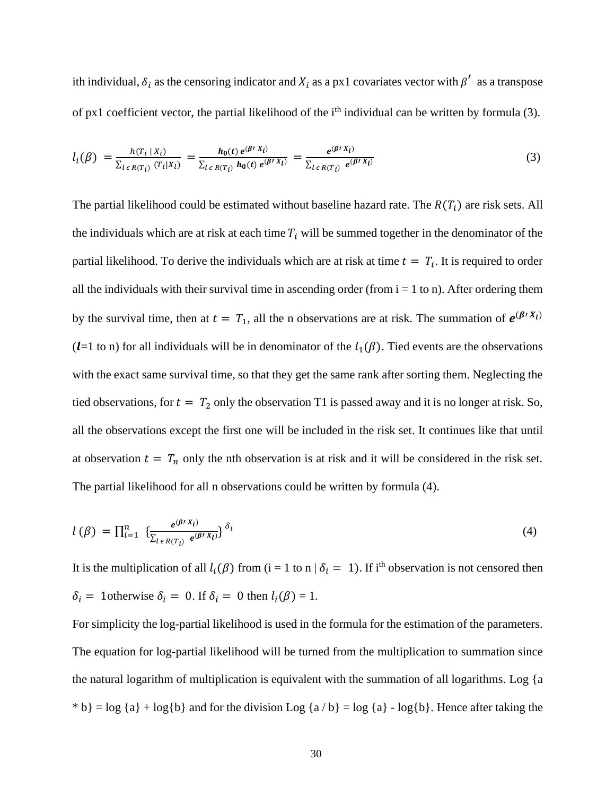ith individual,  $\delta_i$  as the censoring indicator and  $X_i$  as a px1 covariates vector with  $\beta'$  as a transpose of px1 coefficient vector, the partial likelihood of the i<sup>th</sup> individual can be written by formula (3).

$$
l_i(\beta) = \frac{h(T_i \mid X_i)}{\sum_{l \in R(T_i)} (T_i \mid X_l)} = \frac{h_0(t) e^{(\beta \mid X_i)}}{\sum_{l \in R(T_i)} h_0(t) e^{(\beta \mid X_l)}} = \frac{e^{(\beta \mid X_i)}}{\sum_{l \in R(T_i)} e^{(\beta \mid X_l)}} \tag{3}
$$

The partial likelihood could be estimated without baseline hazard rate. The  $R(T_i)$  are risk sets. All the individuals which are at risk at each time  $T_i$  will be summed together in the denominator of the partial likelihood. To derive the individuals which are at risk at time  $t = T_i$ . It is required to order all the individuals with their survival time in ascending order (from  $i = 1$  to n). After ordering them by the survival time, then at  $t = T_1$ , all the n observations are at risk. The summation of  $e^{(\beta \cdot X_l)}$ ( $l=1$  to n) for all individuals will be in denominator of the  $l_1(\beta)$ . Tied events are the observations with the exact same survival time, so that they get the same rank after sorting them. Neglecting the tied observations, for  $t = T_2$  only the observation T1 is passed away and it is no longer at risk. So, all the observations except the first one will be included in the risk set. It continues like that until at observation  $t = T_n$  only the nth observation is at risk and it will be considered in the risk set. The partial likelihood for all n observations could be written by formula (4).

$$
l(\beta) = \prod_{i=1}^{n} \left\{ \frac{e^{(\beta' X_i)}}{\sum_{l \in R(T_i)} e^{(\beta' X_l)}} \right\}^{\delta_i}
$$
 (4)

It is the multiplication of all  $l_i(\beta)$  from (i = 1 to n |  $\delta_i = 1$ ). If i<sup>th</sup> observation is not censored then  $\delta_i = 1$ otherwise  $\delta_i = 0$ . If  $\delta_i = 0$  then  $l_i(\beta) = 1$ .

For simplicity the log-partial likelihood is used in the formula for the estimation of the parameters. The equation for log-partial likelihood will be turned from the multiplication to summation since the natural logarithm of multiplication is equivalent with the summation of all logarithms. Log {a \* b} = log {a} + log{b} and for the division Log {a / b} = log {a} - log{b}. Hence after taking the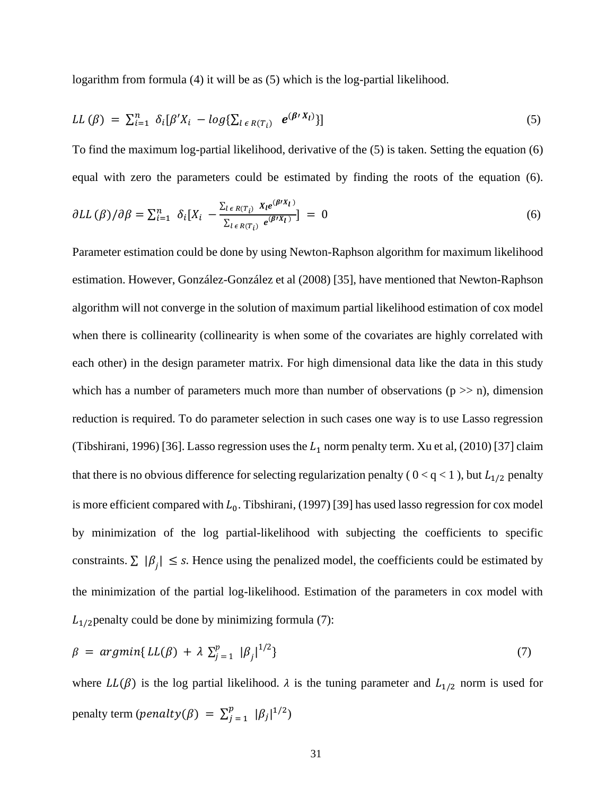logarithm from formula (4) it will be as (5) which is the log-partial likelihood.

$$
LL(\beta) = \sum_{i=1}^{n} \delta_i[\beta'X_i - log\{\sum_{l \in R(T_i)} e^{(\beta'X_l)}\}]
$$
\n
$$
(5)
$$

To find the maximum log-partial likelihood, derivative of the (5) is taken. Setting the equation (6) equal with zero the parameters could be estimated by finding the roots of the equation (6).

$$
\partial LL(\beta)/\partial \beta = \sum_{i=1}^n \delta_i [X_i - \frac{\sum_{l \in R(T_i)} X_l e^{(\beta X_l)}}{\sum_{l \in R(T_i)} e^{(\beta X_l)}}] = 0 \tag{6}
$$

Parameter estimation could be done by using Newton-Raphson algorithm for maximum likelihood estimation. However, González-González et al (2008) [35], have mentioned that Newton-Raphson algorithm will not converge in the solution of maximum partial likelihood estimation of cox model when there is collinearity (collinearity is when some of the covariates are highly correlated with each other) in the design parameter matrix. For high dimensional data like the data in this study which has a number of parameters much more than number of observations  $(p \gg n)$ , dimension reduction is required. To do parameter selection in such cases one way is to use Lasso regression (Tibshirani, 1996) [36]. Lasso regression uses the  $L_1$  norm penalty term. Xu et al, (2010) [37] claim that there is no obvious difference for selecting regularization penalty ( $0 < q < 1$ ), but  $L_{1/2}$  penalty is more efficient compared with  $L_0$ . Tibshirani, (1997) [39] has used lasso regression for cox model by minimization of the log partial-likelihood with subjecting the coefficients to specific constraints.  $\sum |\beta_j| \leq s$ . Hence using the penalized model, the coefficients could be estimated by the minimization of the partial log-likelihood. Estimation of the parameters in cox model with  $L_{1/2}$  penalty could be done by minimizing formula (7):

$$
\beta = argmin\{ LL(\beta) + \lambda \sum_{j=1}^{p} |\beta_j|^{1/2} \}
$$
\n(7)

where  $LL(\beta)$  is the log partial likelihood.  $\lambda$  is the tuning parameter and  $L_{1/2}$  norm is used for penalty term ( $penalty(\beta) = \sum_i^p$  $\int_{j=1}^{p} |\beta_j|^{1/2}$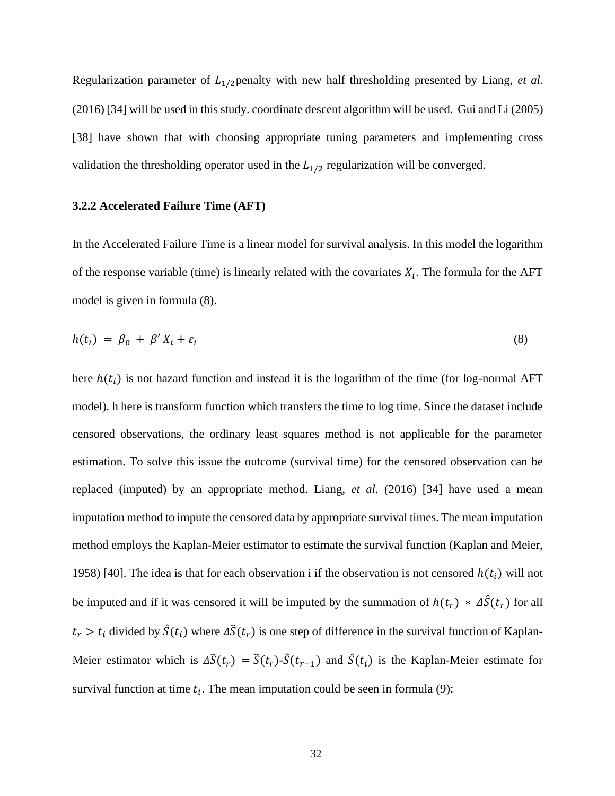Regularization parameter of  $L_{1/2}$  penalty with new half thresholding presented by Liang, *et al.* (2016) [34] will be used in this study. coordinate descent algorithm will be used. Gui and Li (2005) [38] have shown that with choosing appropriate tuning parameters and implementing cross validation the thresholding operator used in the  $L_{1/2}$  regularization will be converged.

## **3.2.2 Accelerated Failure Time (AFT)**

In the Accelerated Failure Time is a linear model for survival analysis. In this model the logarithm of the response variable (time) is linearly related with the covariates  $X_i$ . The formula for the AFT model is given in formula (8).

$$
h(t_i) = \beta_0 + \beta' X_i + \varepsilon_i \tag{8}
$$

here  $h(t_i)$  is not hazard function and instead it is the logarithm of the time (for log-normal AFT model). h here is transform function which transfers the time to log time. Since the dataset include censored observations, the ordinary least squares method is not applicable for the parameter estimation. To solve this issue the outcome (survival time) for the censored observation can be replaced (imputed) by an appropriate method. Liang, *et al.* (2016) [34] have used a mean imputation method to impute the censored data by appropriate survival times. The mean imputation method employs the Kaplan-Meier estimator to estimate the survival function (Kaplan and Meier, 1958) [40]. The idea is that for each observation i if the observation is not censored  $h(t_i)$  will not be imputed and if it was censored it will be imputed by the summation of  $h(t_r) * \Delta \hat{S}(t_r)$  for all  $t_r > t_i$  divided by  $\hat{S}(t_i)$  where  $\Delta \hat{S}(t_r)$  is one step of difference in the survival function of Kaplan-Meier estimator which is  $\Delta \hat{S}(t_r) = \hat{S}(t_r) \cdot \hat{S}(t_{r-1})$  and  $\hat{S}(t_i)$  is the Kaplan-Meier estimate for survival function at time  $t_i$ . The mean imputation could be seen in formula (9):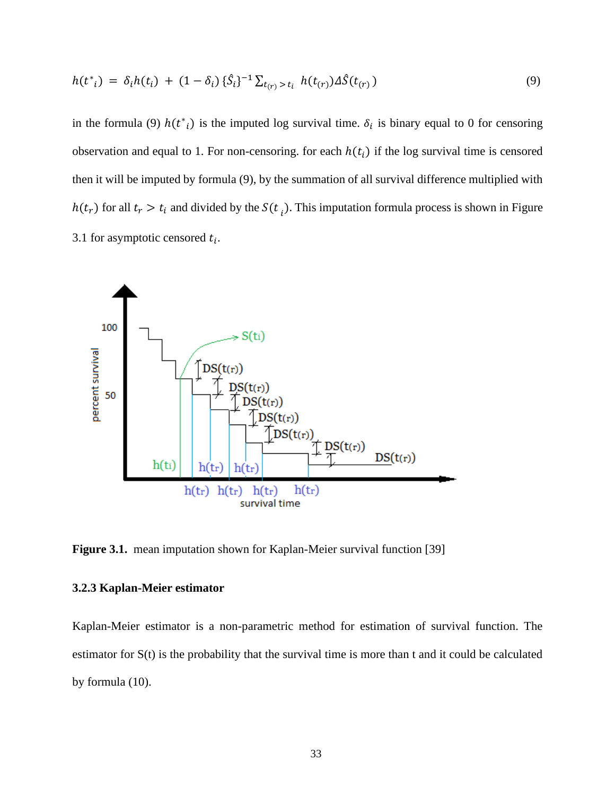$$
h(t^*) = \delta_i h(t_i) + (1 - \delta_i) \{\hat{S}_i\}^{-1} \sum_{t_{(r)} > t_i} h(t_{(r)}) \Delta \hat{S}(t_{(r)})
$$
\n(9)

in the formula (9)  $h(t^*_{i})$  is the imputed log survival time.  $\delta_i$  is binary equal to 0 for censoring observation and equal to 1. For non-censoring. for each  $h(t_i)$  if the log survival time is censored then it will be imputed by formula (9), by the summation of all survival difference multiplied with  $h(t_r)$  for all  $t_r > t_i$  and divided by the  $S(t_i)$ . This imputation formula process is shown in Figure 3.1 for asymptotic censored  $t_i$ .



**Figure 3.1.** mean imputation shown for Kaplan-Meier survival function [39]

# **3.2.3 Kaplan-Meier estimator**

Kaplan-Meier estimator is a non-parametric method for estimation of survival function. The estimator for S(t) is the probability that the survival time is more than t and it could be calculated by formula (10).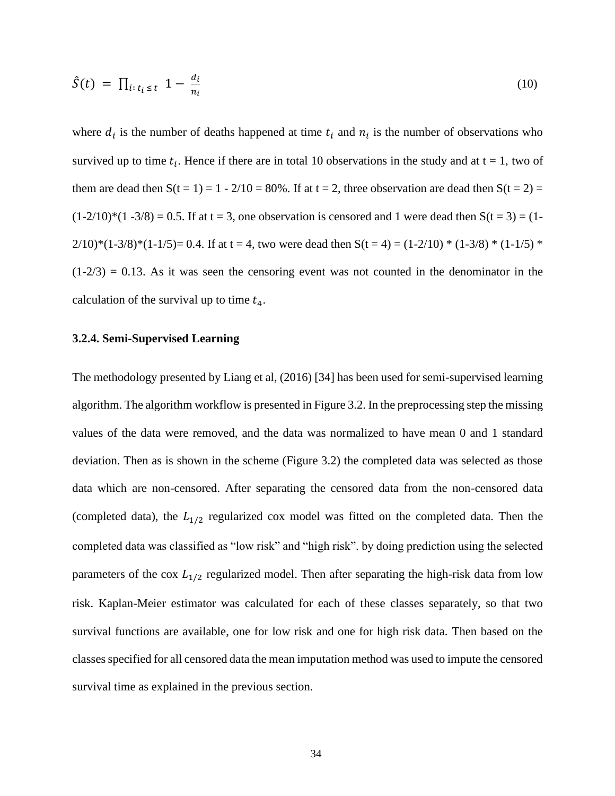$$
\hat{S}(t) = \prod_{i: t_i \le t} 1 - \frac{d_i}{n_i} \tag{10}
$$

where  $d_i$  is the number of deaths happened at time  $t_i$  and  $n_i$  is the number of observations who survived up to time  $t_i$ . Hence if there are in total 10 observations in the study and at  $t = 1$ , two of them are dead then  $S(t = 1) = 1 - 2/10 = 80\%$ . If at  $t = 2$ , three observation are dead then  $S(t = 2) =$  $(1-2/10)*(1-3/8) = 0.5$ . If at t = 3, one observation is censored and 1 were dead then  $S(t = 3) = (1 2/10$ <sup>\*</sup>(1-3/8)<sup>\*</sup>(1-1/5)= 0.4. If at t = 4, two were dead then S(t = 4) = (1-2/10) \* (1-3/8) \* (1-1/5) \*  $(1-2/3) = 0.13$ . As it was seen the censoring event was not counted in the denominator in the calculation of the survival up to time  $t_4$ .

#### **3.2.4. Semi-Supervised Learning**

The methodology presented by Liang et al, (2016) [34] has been used for semi-supervised learning algorithm. The algorithm workflow is presented in Figure 3.2. In the preprocessing step the missing values of the data were removed, and the data was normalized to have mean 0 and 1 standard deviation. Then as is shown in the scheme (Figure 3.2) the completed data was selected as those data which are non-censored. After separating the censored data from the non-censored data (completed data), the  $L_{1/2}$  regularized cox model was fitted on the completed data. Then the completed data was classified as "low risk" and "high risk". by doing prediction using the selected parameters of the cox  $L_{1/2}$  regularized model. Then after separating the high-risk data from low risk. Kaplan-Meier estimator was calculated for each of these classes separately, so that two survival functions are available, one for low risk and one for high risk data. Then based on the classes specified for all censored data the mean imputation method was used to impute the censored survival time as explained in the previous section.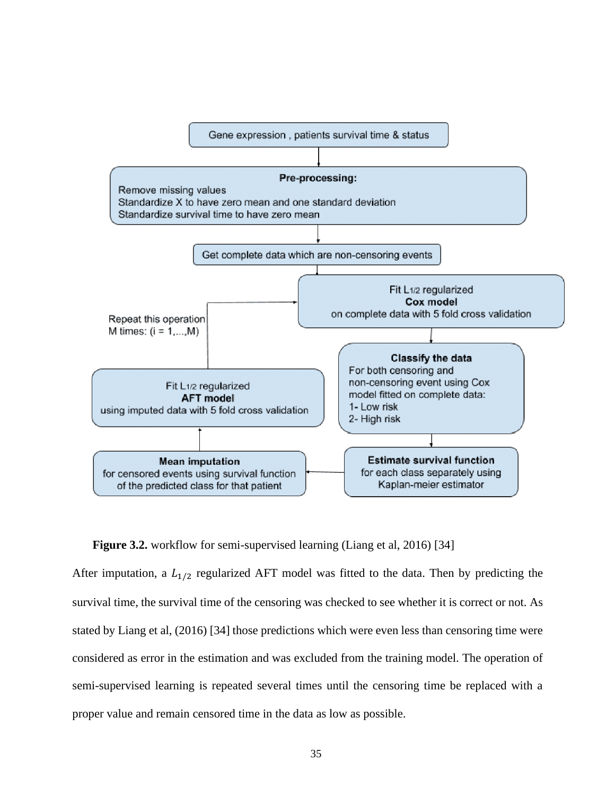

**Figure 3.2.** workflow for semi-supervised learning (Liang et al, 2016) [34]

After imputation, a  $L_{1/2}$  regularized AFT model was fitted to the data. Then by predicting the survival time, the survival time of the censoring was checked to see whether it is correct or not. As stated by Liang et al, (2016) [34] those predictions which were even less than censoring time were considered as error in the estimation and was excluded from the training model. The operation of semi-supervised learning is repeated several times until the censoring time be replaced with a proper value and remain censored time in the data as low as possible.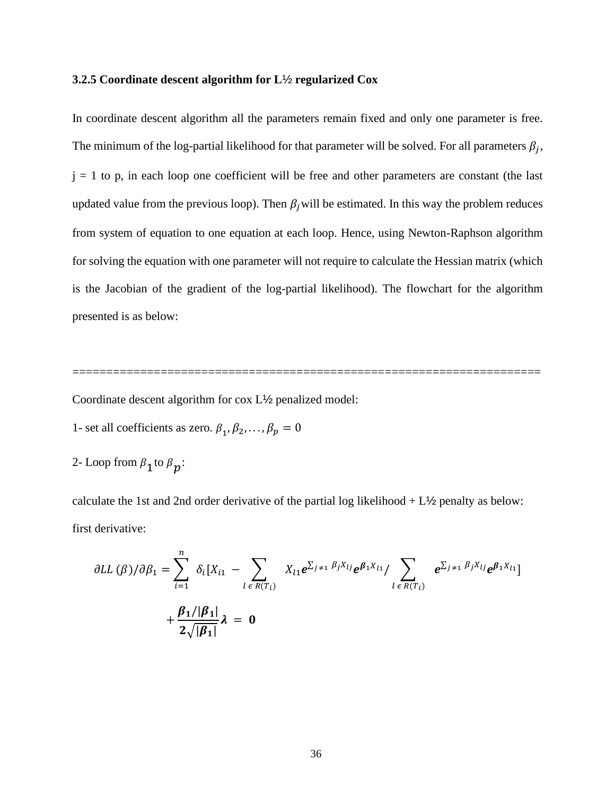## **3.2.5 Coordinate descent algorithm for L**½ **regularized Cox**

In coordinate descent algorithm all the parameters remain fixed and only one parameter is free. The minimum of the log-partial likelihood for that parameter will be solved. For all parameters  $\beta_j$ ,  $j = 1$  to p, in each loop one coefficient will be free and other parameters are constant (the last updated value from the previous loop). Then  $\beta_i$  will be estimated. In this way the problem reduces from system of equation to one equation at each loop. Hence, using Newton-Raphson algorithm for solving the equation with one parameter will not require to calculate the Hessian matrix (which is the Jacobian of the gradient of the log-partial likelihood). The flowchart for the algorithm presented is as below:

=====================================================================

Coordinate descent algorithm for cox L½ penalized model:

- 1- set all coefficients as zero.  $\beta_1, \beta_2, ..., \beta_p = 0$
- 2- Loop from  $\beta_1$  to  $\beta_p$ :

calculate the 1st and 2nd order derivative of the partial log likelihood + L½ penalty as below: first derivative:

$$
\partial LL(\beta)/\partial \beta_1 = \sum_{i=1}^n \delta_i [X_{i1} - \sum_{l \in R(T_i)} X_{l1} e^{\sum_{j \neq 1} \beta_j X_{lj}} e^{\beta_1 X_{l1}} / \sum_{l \in R(T_i)} e^{\sum_{j \neq 1} \beta_j X_{lj}} e^{\beta_1 X_{l1}}] + \frac{\beta_1/|\beta_1|}{2\sqrt{|\beta_1|}} \lambda = 0
$$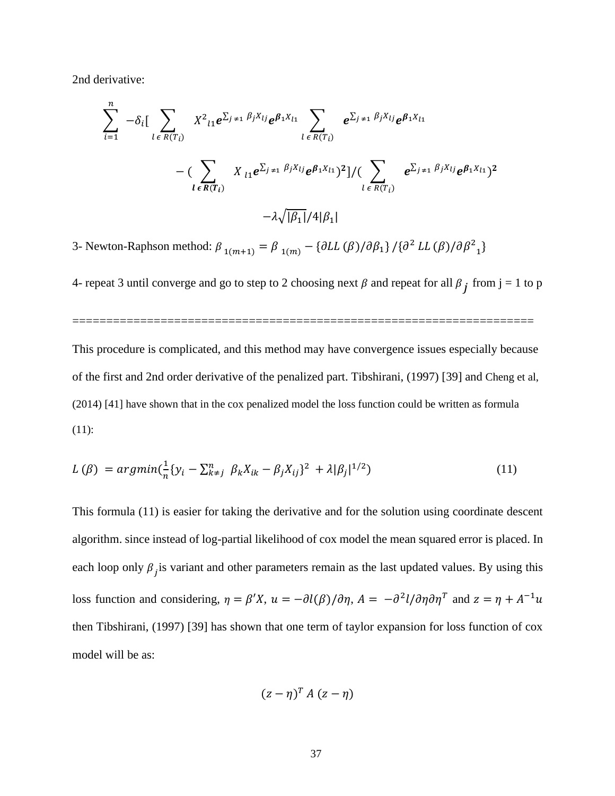2nd derivative:

$$
\sum_{i=1}^{n} -\delta_{i} \Big[ \sum_{l \in R(T_{i})} X^{2}{}_{l1} e^{\sum_{j \neq 1} \beta_{j} X_{lj}} e^{\beta_{1} X_{l1}} \sum_{l \in R(T_{i})} e^{\sum_{j \neq 1} \beta_{j} X_{lj}} e^{\sum_{j \neq 1} \beta_{j} X_{lj}} e^{\beta_{1} X_{l1}} - \Big( \sum_{l \in R(T_{i})} X_{l1} e^{\sum_{j \neq 1} \beta_{j} X_{lj}} e^{\beta_{1} X_{l1}} \Big)^{2} \Big] / \Big( \sum_{l \in R(T_{i})} e^{\sum_{j \neq 1} \beta_{j} X_{lj}} e^{\beta_{1} X_{l1}} \Big)^{2} - \lambda \sqrt{|\beta_{1}|} / 4 |\beta_{1}|}
$$

3- Newton-Raphson method:  $\beta_{1(m+1)} = \beta_{1(m)} - {\partial LL(\beta)}/\partial \beta_1}/{\partial^2 LL(\beta)}/\partial \beta^2$  $_1$ 

4- repeat 3 until converge and go to step to 2 choosing next  $\beta$  and repeat for all  $\beta_j$  from j = 1 to p

====================================================================

This procedure is complicated, and this method may have convergence issues especially because of the first and 2nd order derivative of the penalized part. Tibshirani, (1997) [39] and Cheng et al, (2014) [41] have shown that in the cox penalized model the loss function could be written as formula (11):

$$
L(\beta) = argmin(\frac{1}{n}\{y_i - \sum_{k \neq j}^{n} \beta_k X_{ik} - \beta_j X_{ij}\}^2 + \lambda |\beta_j|^{1/2})
$$
\n(11)

This formula (11) is easier for taking the derivative and for the solution using coordinate descent algorithm. since instead of log-partial likelihood of cox model the mean squared error is placed. In each loop only  $\beta_j$  is variant and other parameters remain as the last updated values. By using this loss function and considering,  $\eta = \beta' X$ ,  $u = -\partial l(\beta) / \partial \eta$ ,  $A = -\partial^2 l / \partial \eta \partial \eta^T$  and  $z = \eta + A^{-1}u$ then Tibshirani, (1997) [39] has shown that one term of taylor expansion for loss function of cox model will be as:

$$
(z-\eta)^T A (z-\eta)
$$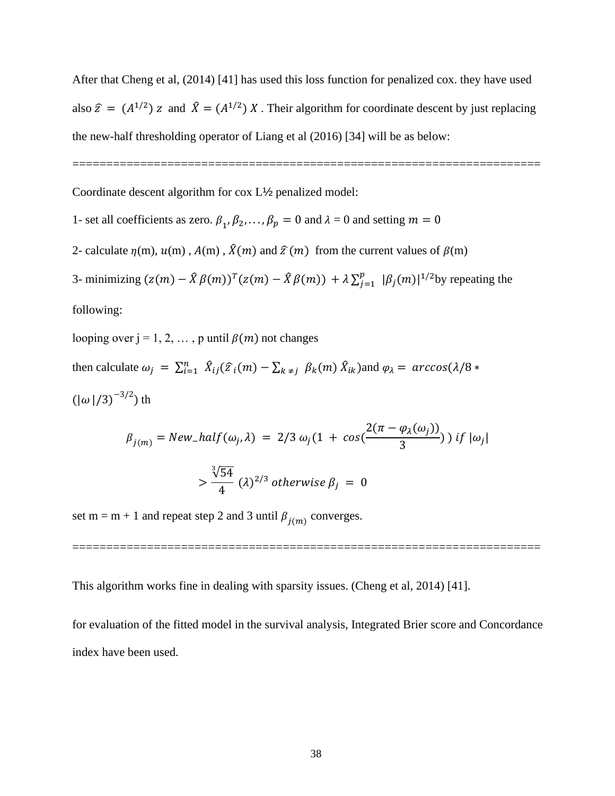After that Cheng et al, (2014) [41] has used this loss function for penalized cox. they have used also  $\hat{z} = (A^{1/2}) z$  and  $\hat{X} = (A^{1/2}) X$ . Their algorithm for coordinate descent by just replacing the new-half thresholding operator of Liang et al (2016) [34] will be as below:

=====================================================================

Coordinate descent algorithm for cox L½ penalized model:

1- set all coefficients as zero.  $\beta_1, \beta_2, ..., \beta_p = 0$  and  $\lambda = 0$  and setting  $m = 0$ 

2- calculate  $\eta(m)$ ,  $u(m)$ ,  $A(m)$ ,  $\hat{X}(m)$  and  $\hat{\tau}(m)$  from the current values of  $\beta(m)$ 

3- minimizing  $(z(m) - \hat{X}\beta(m))^T(z(m) - \hat{X}\beta(m)) + \lambda \sum_{i=1}^p z(i)$  $_{j=1}^{p}$   $|\beta_j(m)|^{1/2}$ by repeating the following:

looping over  $j = 1, 2, \dots$ , p until  $\beta(m)$  not changes then calculate  $\omega_j = \sum_{i=1}^n \hat{X}_{ij}(\hat{z}_i(m) - \sum_{k \neq j} \beta_k(m) \hat{X}_{ik})$  and  $\varphi_\lambda = \arccos(\lambda/8 * \lambda)$  $(|\omega|/3)^{-3/2})$  th

$$
\beta_{j(m)} = New_half(\omega_j, \lambda) = 2/3 \omega_j (1 + \cos(\frac{2(\pi - \varphi_{\lambda}(\omega_j))}{3})) \text{ if } |\omega_j|
$$

$$
> \frac{\sqrt[3]{54}}{4} (\lambda)^{2/3} \text{ otherwise } \beta_j = 0
$$

=====================================================================

set m = m + 1 and repeat step 2 and 3 until  $\beta_{j(m)}$  converges.

This algorithm works fine in dealing with sparsity issues. (Cheng et al, 2014) [41].

for evaluation of the fitted model in the survival analysis, Integrated Brier score and Concordance index have been used.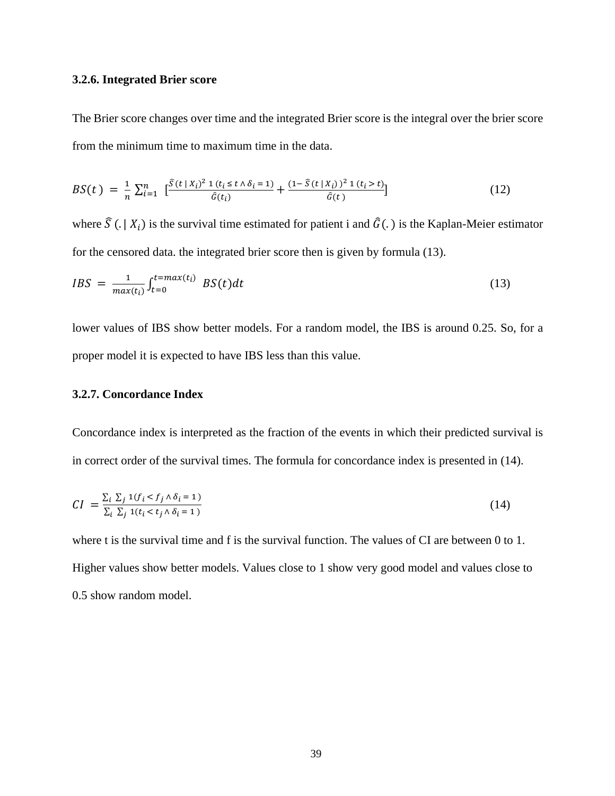## **3.2.6. Integrated Brier score**

The Brier score changes over time and the integrated Brier score is the integral over the brier score from the minimum time to maximum time in the data.

$$
BS(t) = \frac{1}{n} \sum_{i=1}^{n} \left[ \frac{\hat{S}(t \mid X_i)^2 \, 1 \, (t_i \le t \land \delta_i = 1)}{\hat{G}(t_i)} + \frac{(1 - \hat{S}(t \mid X_i))^2 \, 1 \, (t_i > t)}{\hat{G}(t)} \right] \tag{12}
$$

where  $\hat{S}(. | X_i)$  is the survival time estimated for patient i and  $\hat{G}(.)$  is the Kaplan-Meier estimator for the censored data. the integrated brier score then is given by formula (13).

$$
IBS = \frac{1}{max(t_i)} \int_{t=0}^{t=max(t_i)} BS(t)dt
$$
\n(13)

lower values of IBS show better models. For a random model, the IBS is around 0.25. So, for a proper model it is expected to have IBS less than this value.

# **3.2.7. Concordance Index**

Concordance index is interpreted as the fraction of the events in which their predicted survival is in correct order of the survival times. The formula for concordance index is presented in (14).

$$
CI = \frac{\sum_{i} \sum_{j} \mathbf{1}(f_i < f_j \land \delta_i = 1)}{\sum_{i} \sum_{j} \mathbf{1}(t_i < t_j \land \delta_i = 1)}\tag{14}
$$

where t is the survival time and f is the survival function. The values of CI are between 0 to 1. Higher values show better models. Values close to 1 show very good model and values close to 0.5 show random model.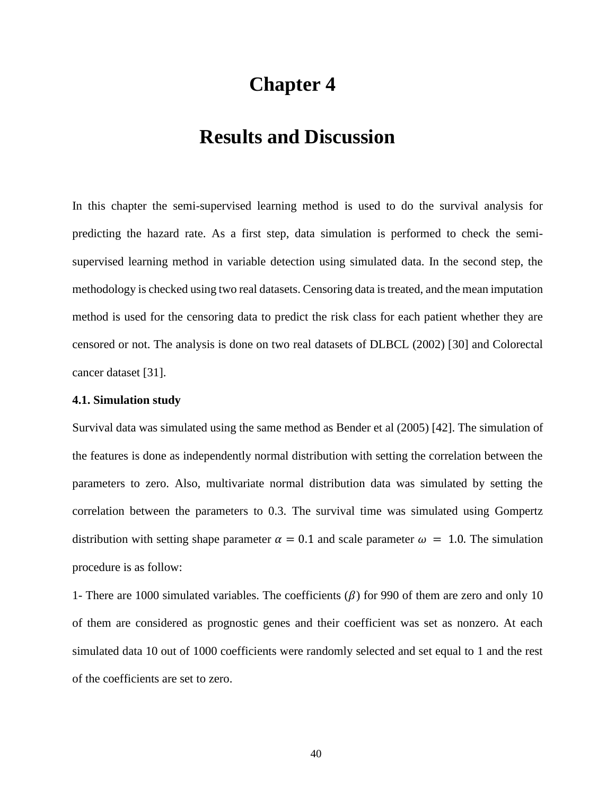# **Chapter 4**

# **Results and Discussion**

In this chapter the semi-supervised learning method is used to do the survival analysis for predicting the hazard rate. As a first step, data simulation is performed to check the semisupervised learning method in variable detection using simulated data. In the second step, the methodology is checked using two real datasets. Censoring data is treated, and the mean imputation method is used for the censoring data to predict the risk class for each patient whether they are censored or not. The analysis is done on two real datasets of DLBCL (2002) [30] and Colorectal cancer dataset [31].

#### **4.1. Simulation study**

Survival data was simulated using the same method as Bender et al (2005) [42]. The simulation of the features is done as independently normal distribution with setting the correlation between the parameters to zero. Also, multivariate normal distribution data was simulated by setting the correlation between the parameters to 0.3. The survival time was simulated using Gompertz distribution with setting shape parameter  $\alpha = 0.1$  and scale parameter  $\omega = 1.0$ . The simulation procedure is as follow:

1- There are 1000 simulated variables. The coefficients  $(\beta)$  for 990 of them are zero and only 10 of them are considered as prognostic genes and their coefficient was set as nonzero. At each simulated data 10 out of 1000 coefficients were randomly selected and set equal to 1 and the rest of the coefficients are set to zero.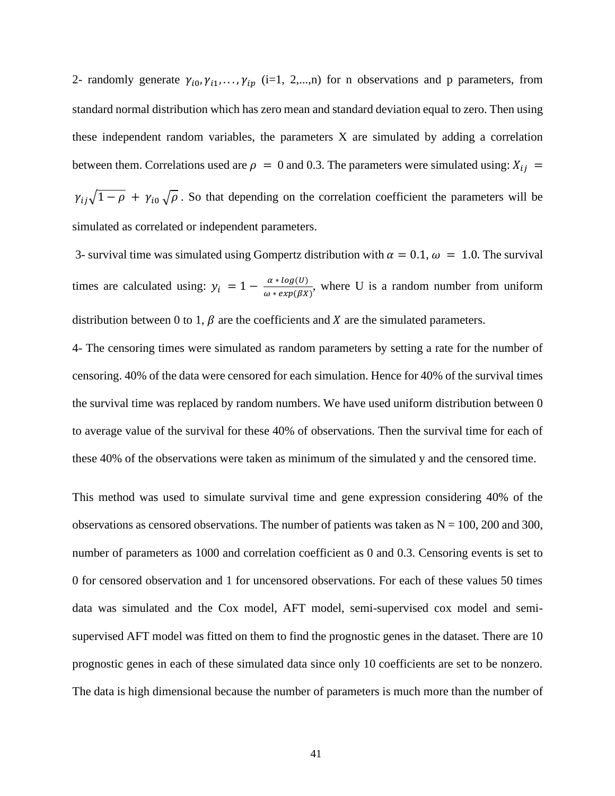2- randomly generate  $\gamma_{i_0}, \gamma_{i_1}, \ldots, \gamma_{i_p}$  (i=1, 2,...,n) for n observations and p parameters, from standard normal distribution which has zero mean and standard deviation equal to zero. Then using these independent random variables, the parameters X are simulated by adding a correlation between them. Correlations used are  $\rho = 0$  and 0.3. The parameters were simulated using:  $X_{ij} =$  $\gamma_{ij}\sqrt{1-\rho} + \gamma_{i0}\sqrt{\rho}$ . So that depending on the correlation coefficient the parameters will be simulated as correlated or independent parameters.

3- survival time was simulated using Gompertz distribution with  $\alpha = 0.1$ ,  $\omega = 1.0$ . The survival times are calculated using:  $y_i = 1 - \frac{\alpha * log(U)}{\alpha * exp(Bx)}$  $\frac{a * log(b)}{\omega * exp(\beta x)}$ , where U is a random number from uniform distribution between 0 to 1,  $\beta$  are the coefficients and X are the simulated parameters.

4- The censoring times were simulated as random parameters by setting a rate for the number of censoring. 40% of the data were censored for each simulation. Hence for 40% of the survival times the survival time was replaced by random numbers. We have used uniform distribution between 0 to average value of the survival for these 40% of observations. Then the survival time for each of these 40% of the observations were taken as minimum of the simulated y and the censored time.

This method was used to simulate survival time and gene expression considering 40% of the observations as censored observations. The number of patients was taken as  $N = 100$ , 200 and 300, number of parameters as 1000 and correlation coefficient as 0 and 0.3. Censoring events is set to 0 for censored observation and 1 for uncensored observations. For each of these values 50 times data was simulated and the Cox model, AFT model, semi-supervised cox model and semisupervised AFT model was fitted on them to find the prognostic genes in the dataset. There are 10 prognostic genes in each of these simulated data since only 10 coefficients are set to be nonzero. The data is high dimensional because the number of parameters is much more than the number of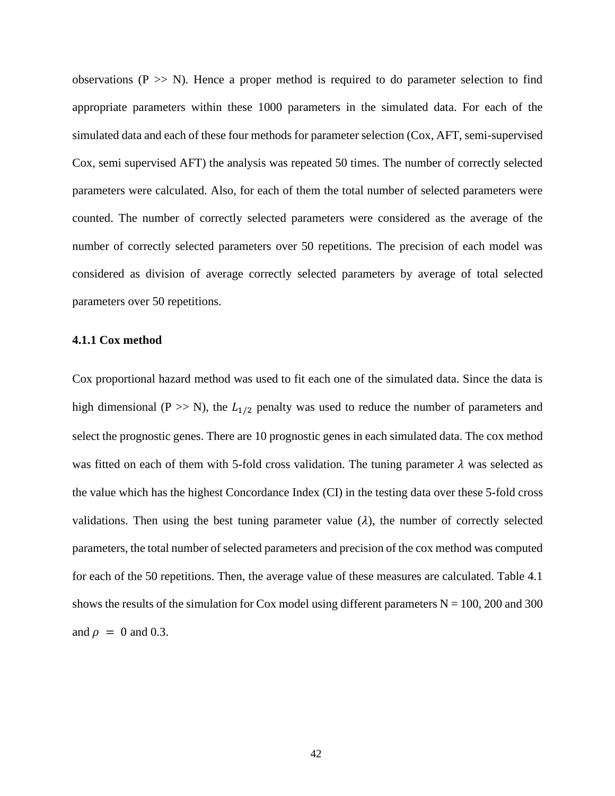observations ( $P \gg N$ ). Hence a proper method is required to do parameter selection to find appropriate parameters within these 1000 parameters in the simulated data. For each of the simulated data and each of these four methods for parameter selection (Cox, AFT, semi-supervised Cox, semi supervised AFT) the analysis was repeated 50 times. The number of correctly selected parameters were calculated. Also, for each of them the total number of selected parameters were counted. The number of correctly selected parameters were considered as the average of the number of correctly selected parameters over 50 repetitions. The precision of each model was considered as division of average correctly selected parameters by average of total selected parameters over 50 repetitions.

### **4.1.1 Cox method**

Cox proportional hazard method was used to fit each one of the simulated data. Since the data is high dimensional (P  $>> N$ ), the  $L_{1/2}$  penalty was used to reduce the number of parameters and select the prognostic genes. There are 10 prognostic genes in each simulated data. The cox method was fitted on each of them with 5-fold cross validation. The tuning parameter  $\lambda$  was selected as the value which has the highest Concordance Index (CI) in the testing data over these 5-fold cross validations. Then using the best tuning parameter value  $(\lambda)$ , the number of correctly selected parameters, the total number of selected parameters and precision of the cox method was computed for each of the 50 repetitions. Then, the average value of these measures are calculated. Table 4.1 shows the results of the simulation for Cox model using different parameters  $N = 100$ , 200 and 300 and  $\rho = 0$  and 0.3.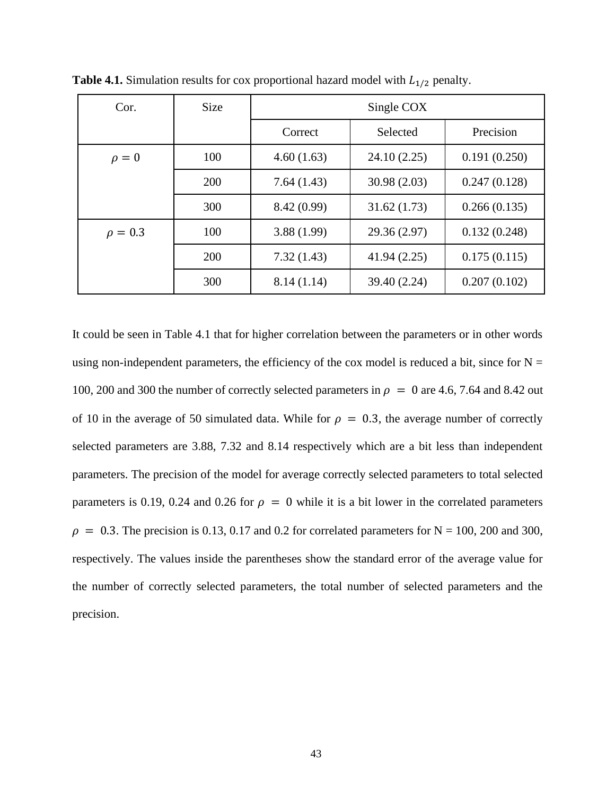| Cor.         | <b>Size</b> | Single COX |              |              |  |
|--------------|-------------|------------|--------------|--------------|--|
|              |             | Correct    | Selected     | Precision    |  |
| $\rho = 0$   | 100         | 4.60(1.63) | 24.10 (2.25) | 0.191(0.250) |  |
|              | 200         | 7.64(1.43) | 30.98 (2.03) | 0.247(0.128) |  |
|              | 300         | 8.42(0.99) | 31.62(1.73)  | 0.266(0.135) |  |
| $\rho = 0.3$ | 100         | 3.88(1.99) | 29.36 (2.97) | 0.132(0.248) |  |
|              | 200         | 7.32(1.43) | 41.94 (2.25) | 0.175(0.115) |  |
|              | 300         | 8.14(1.14) | 39.40 (2.24) | 0.207(0.102) |  |

**Table 4.1.** Simulation results for cox proportional hazard model with  $L_{1/2}$  penalty.

It could be seen in Table 4.1 that for higher correlation between the parameters or in other words using non-independent parameters, the efficiency of the cox model is reduced a bit, since for  $N =$ 100, 200 and 300 the number of correctly selected parameters in  $\rho = 0$  are 4.6, 7.64 and 8.42 out of 10 in the average of 50 simulated data. While for  $\rho = 0.3$ , the average number of correctly selected parameters are 3.88, 7.32 and 8.14 respectively which are a bit less than independent parameters. The precision of the model for average correctly selected parameters to total selected parameters is 0.19, 0.24 and 0.26 for  $\rho = 0$  while it is a bit lower in the correlated parameters  $\rho = 0.3$ . The precision is 0.13, 0.17 and 0.2 for correlated parameters for N = 100, 200 and 300, respectively. The values inside the parentheses show the standard error of the average value for the number of correctly selected parameters, the total number of selected parameters and the precision.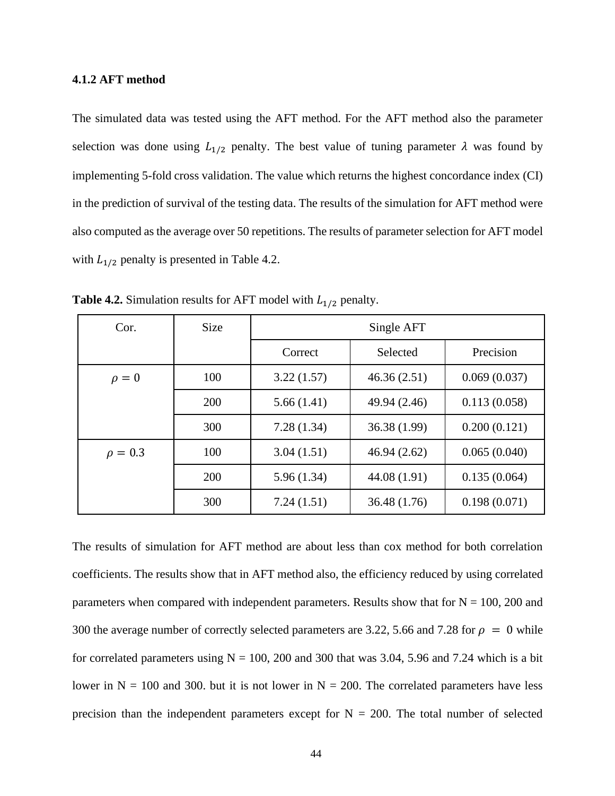## **4.1.2 AFT method**

The simulated data was tested using the AFT method. For the AFT method also the parameter selection was done using  $L_{1/2}$  penalty. The best value of tuning parameter  $\lambda$  was found by implementing 5-fold cross validation. The value which returns the highest concordance index (CI) in the prediction of survival of the testing data. The results of the simulation for AFT method were also computed as the average over 50 repetitions. The results of parameter selection for AFT model with  $L_{1/2}$  penalty is presented in Table 4.2.

| Cor.         | <b>Size</b> | Single AFT |              |              |  |
|--------------|-------------|------------|--------------|--------------|--|
|              |             | Correct    | Selected     | Precision    |  |
| $\rho = 0$   | 100         | 3.22(1.57) | 46.36(2.51)  | 0.069(0.037) |  |
|              | 200         | 5.66(1.41) | 49.94 (2.46) | 0.113(0.058) |  |
|              | 300         | 7.28(1.34) | 36.38 (1.99) | 0.200(0.121) |  |
| $\rho = 0.3$ | 100         | 3.04(1.51) | 46.94(2.62)  | 0.065(0.040) |  |
|              | 200         | 5.96(1.34) | 44.08 (1.91) | 0.135(0.064) |  |
|              | 300         | 7.24(1.51) | 36.48(1.76)  | 0.198(0.071) |  |

**Table 4.2.** Simulation results for AFT model with  $L_{1/2}$  penalty.

The results of simulation for AFT method are about less than cox method for both correlation coefficients. The results show that in AFT method also, the efficiency reduced by using correlated parameters when compared with independent parameters. Results show that for  $N = 100$ , 200 and 300 the average number of correctly selected parameters are 3.22, 5.66 and 7.28 for  $\rho = 0$  while for correlated parameters using  $N = 100$ , 200 and 300 that was 3.04, 5.96 and 7.24 which is a bit lower in  $N = 100$  and 300. but it is not lower in  $N = 200$ . The correlated parameters have less precision than the independent parameters except for  $N = 200$ . The total number of selected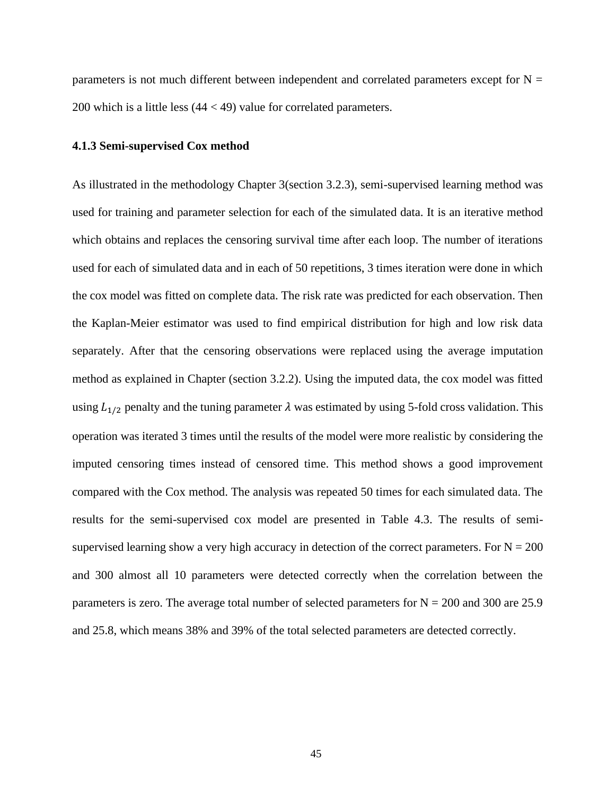parameters is not much different between independent and correlated parameters except for  $N =$ 200 which is a little less  $(44 < 49)$  value for correlated parameters.

# **4.1.3 Semi-supervised Cox method**

As illustrated in the methodology Chapter 3(section 3.2.3), semi-supervised learning method was used for training and parameter selection for each of the simulated data. It is an iterative method which obtains and replaces the censoring survival time after each loop. The number of iterations used for each of simulated data and in each of 50 repetitions, 3 times iteration were done in which the cox model was fitted on complete data. The risk rate was predicted for each observation. Then the Kaplan-Meier estimator was used to find empirical distribution for high and low risk data separately. After that the censoring observations were replaced using the average imputation method as explained in Chapter (section 3.2.2). Using the imputed data, the cox model was fitted using  $L_{1/2}$  penalty and the tuning parameter  $\lambda$  was estimated by using 5-fold cross validation. This operation was iterated 3 times until the results of the model were more realistic by considering the imputed censoring times instead of censored time. This method shows a good improvement compared with the Cox method. The analysis was repeated 50 times for each simulated data. The results for the semi-supervised cox model are presented in Table 4.3. The results of semisupervised learning show a very high accuracy in detection of the correct parameters. For  $N = 200$ and 300 almost all 10 parameters were detected correctly when the correlation between the parameters is zero. The average total number of selected parameters for  $N = 200$  and 300 are 25.9 and 25.8, which means 38% and 39% of the total selected parameters are detected correctly.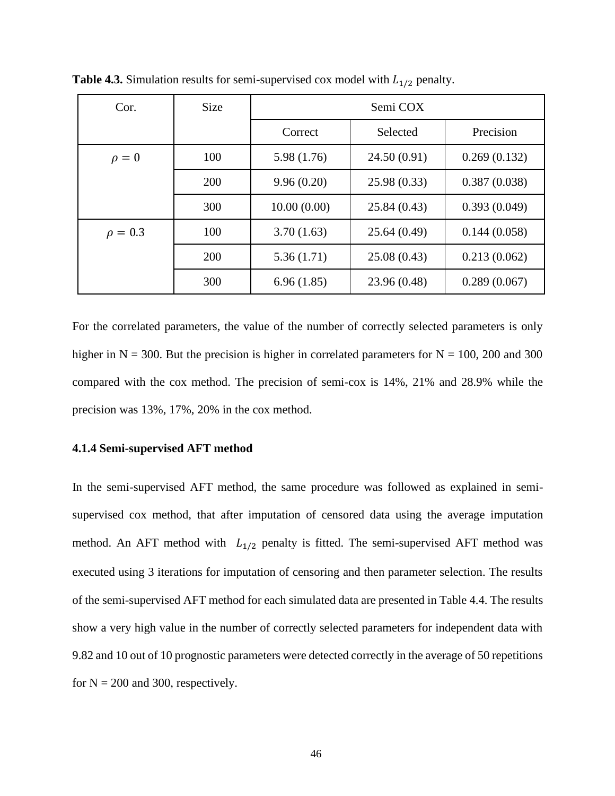| Cor.         | <b>Size</b> | Semi COX    |              |              |  |
|--------------|-------------|-------------|--------------|--------------|--|
|              |             | Correct     | Selected     | Precision    |  |
| $\rho = 0$   | 100         | 5.98(1.76)  | 24.50(0.91)  | 0.269(0.132) |  |
|              | 200         | 9.96(0.20)  | 25.98 (0.33) | 0.387(0.038) |  |
|              | 300         | 10.00(0.00) | 25.84(0.43)  | 0.393(0.049) |  |
| $\rho = 0.3$ | 100         | 3.70(1.63)  | 25.64(0.49)  | 0.144(0.058) |  |
|              | 200         | 5.36(1.71)  | 25.08(0.43)  | 0.213(0.062) |  |
|              | 300         | 6.96(1.85)  | 23.96 (0.48) | 0.289(0.067) |  |

**Table 4.3.** Simulation results for semi-supervised cox model with  $L_{1/2}$  penalty.

For the correlated parameters, the value of the number of correctly selected parameters is only higher in  $N = 300$ . But the precision is higher in correlated parameters for  $N = 100$ , 200 and 300 compared with the cox method. The precision of semi-cox is 14%, 21% and 28.9% while the precision was 13%, 17%, 20% in the cox method.

## **4.1.4 Semi-supervised AFT method**

In the semi-supervised AFT method, the same procedure was followed as explained in semisupervised cox method, that after imputation of censored data using the average imputation method. An AFT method with  $L_{1/2}$  penalty is fitted. The semi-supervised AFT method was executed using 3 iterations for imputation of censoring and then parameter selection. The results of the semi-supervised AFT method for each simulated data are presented in Table 4.4. The results show a very high value in the number of correctly selected parameters for independent data with 9.82 and 10 out of 10 prognostic parameters were detected correctly in the average of 50 repetitions for  $N = 200$  and 300, respectively.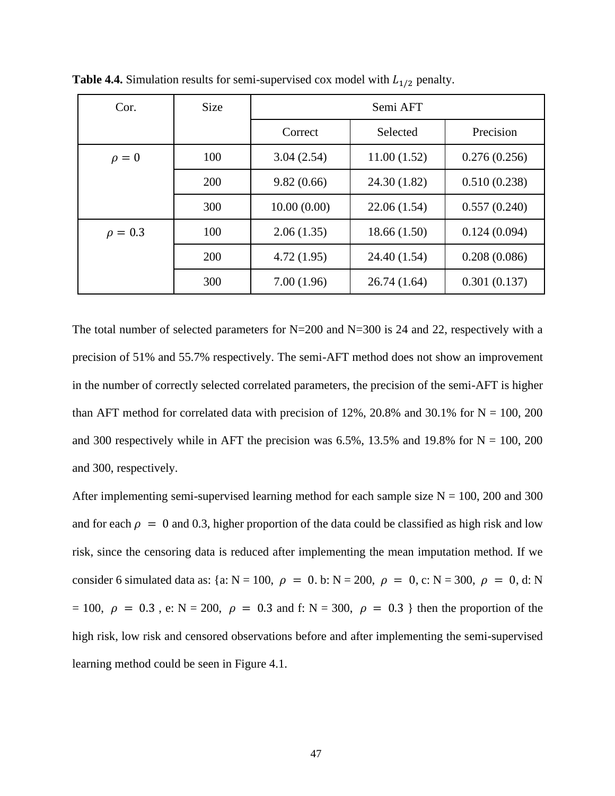| Cor.         | <b>Size</b> | Semi AFT    |              |              |  |
|--------------|-------------|-------------|--------------|--------------|--|
|              |             | Correct     | Selected     | Precision    |  |
| $\rho = 0$   | 100         | 3.04(2.54)  | 11.00(1.52)  | 0.276(0.256) |  |
|              | 200         | 9.82(0.66)  | 24.30 (1.82) | 0.510(0.238) |  |
|              | 300         | 10.00(0.00) | 22.06(1.54)  | 0.557(0.240) |  |
| $\rho = 0.3$ | 100         | 2.06(1.35)  | 18.66(1.50)  | 0.124(0.094) |  |
|              | 200         | 4.72(1.95)  | 24.40 (1.54) | 0.208(0.086) |  |
|              | 300         | 7.00(1.96)  | 26.74(1.64)  | 0.301(0.137) |  |

**Table 4.4.** Simulation results for semi-supervised cox model with  $L_{1/2}$  penalty.

The total number of selected parameters for  $N=200$  and  $N=300$  is 24 and 22, respectively with a precision of 51% and 55.7% respectively. The semi-AFT method does not show an improvement in the number of correctly selected correlated parameters, the precision of the semi-AFT is higher than AFT method for correlated data with precision of  $12\%$ ,  $20.8\%$  and  $30.1\%$  for N = 100, 200 and 300 respectively while in AFT the precision was 6.5%, 13.5% and 19.8% for  $N = 100$ , 200 and 300, respectively.

After implementing semi-supervised learning method for each sample size  $N = 100$ , 200 and 300 and for each  $\rho = 0$  and 0.3, higher proportion of the data could be classified as high risk and low risk, since the censoring data is reduced after implementing the mean imputation method. If we consider 6 simulated data as: {a: N = 100,  $\rho = 0$ . b: N = 200,  $\rho = 0$ , c: N = 300,  $\rho = 0$ , d: N = 100,  $\rho = 0.3$ , e: N = 200,  $\rho = 0.3$  and f: N = 300,  $\rho = 0.3$  } then the proportion of the high risk, low risk and censored observations before and after implementing the semi-supervised learning method could be seen in Figure 4.1.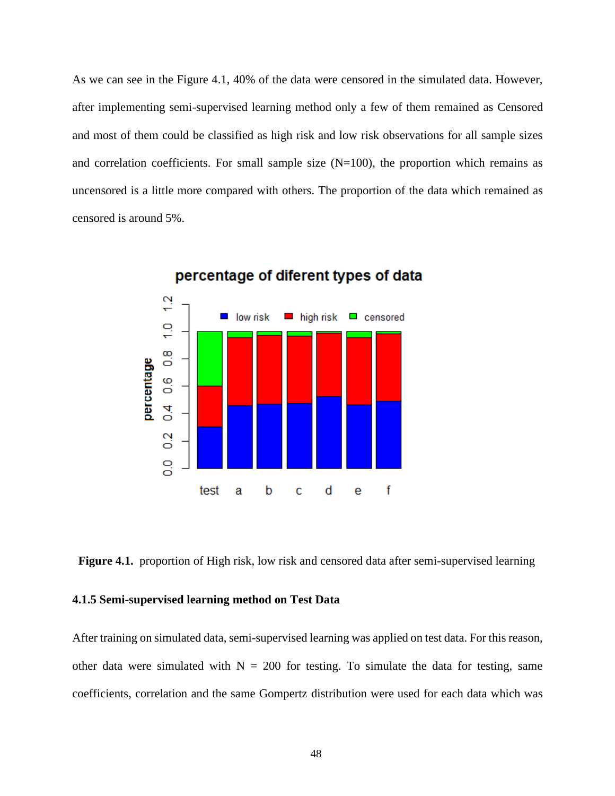As we can see in the Figure 4.1, 40% of the data were censored in the simulated data. However, after implementing semi-supervised learning method only a few of them remained as Censored and most of them could be classified as high risk and low risk observations for all sample sizes and correlation coefficients. For small sample size  $(N=100)$ , the proportion which remains as uncensored is a little more compared with others. The proportion of the data which remained as censored is around 5%.



percentage of diferent types of data

Figure 4.1. proportion of High risk, low risk and censored data after semi-supervised learning

# **4.1.5 Semi-supervised learning method on Test Data**

After training on simulated data, semi-supervised learning was applied on test data. For this reason, other data were simulated with  $N = 200$  for testing. To simulate the data for testing, same coefficients, correlation and the same Gompertz distribution were used for each data which was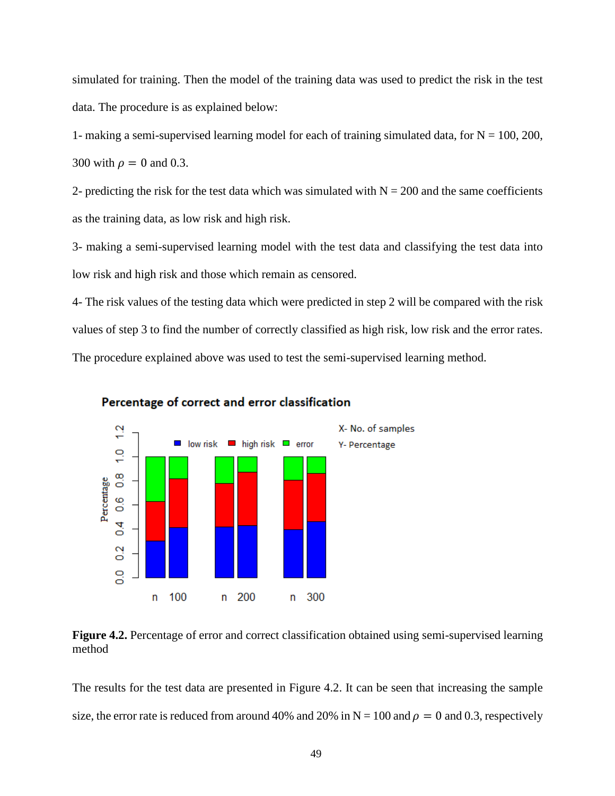simulated for training. Then the model of the training data was used to predict the risk in the test data. The procedure is as explained below:

1- making a semi-supervised learning model for each of training simulated data, for  $N = 100, 200$ , 300 with  $\rho = 0$  and 0.3.

2- predicting the risk for the test data which was simulated with  $N = 200$  and the same coefficients as the training data, as low risk and high risk.

3- making a semi-supervised learning model with the test data and classifying the test data into low risk and high risk and those which remain as censored.

4- The risk values of the testing data which were predicted in step 2 will be compared with the risk values of step 3 to find the number of correctly classified as high risk, low risk and the error rates. The procedure explained above was used to test the semi-supervised learning method.



## Percentage of correct and error classification

**Figure 4.2.** Percentage of error and correct classification obtained using semi-supervised learning method

The results for the test data are presented in Figure 4.2. It can be seen that increasing the sample size, the error rate is reduced from around 40% and 20% in  $N = 100$  and  $\rho = 0$  and 0.3, respectively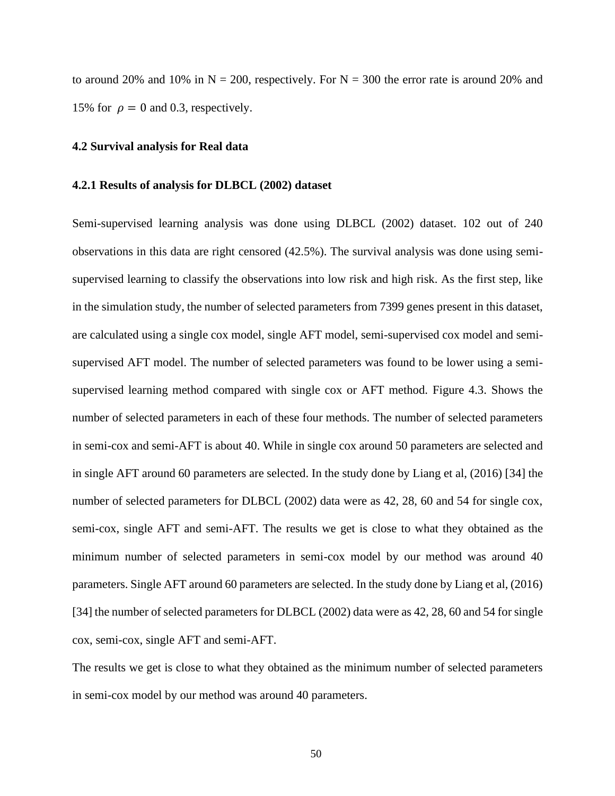to around 20% and 10% in  $N = 200$ , respectively. For  $N = 300$  the error rate is around 20% and 15% for  $\rho = 0$  and 0.3, respectively.

#### **4.2 Survival analysis for Real data**

#### **4.2.1 Results of analysis for DLBCL (2002) dataset**

Semi-supervised learning analysis was done using DLBCL (2002) dataset. 102 out of 240 observations in this data are right censored (42.5%). The survival analysis was done using semisupervised learning to classify the observations into low risk and high risk. As the first step, like in the simulation study, the number of selected parameters from 7399 genes present in this dataset, are calculated using a single cox model, single AFT model, semi-supervised cox model and semisupervised AFT model. The number of selected parameters was found to be lower using a semisupervised learning method compared with single cox or AFT method. Figure 4.3. Shows the number of selected parameters in each of these four methods. The number of selected parameters in semi-cox and semi-AFT is about 40. While in single cox around 50 parameters are selected and in single AFT around 60 parameters are selected. In the study done by Liang et al, (2016) [34] the number of selected parameters for DLBCL (2002) data were as 42, 28, 60 and 54 for single cox, semi-cox, single AFT and semi-AFT. The results we get is close to what they obtained as the minimum number of selected parameters in semi-cox model by our method was around 40 parameters. Single AFT around 60 parameters are selected. In the study done by Liang et al, (2016) [34] the number of selected parameters for DLBCL (2002) data were as 42, 28, 60 and 54 for single cox, semi-cox, single AFT and semi-AFT.

The results we get is close to what they obtained as the minimum number of selected parameters in semi-cox model by our method was around 40 parameters.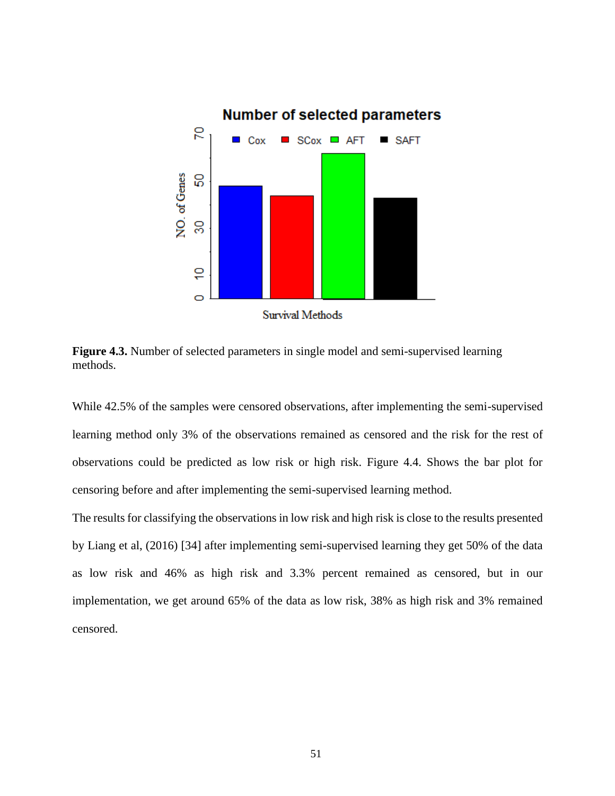

**Figure 4.3.** Number of selected parameters in single model and semi-supervised learning methods.

While 42.5% of the samples were censored observations, after implementing the semi-supervised learning method only 3% of the observations remained as censored and the risk for the rest of observations could be predicted as low risk or high risk. Figure 4.4. Shows the bar plot for censoring before and after implementing the semi-supervised learning method.

The results for classifying the observations in low risk and high risk is close to the results presented by Liang et al, (2016) [34] after implementing semi-supervised learning they get 50% of the data as low risk and 46% as high risk and 3.3% percent remained as censored, but in our implementation, we get around 65% of the data as low risk, 38% as high risk and 3% remained censored.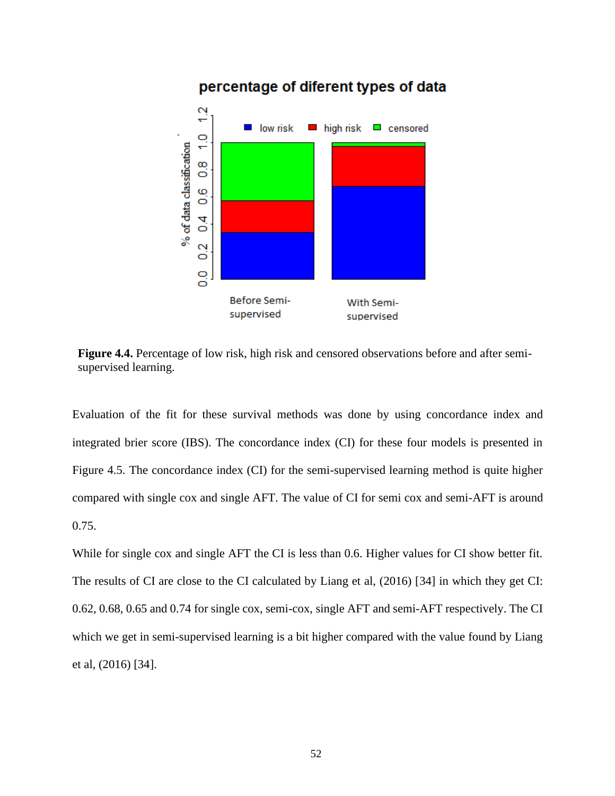

**Figure 4.4.** Percentage of low risk, high risk and censored observations before and after semisupervised learning.

Evaluation of the fit for these survival methods was done by using concordance index and integrated brier score (IBS). The concordance index (CI) for these four models is presented in Figure 4.5. The concordance index (CI) for the semi-supervised learning method is quite higher compared with single cox and single AFT. The value of CI for semi cox and semi-AFT is around 0.75.

While for single cox and single AFT the CI is less than 0.6. Higher values for CI show better fit. The results of CI are close to the CI calculated by Liang et al, (2016) [34] in which they get CI: 0.62, 0.68, 0.65 and 0.74 for single cox, semi-cox, single AFT and semi-AFT respectively. The CI which we get in semi-supervised learning is a bit higher compared with the value found by Liang et al, (2016) [34].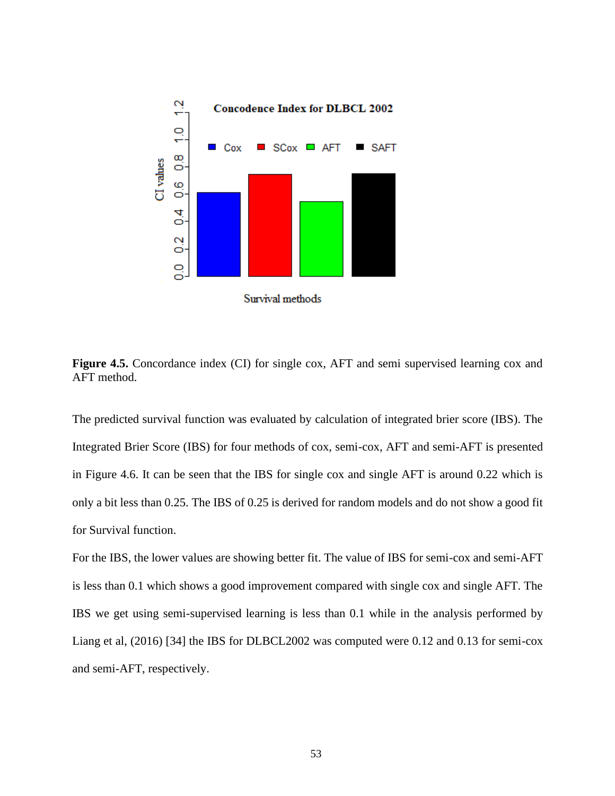

Figure 4.5. Concordance index (CI) for single cox, AFT and semi supervised learning cox and AFT method.

The predicted survival function was evaluated by calculation of integrated brier score (IBS). The Integrated Brier Score (IBS) for four methods of cox, semi-cox, AFT and semi-AFT is presented in Figure 4.6. It can be seen that the IBS for single cox and single AFT is around 0.22 which is only a bit less than 0.25. The IBS of 0.25 is derived for random models and do not show a good fit for Survival function.

For the IBS, the lower values are showing better fit. The value of IBS for semi-cox and semi-AFT is less than 0.1 which shows a good improvement compared with single cox and single AFT. The IBS we get using semi-supervised learning is less than 0.1 while in the analysis performed by Liang et al, (2016) [34] the IBS for DLBCL2002 was computed were 0.12 and 0.13 for semi-cox and semi-AFT, respectively.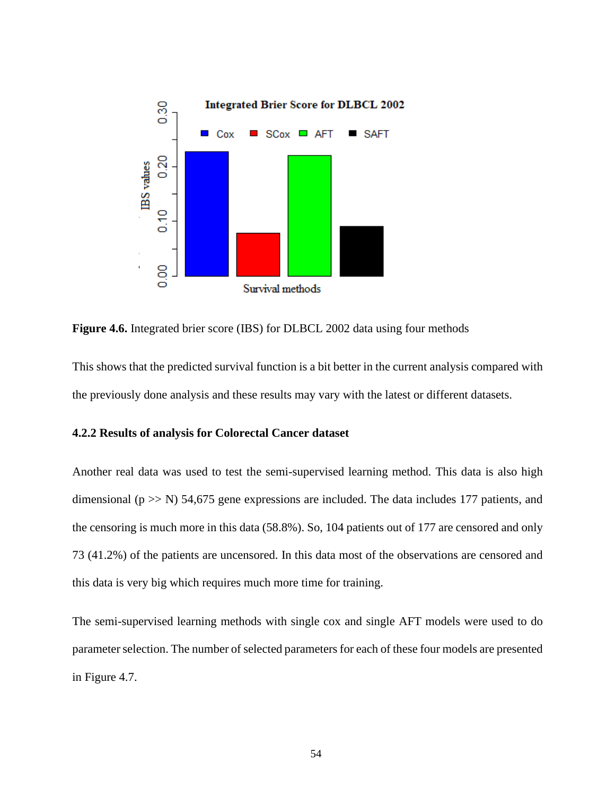

**Figure 4.6.** Integrated brier score (IBS) for DLBCL 2002 data using four methods

This shows that the predicted survival function is a bit better in the current analysis compared with the previously done analysis and these results may vary with the latest or different datasets.

## **4.2.2 Results of analysis for Colorectal Cancer dataset**

Another real data was used to test the semi-supervised learning method. This data is also high dimensional ( $p \gg N$ ) 54,675 gene expressions are included. The data includes 177 patients, and the censoring is much more in this data (58.8%). So, 104 patients out of 177 are censored and only 73 (41.2%) of the patients are uncensored. In this data most of the observations are censored and this data is very big which requires much more time for training.

The semi-supervised learning methods with single cox and single AFT models were used to do parameter selection. The number of selected parameters for each of these four models are presented in Figure 4.7.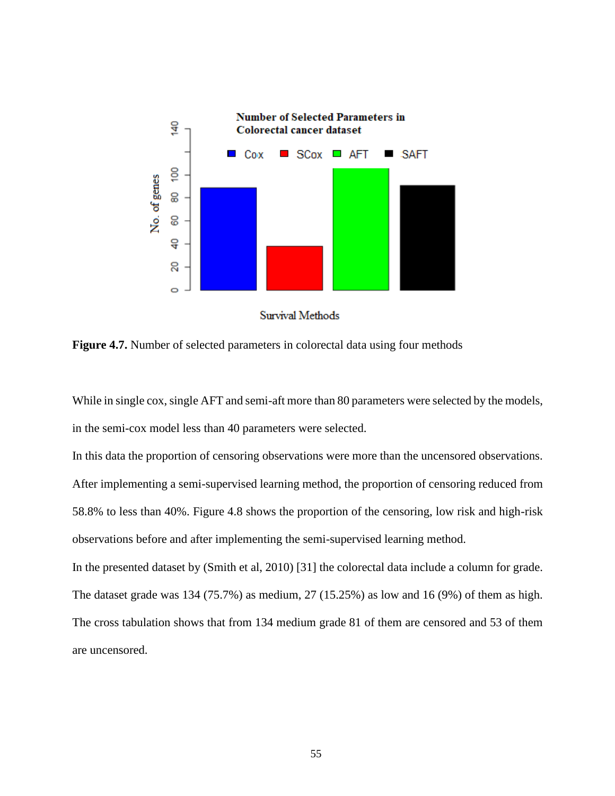

**Figure 4.7.** Number of selected parameters in colorectal data using four methods

While in single cox, single AFT and semi-aft more than 80 parameters were selected by the models, in the semi-cox model less than 40 parameters were selected.

In this data the proportion of censoring observations were more than the uncensored observations. After implementing a semi-supervised learning method, the proportion of censoring reduced from 58.8% to less than 40%. Figure 4.8 shows the proportion of the censoring, low risk and high-risk observations before and after implementing the semi-supervised learning method.

In the presented dataset by (Smith et al, 2010) [31] the colorectal data include a column for grade. The dataset grade was 134 (75.7%) as medium, 27 (15.25%) as low and 16 (9%) of them as high. The cross tabulation shows that from 134 medium grade 81 of them are censored and 53 of them are uncensored.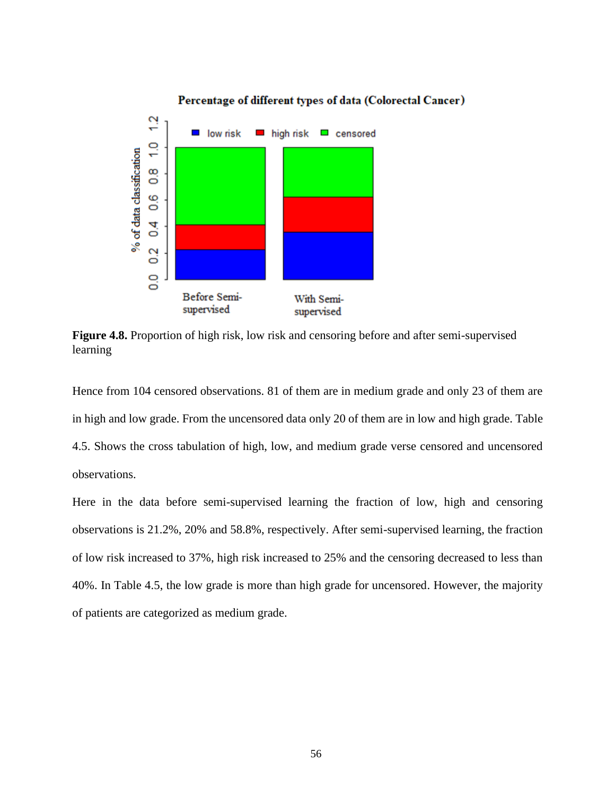

**Figure 4.8.** Proportion of high risk, low risk and censoring before and after semi-supervised learning

Hence from 104 censored observations. 81 of them are in medium grade and only 23 of them are in high and low grade. From the uncensored data only 20 of them are in low and high grade. Table 4.5. Shows the cross tabulation of high, low, and medium grade verse censored and uncensored observations.

Here in the data before semi-supervised learning the fraction of low, high and censoring observations is 21.2%, 20% and 58.8%, respectively. After semi-supervised learning, the fraction of low risk increased to 37%, high risk increased to 25% and the censoring decreased to less than 40%. In Table 4.5, the low grade is more than high grade for uncensored. However, the majority of patients are categorized as medium grade.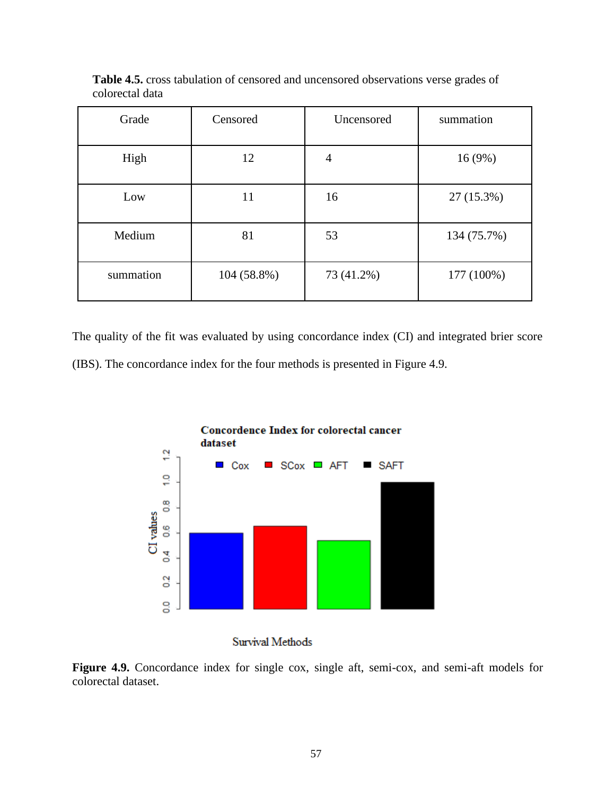| Grade     | Censored    | Uncensored     | summation   |
|-----------|-------------|----------------|-------------|
| High      | 12          | $\overline{4}$ | 16(9%)      |
| Low       | 11          | 16             | 27 (15.3%)  |
| Medium    | 81          | 53             | 134 (75.7%) |
| summation | 104 (58.8%) | 73 (41.2%)     | 177 (100%)  |

**Table 4.5.** cross tabulation of censored and uncensored observations verse grades of colorectal data

The quality of the fit was evaluated by using concordance index (CI) and integrated brier score (IBS). The concordance index for the four methods is presented in Figure 4.9.



Survival Methods

**Figure 4.9.** Concordance index for single cox, single aft, semi-cox, and semi-aft models for colorectal dataset.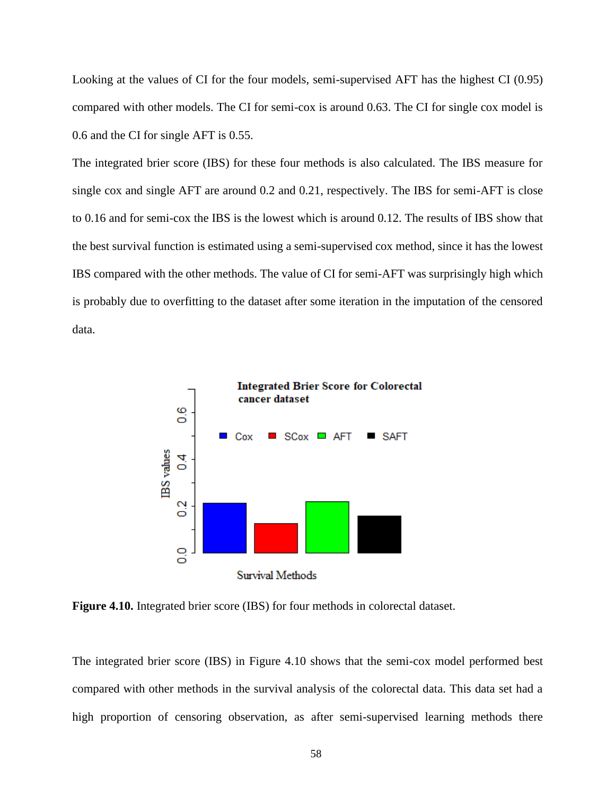Looking at the values of CI for the four models, semi-supervised AFT has the highest CI (0.95) compared with other models. The CI for semi-cox is around 0.63. The CI for single cox model is 0.6 and the CI for single AFT is 0.55.

The integrated brier score (IBS) for these four methods is also calculated. The IBS measure for single cox and single AFT are around 0.2 and 0.21, respectively. The IBS for semi-AFT is close to 0.16 and for semi-cox the IBS is the lowest which is around 0.12. The results of IBS show that the best survival function is estimated using a semi-supervised cox method, since it has the lowest IBS compared with the other methods. The value of CI for semi-AFT was surprisingly high which is probably due to overfitting to the dataset after some iteration in the imputation of the censored data.



**Figure 4.10.** Integrated brier score (IBS) for four methods in colorectal dataset.

The integrated brier score (IBS) in Figure 4.10 shows that the semi-cox model performed best compared with other methods in the survival analysis of the colorectal data. This data set had a high proportion of censoring observation, as after semi-supervised learning methods there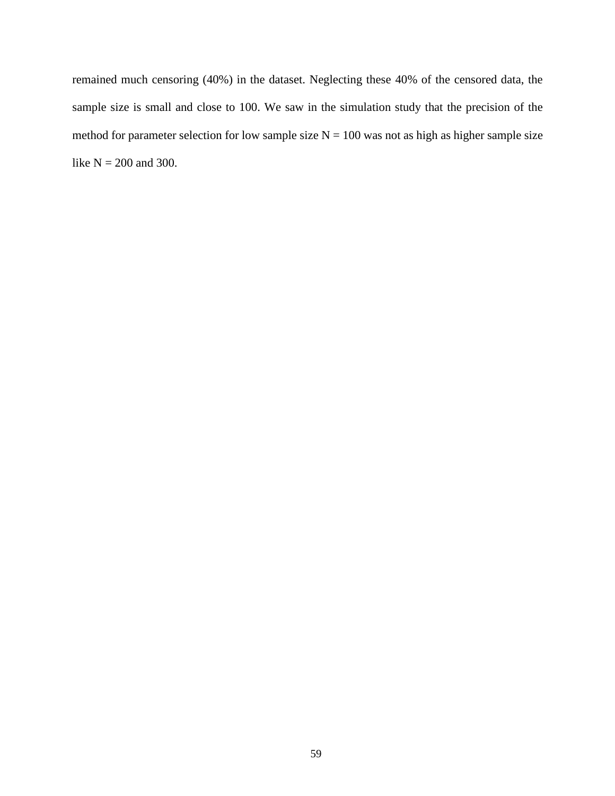remained much censoring (40%) in the dataset. Neglecting these 40% of the censored data, the sample size is small and close to 100. We saw in the simulation study that the precision of the method for parameter selection for low sample size  $N = 100$  was not as high as higher sample size like  $N = 200$  and 300.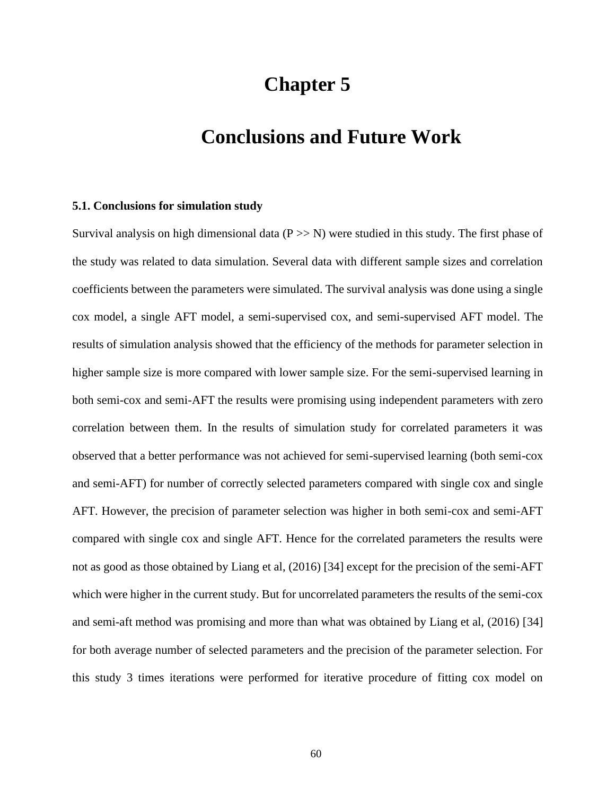# **Chapter 5**

# **Conclusions and Future Work**

#### **5.1. Conclusions for simulation study**

Survival analysis on high dimensional data  $(P \gg N)$  were studied in this study. The first phase of the study was related to data simulation. Several data with different sample sizes and correlation coefficients between the parameters were simulated. The survival analysis was done using a single cox model, a single AFT model, a semi-supervised cox, and semi-supervised AFT model. The results of simulation analysis showed that the efficiency of the methods for parameter selection in higher sample size is more compared with lower sample size. For the semi-supervised learning in both semi-cox and semi-AFT the results were promising using independent parameters with zero correlation between them. In the results of simulation study for correlated parameters it was observed that a better performance was not achieved for semi-supervised learning (both semi-cox and semi-AFT) for number of correctly selected parameters compared with single cox and single AFT. However, the precision of parameter selection was higher in both semi-cox and semi-AFT compared with single cox and single AFT. Hence for the correlated parameters the results were not as good as those obtained by Liang et al, (2016) [34] except for the precision of the semi-AFT which were higher in the current study. But for uncorrelated parameters the results of the semi-cox and semi-aft method was promising and more than what was obtained by Liang et al, (2016) [34] for both average number of selected parameters and the precision of the parameter selection. For this study 3 times iterations were performed for iterative procedure of fitting cox model on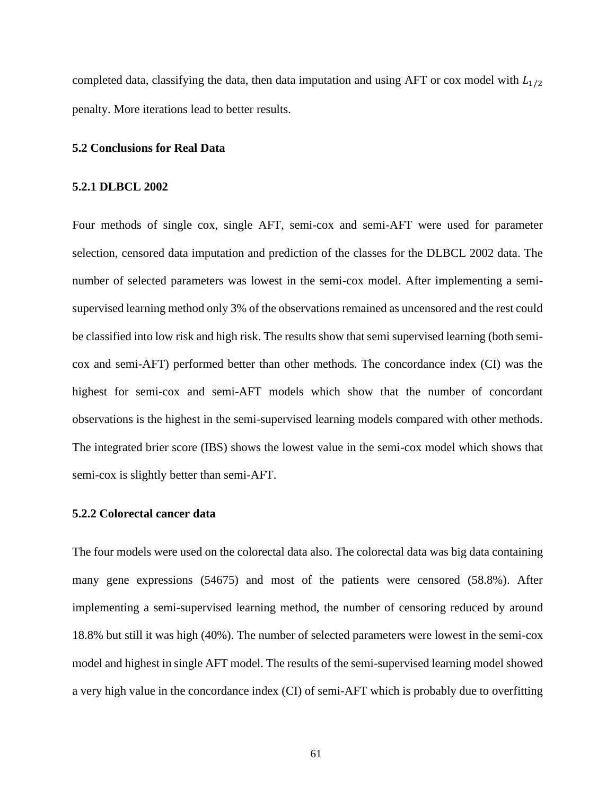completed data, classifying the data, then data imputation and using AFT or cox model with  $L_{1/2}$ penalty. More iterations lead to better results.

### **5.2 Conclusions for Real Data**

#### **5.2.1 DLBCL 2002**

Four methods of single cox, single AFT, semi-cox and semi-AFT were used for parameter selection, censored data imputation and prediction of the classes for the DLBCL 2002 data. The number of selected parameters was lowest in the semi-cox model. After implementing a semisupervised learning method only 3% of the observations remained as uncensored and the rest could be classified into low risk and high risk. The results show that semi supervised learning (both semicox and semi-AFT) performed better than other methods. The concordance index (CI) was the highest for semi-cox and semi-AFT models which show that the number of concordant observations is the highest in the semi-supervised learning models compared with other methods. The integrated brier score (IBS) shows the lowest value in the semi-cox model which shows that semi-cox is slightly better than semi-AFT.

#### **5.2.2 Colorectal cancer data**

The four models were used on the colorectal data also. The colorectal data was big data containing many gene expressions (54675) and most of the patients were censored (58.8%). After implementing a semi-supervised learning method, the number of censoring reduced by around 18.8% but still it was high (40%). The number of selected parameters were lowest in the semi-cox model and highest in single AFT model. The results of the semi-supervised learning model showed a very high value in the concordance index (CI) of semi-AFT which is probably due to overfitting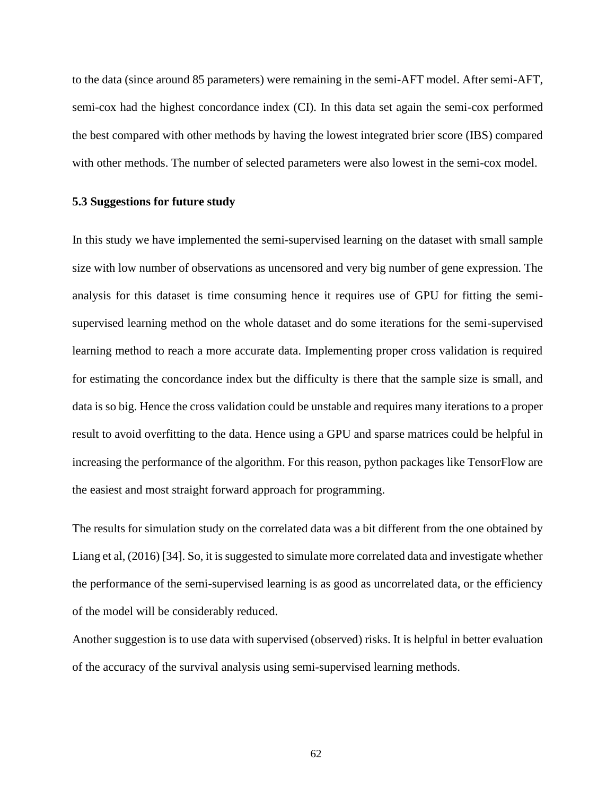to the data (since around 85 parameters) were remaining in the semi-AFT model. After semi-AFT, semi-cox had the highest concordance index (CI). In this data set again the semi-cox performed the best compared with other methods by having the lowest integrated brier score (IBS) compared with other methods. The number of selected parameters were also lowest in the semi-cox model.

## **5.3 Suggestions for future study**

In this study we have implemented the semi-supervised learning on the dataset with small sample size with low number of observations as uncensored and very big number of gene expression. The analysis for this dataset is time consuming hence it requires use of GPU for fitting the semisupervised learning method on the whole dataset and do some iterations for the semi-supervised learning method to reach a more accurate data. Implementing proper cross validation is required for estimating the concordance index but the difficulty is there that the sample size is small, and data is so big. Hence the cross validation could be unstable and requires many iterations to a proper result to avoid overfitting to the data. Hence using a GPU and sparse matrices could be helpful in increasing the performance of the algorithm. For this reason, python packages like TensorFlow are the easiest and most straight forward approach for programming.

The results for simulation study on the correlated data was a bit different from the one obtained by Liang et al, (2016) [34]. So, it is suggested to simulate more correlated data and investigate whether the performance of the semi-supervised learning is as good as uncorrelated data, or the efficiency of the model will be considerably reduced.

Another suggestion is to use data with supervised (observed) risks. It is helpful in better evaluation of the accuracy of the survival analysis using semi-supervised learning methods.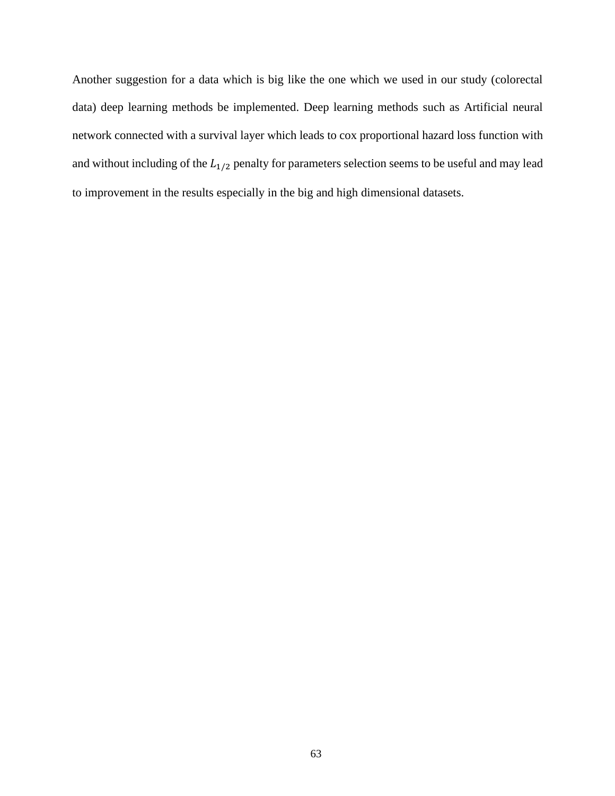Another suggestion for a data which is big like the one which we used in our study (colorectal data) deep learning methods be implemented. Deep learning methods such as Artificial neural network connected with a survival layer which leads to cox proportional hazard loss function with and without including of the  $L_{1/2}$  penalty for parameters selection seems to be useful and may lead to improvement in the results especially in the big and high dimensional datasets.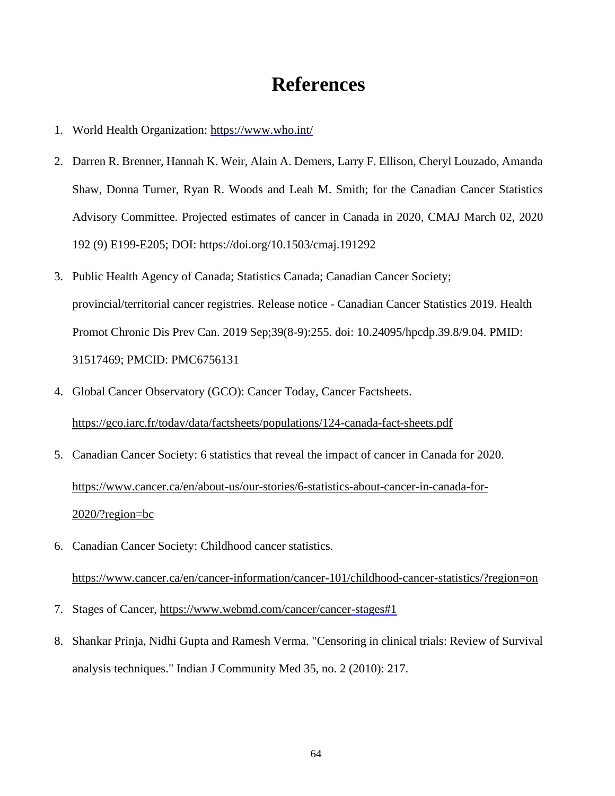# **References**

- 1. World Health Organization:<https://www.who.int/>
- 2. Darren R. Brenner, Hannah K. Weir, Alain A. Demers, Larry F. Ellison, Cheryl Louzado, Amanda Shaw, Donna Turner, Ryan R. Woods and Leah M. Smith; for the Canadian Cancer Statistics Advisory Committee. Projected estimates of cancer in Canada in 2020, CMAJ March 02, 2020 192 (9) E199-E205; DOI: https://doi.org/10.1503/cmaj.191292
- 3. Public Health Agency of Canada; Statistics Canada; Canadian Cancer Society; provincial/territorial cancer registries. Release notice - Canadian Cancer Statistics 2019. Health Promot Chronic Dis Prev Can. 2019 Sep;39(8-9):255. doi: 10.24095/hpcdp.39.8/9.04. PMID: 31517469; PMCID: PMC6756131
- 4. Global Cancer Observatory (GCO): Cancer Today, Cancer Factsheets. <https://gco.iarc.fr/today/data/factsheets/populations/124-canada-fact-sheets.pdf>
- 5. Canadian Cancer Society: 6 statistics that reveal the impact of cancer in Canada for 2020. [https://www.cancer.ca/en/about-us/our-stories/6-statistics-about-cancer-in-canada-for-](https://www.cancer.ca/en/about-us/our-stories/6-statistics-about-cancer-in-canada-for-2020/?region=bc)[2020/?region=bc](https://www.cancer.ca/en/about-us/our-stories/6-statistics-about-cancer-in-canada-for-2020/?region=bc)
- 6. Canadian Cancer Society: Childhood cancer statistics. <https://www.cancer.ca/en/cancer-information/cancer-101/childhood-cancer-statistics/?region=on>
- 7. Stages of Cancer,<https://www.webmd.com/cancer/cancer>[-stages#1](https://www.webmd.com/cancer/cancer-stages#1)
- 8. Shankar Prinja, Nidhi Gupta and Ramesh Verma. "Censoring in clinical trials: Review of Survival analysis techniques." Indian J Community Med 35, no. 2 (2010): 217.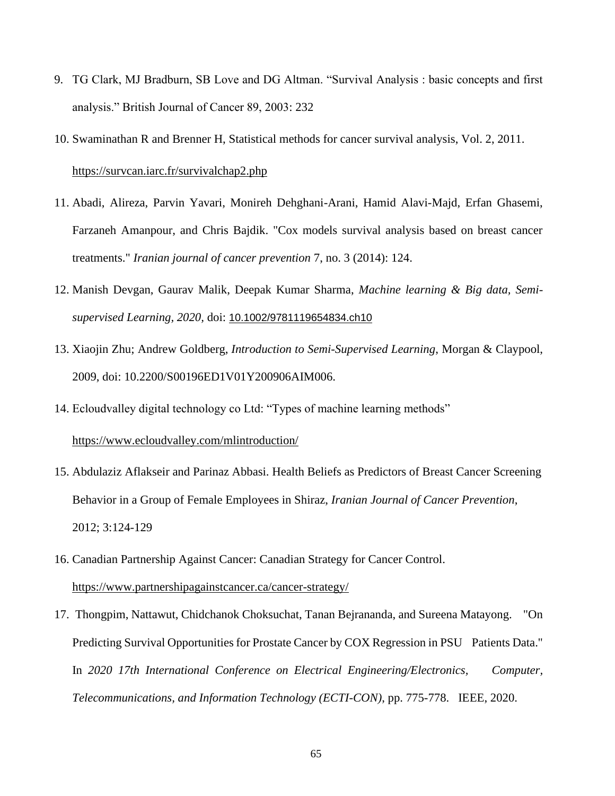- 9. TG Clark, MJ Bradburn, SB Love and DG Altman. "Survival Analysis : basic concepts and first analysis." British Journal of Cancer 89, 2003: 232
- 10. Swaminathan R and Brenner H, Statistical methods for cancer survival analysis, Vol. 2, 2011. <https://survcan.iarc.fr/survivalchap2.php>
- 11. Abadi, Alireza, Parvin Yavari, Monireh Dehghani-Arani, Hamid Alavi-Majd, Erfan Ghasemi, Farzaneh Amanpour, and Chris Bajdik. "Cox models survival analysis based on breast cancer treatments." *Iranian journal of cancer prevention* 7, no. 3 (2014): 124.
- 12. Manish Devgan, Gaurav Malik, Deepak Kumar Sharma, *Machine learning & Big data, Semisupervised Learning, 2020,* doi: [10.1002/9781119654834.ch10](https://www.researchgate.net/deref/http%3A%2F%2Fdx.doi.org%2F10.1002%2F9781119654834.ch10)
- 13. Xiaojin Zhu; Andrew Goldberg, *Introduction to Semi-Supervised Learning*, Morgan & Claypool, 2009, doi: 10.2200/S00196ED1V01Y200906AIM006.
- 14. Ecloudvalley digital technology co Ltd: "Types of machine learning methods"

### <https://www.ecloudvalley.com/mlintroduction/>

- 15. Abdulaziz Aflakseir and Parinaz Abbasi. Health Beliefs as Predictors of Breast Cancer Screening Behavior in a Group of Female Employees in Shiraz, *Iranian Journal of Cancer Prevention*, 2012; 3:124-129
- 16. Canadian Partnership Against Cancer: Canadian Strategy for Cancer Control. <https://www.partnershipagainstcancer.ca/cancer-strategy/>
- 17. Thongpim, Nattawut, Chidchanok Choksuchat, Tanan Bejrananda, and Sureena Matayong. "On Predicting Survival Opportunities for Prostate Cancer by COX Regression in PSU Patients Data." In *2020 17th International Conference on Electrical Engineering/Electronics, Computer, Telecommunications, and Information Technology (ECTI-CON)*, pp. 775-778. IEEE, 2020.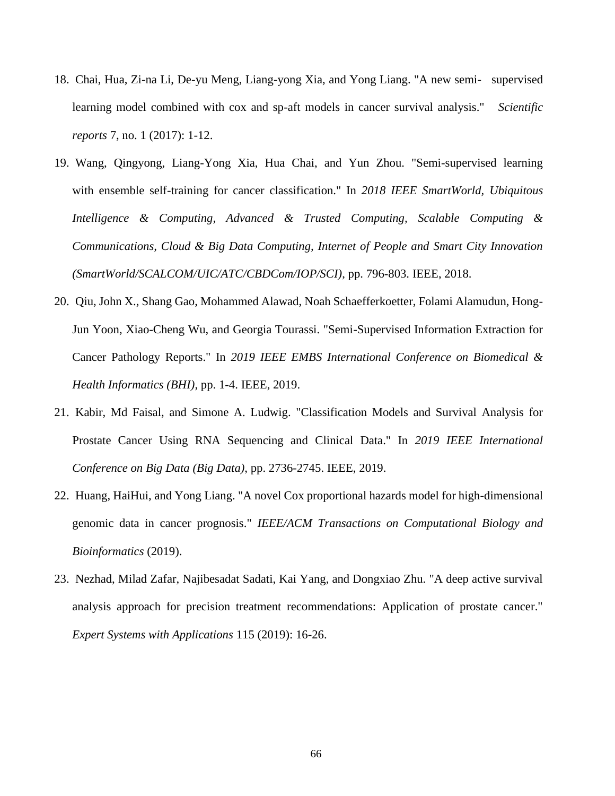- 18. Chai, Hua, Zi-na Li, De-yu Meng, Liang-yong Xia, and Yong Liang. "A new semi- supervised learning model combined with cox and sp-aft models in cancer survival analysis." *Scientific reports* 7, no. 1 (2017): 1-12.
- 19. Wang, Qingyong, Liang-Yong Xia, Hua Chai, and Yun Zhou. "Semi-supervised learning with ensemble self-training for cancer classification." In *2018 IEEE SmartWorld, Ubiquitous Intelligence & Computing, Advanced & Trusted Computing, Scalable Computing & Communications, Cloud & Big Data Computing, Internet of People and Smart City Innovation (SmartWorld/SCALCOM/UIC/ATC/CBDCom/IOP/SCI)*, pp. 796-803. IEEE, 2018.
- 20. Qiu, John X., Shang Gao, Mohammed Alawad, Noah Schaefferkoetter, Folami Alamudun, Hong-Jun Yoon, Xiao-Cheng Wu, and Georgia Tourassi. "Semi-Supervised Information Extraction for Cancer Pathology Reports." In *2019 IEEE EMBS International Conference on Biomedical & Health Informatics (BHI)*, pp. 1-4. IEEE, 2019.
- 21. Kabir, Md Faisal, and Simone A. Ludwig. "Classification Models and Survival Analysis for Prostate Cancer Using RNA Sequencing and Clinical Data." In *2019 IEEE International Conference on Big Data (Big Data)*, pp. 2736-2745. IEEE, 2019.
- 22. Huang, HaiHui, and Yong Liang. "A novel Cox proportional hazards model for high-dimensional genomic data in cancer prognosis." *IEEE/ACM Transactions on Computational Biology and Bioinformatics* (2019).
- 23. Nezhad, Milad Zafar, Najibesadat Sadati, Kai Yang, and Dongxiao Zhu. "A deep active survival analysis approach for precision treatment recommendations: Application of prostate cancer." *Expert Systems with Applications* 115 (2019): 16-26.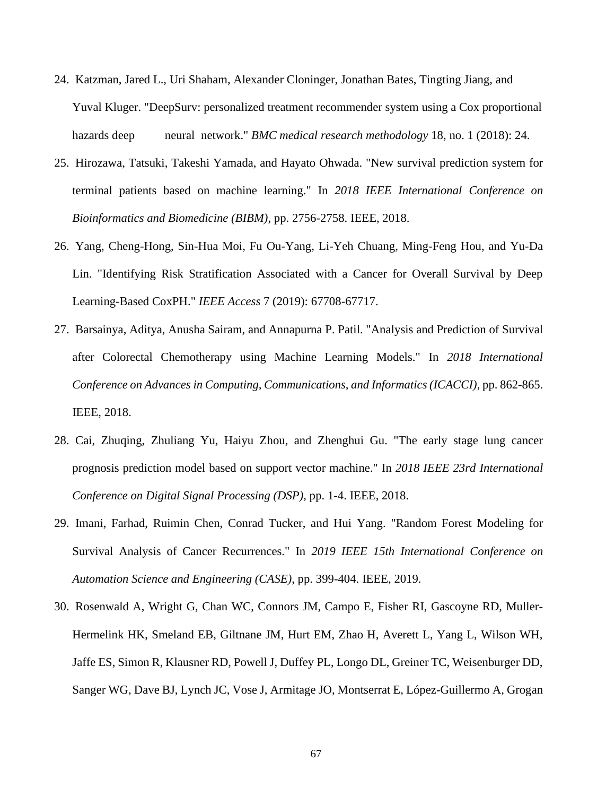- 24. Katzman, Jared L., Uri Shaham, Alexander Cloninger, Jonathan Bates, Tingting Jiang, and Yuval Kluger. "DeepSurv: personalized treatment recommender system using a Cox proportional hazards deep neural network." *BMC medical research methodology* 18, no. 1 (2018): 24.
- 25. Hirozawa, Tatsuki, Takeshi Yamada, and Hayato Ohwada. "New survival prediction system for terminal patients based on machine learning." In *2018 IEEE International Conference on Bioinformatics and Biomedicine (BIBM)*, pp. 2756-2758. IEEE, 2018.
- 26. Yang, Cheng-Hong, Sin-Hua Moi, Fu Ou-Yang, Li-Yeh Chuang, Ming-Feng Hou, and Yu-Da Lin. "Identifying Risk Stratification Associated with a Cancer for Overall Survival by Deep Learning-Based CoxPH." *IEEE Access* 7 (2019): 67708-67717.
- 27. Barsainya, Aditya, Anusha Sairam, and Annapurna P. Patil. "Analysis and Prediction of Survival after Colorectal Chemotherapy using Machine Learning Models." In *2018 International Conference on Advances in Computing, Communications, and Informatics (ICACCI)*, pp. 862-865. IEEE, 2018.
- 28. Cai, Zhuqing, Zhuliang Yu, Haiyu Zhou, and Zhenghui Gu. "The early stage lung cancer prognosis prediction model based on support vector machine." In *2018 IEEE 23rd International Conference on Digital Signal Processing (DSP)*, pp. 1-4. IEEE, 2018.
- 29. Imani, Farhad, Ruimin Chen, Conrad Tucker, and Hui Yang. "Random Forest Modeling for Survival Analysis of Cancer Recurrences." In *2019 IEEE 15th International Conference on Automation Science and Engineering (CASE)*, pp. 399-404. IEEE, 2019.
- 30. Rosenwald A, Wright G, Chan WC, Connors JM, Campo E, Fisher RI, Gascoyne RD, Muller-Hermelink HK, Smeland EB, Giltnane JM, Hurt EM, Zhao H, Averett L, Yang L, Wilson WH, Jaffe ES, Simon R, Klausner RD, Powell J, Duffey PL, Longo DL, Greiner TC, Weisenburger DD, Sanger WG, Dave BJ, Lynch JC, Vose J, Armitage JO, Montserrat E, López-Guillermo A, Grogan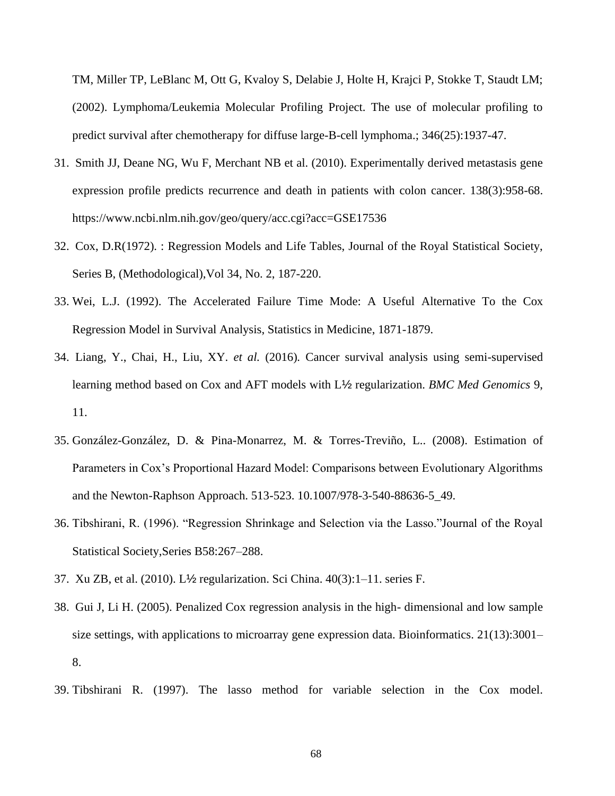TM, Miller TP, LeBlanc M, Ott G, Kvaloy S, Delabie J, Holte H, Krajci P, Stokke T, Staudt LM; (2002). Lymphoma/Leukemia Molecular Profiling Project. The use of molecular profiling to predict survival after chemotherapy for diffuse large-B-cell lymphoma.; 346(25):1937-47.

- 31. Smith JJ, Deane NG, Wu F, Merchant NB et al. (2010). Experimentally derived metastasis gene expression profile predicts recurrence and death in patients with colon cancer. 138(3):958-68. https://www.ncbi.nlm.nih.gov/geo/query/acc.cgi?acc=GSE17536
- 32. Cox, D.R(1972). : Regression Models and Life Tables, Journal of the Royal Statistical Society, Series B, (Methodological),Vol 34, No. 2, 187-220.
- 33. Wei, L.J. (1992). The Accelerated Failure Time Mode: A Useful Alternative To the Cox Regression Model in Survival Analysis, Statistics in Medicine, 1871-1879.
- 34. Liang, Y., Chai, H., Liu, XY. *et al.* (2016)*.* Cancer survival analysis using semi-supervised learning method based on Cox and AFT models with L½ regularization. *BMC Med Genomics* 9, 11.
- 35. González-González, D. & Pina-Monarrez, M. & Torres-Treviño, L.. (2008). Estimation of Parameters in Cox's Proportional Hazard Model: Comparisons between Evolutionary Algorithms and the Newton-Raphson Approach. 513-523. 10.1007/978-3-540-88636-5\_49.
- 36. Tibshirani, R. (1996). "Regression Shrinkage and Selection via the Lasso."Journal of the Royal Statistical Society,Series B58:267–288.
- 37. Xu ZB, et al. (2010). L½ regularization. Sci China. 40(3):1–11. series F.
- 38. Gui J, Li H. (2005). Penalized Cox regression analysis in the high- dimensional and low sample size settings, with applications to microarray gene expression data. Bioinformatics. 21(13):3001– 8.
- 39. Tibshirani R. (1997). The lasso method for variable selection in the Cox model.